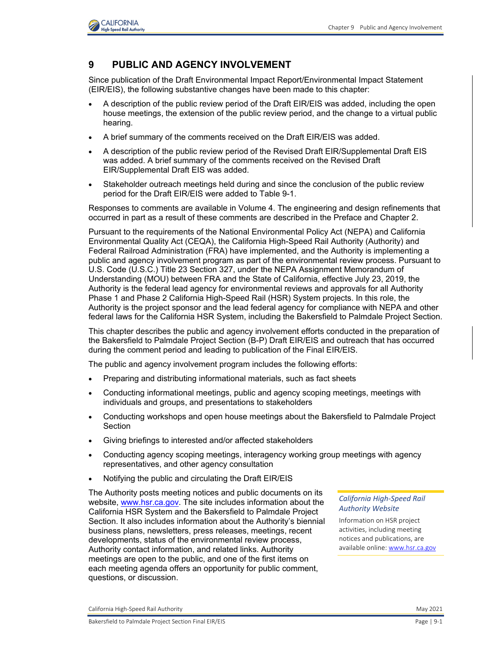

## **9 PUBLIC AND AGENCY INVOLVEMENT**

Since publication of the Draft Environmental Impact Report/Environmental Impact Statement (EIR/EIS), the following substantive changes have been made to this chapter:

- A description of the public review period of the Draft EIR/EIS was added, including the open house meetings, the extension of the public review period, and the change to a virtual public hearing.
- A brief summary of the comments received on the Draft EIR/EIS was added.
- A description of the public review period of the Revised Draft EIR/Supplemental Draft EIS was added. A brief summary of the comments received on the Revised Draft EIR/Supplemental Draft EIS was added.
- Stakeholder outreach meetings held during and since the conclusion of the public review period for the Draft EIR/EIS were added to [Table 9-1.](#page-23-0)

Responses to comments are available in Volume 4. The engineering and design refinements that occurred in part as a result of these comments are described in the Preface and Chapter 2.

Pursuant to the requirements of the National Environmental Policy Act (NEPA) and California Environmental Quality Act (CEQA), the California High-Speed Rail Authority (Authority) and Federal Railroad Administration (FRA) have implemented, and the Authority is implementing a public and agency involvement program as part of the environmental review process. Pursuant to U.S. Code (U.S.C.) Title 23 Section 327, under the NEPA Assignment Memorandum of Understanding (MOU) between FRA and the State of California, effective July 23, 2019, the Authority is the federal lead agency for environmental reviews and approvals for all Authority Phase 1 and Phase 2 California High-Speed Rail (HSR) System projects. In this role, the Authority is the project sponsor and the lead federal agency for compliance with NEPA and other federal laws for the California HSR System, including the Bakersfield to Palmdale Project Section.

This chapter describes the public and agency involvement efforts conducted in the preparation of the Bakersfield to Palmdale Project Section (B-P) Draft EIR/EIS and outreach that has occurred during the comment period and leading to publication of the Final EIR/EIS.

The public and agency involvement program includes the following efforts:

- Preparing and distributing informational materials, such as fact sheets
- Conducting informational meetings, public and agency scoping meetings, meetings with individuals and groups, and presentations to stakeholders
- Conducting workshops and open house meetings about the Bakersfield to Palmdale Project Section
- Giving briefings to interested and/or affected stakeholders
- Conducting agency scoping meetings, interagency working group meetings with agency representatives, and other agency consultation
- Notifying the public and circulating the Draft EIR/EIS

The Authority posts meeting notices and public documents on its website, [www.hsr.ca.gov.](http://www.hsr.ca.gov/) The site includes information about the California HSR System and the Bakersfield to Palmdale Project Section. It also includes information about the Authority's biennial business plans, newsletters, press releases, meetings, recent developments, status of the environmental review process, Authority contact information, and related links. Authority meetings are open to the public, and one of the first items on each meeting agenda offers an opportunity for public comment, questions, or discussion.

*California High-Speed Rail Authority Website* 

Information on HSR project activities, including meeting notices and publications, are available online[: www.hsr.ca.gov](http://www.hsr.ca.gov/)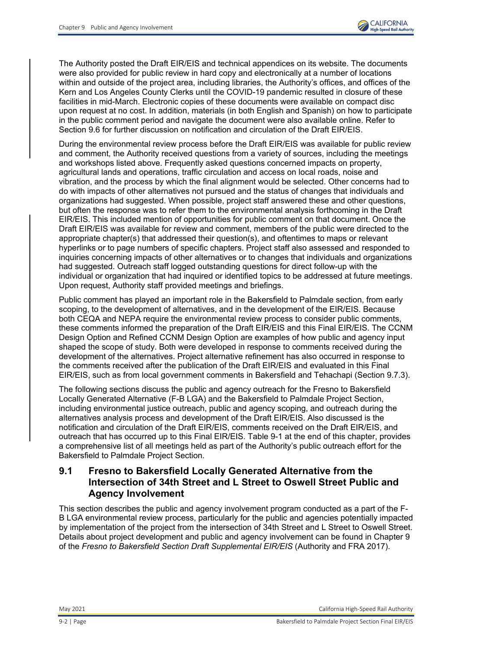

The Authority posted the Draft EIR/EIS and technical appendices on its website. The documents were also provided for public review in hard copy and electronically at a number of locations within and outside of the project area, including libraries, the Authority's offices, and offices of the Kern and Los Angeles County Clerks until the COVID-19 pandemic resulted in closure of these facilities in mid-March. Electronic copies of these documents were available on compact disc upon request at no cost. In addition, materials (in both English and Spanish) on how to participate in the public comment period and navigate the document were also available online. Refer to Section 9.6 for further discussion on notification and circulation of the Draft EIR/EIS.

During the environmental review process before the Draft EIR/EIS was available for public review and comment, the Authority received questions from a variety of sources, including the meetings and workshops listed above. Frequently asked questions concerned impacts on property, agricultural lands and operations, traffic circulation and access on local roads, noise and vibration, and the process by which the final alignment would be selected. Other concerns had to do with impacts of other alternatives not pursued and the status of changes that individuals and organizations had suggested. When possible, project staff answered these and other questions, but often the response was to refer them to the environmental analysis forthcoming in the Draft EIR/EIS. This included mention of opportunities for public comment on that document. Once the Draft EIR/EIS was available for review and comment, members of the public were directed to the appropriate chapter(s) that addressed their question(s), and oftentimes to maps or relevant hyperlinks or to page numbers of specific chapters. Project staff also assessed and responded to inquiries concerning impacts of other alternatives or to changes that individuals and organizations had suggested. Outreach staff logged outstanding questions for direct follow-up with the individual or organization that had inquired or identified topics to be addressed at future meetings. Upon request, Authority staff provided meetings and briefings.

Public comment has played an important role in the Bakersfield to Palmdale section, from early scoping, to the development of alternatives, and in the development of the EIR/EIS. Because both CEQA and NEPA require the environmental review process to consider public comments, these comments informed the preparation of the Draft EIR/EIS and this Final EIR/EIS. The CCNM Design Option and Refined CCNM Design Option are examples of how public and agency input shaped the scope of study. Both were developed in response to comments received during the development of the alternatives. Project alternative refinement has also occurred in response to the comments received after the publication of the Draft EIR/EIS and evaluated in this Final EIR/EIS, such as from local government comments in Bakersfield and Tehachapi (Section 9.7.3).

The following sections discuss the public and agency outreach for the Fresno to Bakersfield Locally Generated Alternative (F-B LGA) and the Bakersfield to Palmdale Project Section, including environmental justice outreach, public and agency scoping, and outreach during the alternatives analysis process and development of the Draft EIR/EIS. Also discussed is the notification and circulation of the Draft EIR/EIS, comments received on the Draft EIR/EIS, and outreach that has occurred up to this Final EIR/EIS. [Table 9-1](#page-23-0) at the end of this chapter, provides a comprehensive list of all meetings held as part of the Authority's public outreach effort for the Bakersfield to Palmdale Project Section.

## **9.1 Fresno to Bakersfield Locally Generated Alternative from the Intersection of 34th Street and L Street to Oswell Street Public and Agency Involvement**

This section describes the public and agency involvement program conducted as a part of the F-B LGA environmental review process, particularly for the public and agencies potentially impacted by implementation of the project from the intersection of 34th Street and L Street to Oswell Street. Details about project development and public and agency involvement can be found in Chapter 9 of the *Fresno to Bakersfield Section Draft Supplemental EIR/EIS* (Authority and FRA 2017).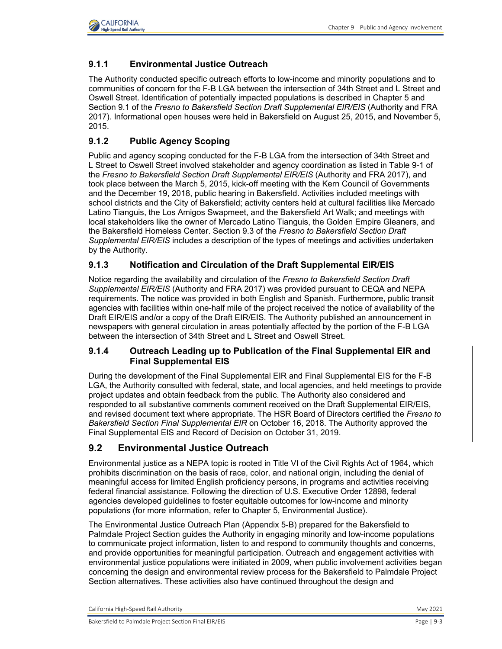

### **9.1.1 Environmental Justice Outreach**

The Authority conducted specific outreach efforts to low-income and minority populations and to communities of concern for the F-B LGA between the intersection of 34th Street and L Street and Oswell Street. Identification of potentially impacted populations is described in Chapter 5 and Section 9.1 of the *Fresno to Bakersfield Section Draft Supplemental EIR/EIS* (Authority and FRA 2017). Informational open houses were held in Bakersfield on August 25, 2015, and November 5, 2015.

### **9.1.2 Public Agency Scoping**

Public and agency scoping conducted for the F-B LGA from the intersection of 34th Street and L Street to Oswell Street involved stakeholder and agency coordination as listed in Table 9-1 of the *Fresno to Bakersfield Section Draft Supplemental EIR/EIS* (Authority and FRA 2017), and took place between the March 5, 2015, kick-off meeting with the Kern Council of Governments and the December 19, 2018, public hearing in Bakersfield. Activities included meetings with school districts and the City of Bakersfield; activity centers held at cultural facilities like Mercado Latino Tianguis, the Los Amigos Swapmeet, and the Bakersfield Art Walk; and meetings with local stakeholders like the owner of Mercado Latino Tianguis, the Golden Empire Gleaners, and the Bakersfield Homeless Center. Section 9.3 of the *Fresno to Bakersfield Section Draft Supplemental EIR/EIS* includes a description of the types of meetings and activities undertaken by the Authority.

#### **9.1.3 Notification and Circulation of the Draft Supplemental EIR/EIS**

Notice regarding the availability and circulation of the *Fresno to Bakersfield Section Draft Supplemental EIR/EIS* (Authority and FRA 2017) was provided pursuant to CEQA and NEPA requirements. The notice was provided in both English and Spanish. Furthermore, public transit agencies with facilities within one-half mile of the project received the notice of availability of the Draft EIR/EIS and/or a copy of the Draft EIR/EIS. The Authority published an announcement in newspapers with general circulation in areas potentially affected by the portion of the F-B LGA between the intersection of 34th Street and L Street and Oswell Street.

#### **9.1.4 Outreach Leading up to Publication of the Final Supplemental EIR and Final Supplemental EIS**

During the development of the Final Supplemental EIR and Final Supplemental EIS for the F-B LGA, the Authority consulted with federal, state, and local agencies, and held meetings to provide project updates and obtain feedback from the public. The Authority also considered and responded to all substantive comments comment received on the Draft Supplemental EIR/EIS, and revised document text where appropriate. The HSR Board of Directors certified the *Fresno to Bakersfield Section Final Supplemental EIR* on October 16, 2018. The Authority approved the Final Supplemental EIS and Record of Decision on October 31, 2019.

#### **9.2 Environmental Justice Outreach**

Environmental justice as a NEPA topic is rooted in Title VI of the Civil Rights Act of 1964, which prohibits discrimination on the basis of race, color, and national origin, including the denial of meaningful access for limited English proficiency persons, in programs and activities receiving federal financial assistance. Following the direction of U.S. Executive Order 12898, federal agencies developed guidelines to foster equitable outcomes for low-income and minority populations (for more information, refer to Chapter 5, Environmental Justice).

The Environmental Justice Outreach Plan (Appendix 5-B) prepared for the Bakersfield to Palmdale Project Section guides the Authority in engaging minority and low-income populations to communicate project information, listen to and respond to community thoughts and concerns, and provide opportunities for meaningful participation. Outreach and engagement activities with environmental justice populations were initiated in 2009, when public involvement activities began concerning the design and environmental review process for the Bakersfield to Palmdale Project Section alternatives. These activities also have continued throughout the design and

California High-Speed Rail Authority **May 2021** 2021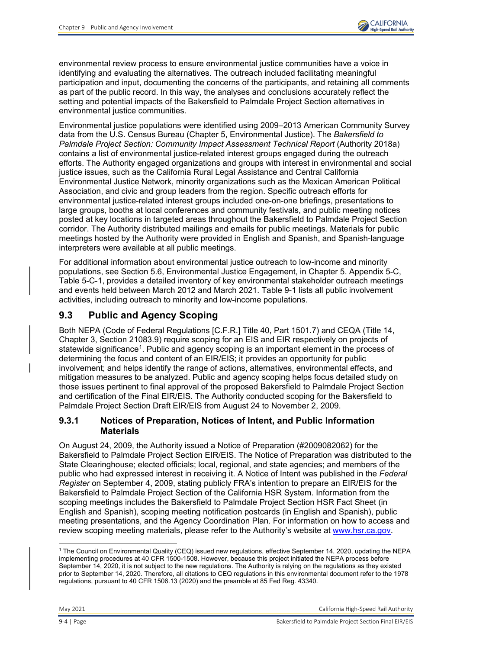

environmental review process to ensure environmental justice communities have a voice in identifying and evaluating the alternatives. The outreach included facilitating meaningful participation and input, documenting the concerns of the participants, and retaining all comments as part of the public record. In this way, the analyses and conclusions accurately reflect the setting and potential impacts of the Bakersfield to Palmdale Project Section alternatives in environmental justice communities.

Environmental justice populations were identified using 2009–2013 American Community Survey data from the U.S. Census Bureau (Chapter 5, Environmental Justice). The *Bakersfield to*  Palmdale Project Section: Community Impact Assessment Technical Report (Authority 2018a) contains a list of environmental justice-related interest groups engaged during the outreach efforts. The Authority engaged organizations and groups with interest in environmental and social justice issues, such as the California Rural Legal Assistance and Central California Environmental Justice Network, minority organizations such as the Mexican American Political Association, and civic and group leaders from the region. Specific outreach efforts for environmental justice-related interest groups included one-on-one briefings, presentations to large groups, booths at local conferences and community festivals, and public meeting notices posted at key locations in targeted areas throughout the Bakersfield to Palmdale Project Section corridor. The Authority distributed mailings and emails for public meetings. Materials for public meetings hosted by the Authority were provided in English and Spanish, and Spanish-language interpreters were available at all public meetings.

For additional information about environmental justice outreach to low-income and minority populations, see Section 5.6, Environmental Justice Engagement, in Chapter 5. Appendix 5-C, Table 5-C-1, provides a detailed inventory of key environmental stakeholder outreach meetings and events held between March 2012 and March 2021. Table 9-1 lists all public involvement activities, including outreach to minority and low-income populations.

# **9.3 Public and Agency Scoping**

Both NEPA (Code of Federal Regulations [C.F.R.] Title 40, Part 1501.7) and CEQA (Title 14, Chapter 3, Section 21083.9) require scoping for an EIS and EIR respectively on projects of statewide significance<sup>[1](#page-3-0)</sup>. Public and agency scoping is an important element in the process of determining the focus and content of an EIR/EIS; it provides an opportunity for public involvement; and helps identify the range of actions, alternatives, environmental effects, and mitigation measures to be analyzed. Public and agency scoping helps focus detailed study on those issues pertinent to final approval of the proposed Bakersfield to Palmdale Project Section and certification of the Final EIR/EIS. The Authority conducted scoping for the Bakersfield to Palmdale Project Section Draft EIR/EIS from August 24 to November 2, 2009.

#### **9.3.1 Notices of Preparation, Notices of Intent, and Public Information Materials**

On August 24, 2009, the Authority issued a Notice of Preparation (#2009082062) for the Bakersfield to Palmdale Project Section EIR/EIS. The Notice of Preparation was distributed to the State Clearinghouse; elected officials; local, regional, and state agencies; and members of the public who had expressed interest in receiving it. A Notice of Intent was published in the *Federal Register* on September 4, 2009, stating publicly FRA's intention to prepare an EIR/EIS for the Bakersfield to Palmdale Project Section of the California HSR System. Information from the scoping meetings includes the Bakersfield to Palmdale Project Section HSR Fact Sheet (in English and Spanish), scoping meeting notification postcards (in English and Spanish), public meeting presentations, and the Agency Coordination Plan. For information on how to access and review scoping meeting materials, please refer to the Authority's website at [www.hsr.ca.gov.](http://www.hsr.ca.gov/)

<span id="page-3-0"></span><sup>1</sup> The Council on Environmental Quality (CEQ) issued new regulations, effective September 14, 2020, updating the NEPA implementing procedures at 40 CFR 1500-1508. However, because this project initiated the NEPA process before September 14, 2020, it is not subject to the new regulations. The Authority is relying on the regulations as they existed prior to September 14, 2020. Therefore, all citations to CEQ regulations in this environmental document refer to the 1978 regulations, pursuant to 40 CFR 1506.13 (2020) and the preamble at 85 Fed Reg. 43340.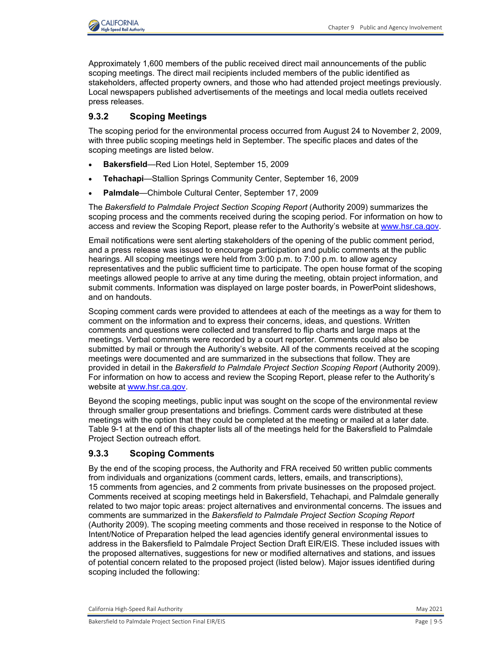

Approximately 1,600 members of the public received direct mail announcements of the public scoping meetings. The direct mail recipients included members of the public identified as stakeholders, affected property owners, and those who had attended project meetings previously. Local newspapers published advertisements of the meetings and local media outlets received press releases.

### **9.3.2 Scoping Meetings**

The scoping period for the environmental process occurred from August 24 to November 2, 2009, with three public scoping meetings held in September. The specific places and dates of the scoping meetings are listed below.

- **Bakersfield**—Red Lion Hotel, September 15, 2009
- **Tehachapi**—Stallion Springs Community Center, September 16, 2009
- **Palmdale**—Chimbole Cultural Center, September 17, 2009

The *Bakersfield to Palmdale Project Section Scoping Report* (Authority 2009) summarizes the scoping process and the comments received during the scoping period. For information on how to access and review the Scoping Report, please refer to the Authority's website at [www.hsr.ca.gov.](http://www.hsr.ca.gov/)

Email notifications were sent alerting stakeholders of the opening of the public comment period, and a press release was issued to encourage participation and public comments at the public hearings. All scoping meetings were held from 3:00 p.m. to 7:00 p.m. to allow agency representatives and the public sufficient time to participate. The open house format of the scoping meetings allowed people to arrive at any time during the meeting, obtain project information, and submit comments. Information was displayed on large poster boards, in PowerPoint slideshows, and on handouts.

Scoping comment cards were provided to attendees at each of the meetings as a way for them to comment on the information and to express their concerns, ideas, and questions. Written comments and questions were collected and transferred to flip charts and large maps at the meetings. Verbal comments were recorded by a court reporter. Comments could also be submitted by mail or through the Authority's website. All of the comments received at the scoping meetings were documented and are summarized in the subsections that follow. They are provided in detail in the *Bakersfield to Palmdale Project Section Scoping Report* (Authority 2009). For information on how to access and review the Scoping Report, please refer to the Authority's website at [www.hsr.ca.gov.](http://www.hsr.ca.gov/)

Beyond the scoping meetings, public input was sought on the scope of the environmental review through smaller group presentations and briefings. Comment cards were distributed at these meetings with the option that they could be completed at the meeting or mailed at a later date. Table 9-1 at the end of this chapter lists all of the meetings held for the Bakersfield to Palmdale Project Section outreach effort.

#### **9.3.3 Scoping Comments**

By the end of the scoping process, the Authority and FRA received 50 written public comments from individuals and organizations (comment cards, letters, emails, and transcriptions), 15 comments from agencies, and 2 comments from private businesses on the proposed project. Comments received at scoping meetings held in Bakersfield, Tehachapi, and Palmdale generally related to two major topic areas: project alternatives and environmental concerns. The issues and comments are summarized in the *Bakersfield to Palmdale Project Section Scoping Report* (Authority 2009). The scoping meeting comments and those received in response to the Notice of Intent/Notice of Preparation helped the lead agencies identify general environmental issues to address in the Bakersfield to Palmdale Project Section Draft EIR/EIS. These included issues with the proposed alternatives, suggestions for new or modified alternatives and stations, and issues of potential concern related to the proposed project (listed below). Major issues identified during scoping included the following:

California High-Speed Rail Authority **May 2021** 2021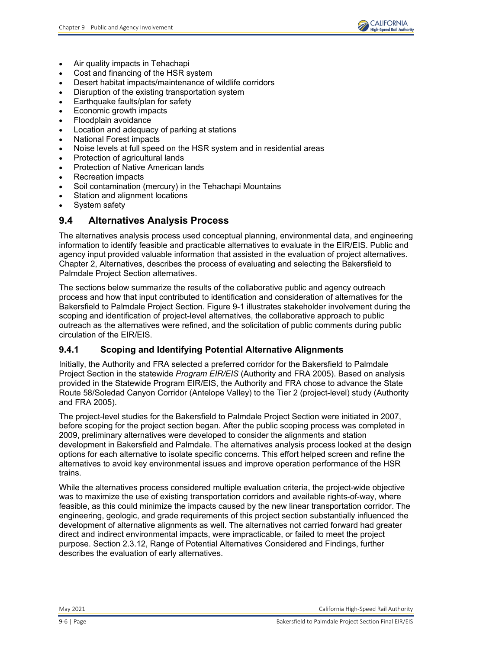

- Air quality impacts in Tehachapi
- Cost and financing of the HSR system
- Desert habitat impacts/maintenance of wildlife corridors
- Disruption of the existing transportation system
- Earthquake faults/plan for safety
- Economic growth impacts
- Floodplain avoidance
- Location and adequacy of parking at stations
- National Forest impacts
- Noise levels at full speed on the HSR system and in residential areas
- Protection of agricultural lands
- Protection of Native American lands
- Recreation impacts
- Soil contamination (mercury) in the Tehachapi Mountains
- Station and alignment locations
- System safety

## **9.4 Alternatives Analysis Process**

The alternatives analysis process used conceptual planning, environmental data, and engineering information to identify feasible and practicable alternatives to evaluate in the EIR/EIS. Public and agency input provided valuable information that assisted in the evaluation of project alternatives. Chapter 2, Alternatives, describes the process of evaluating and selecting the Bakersfield to Palmdale Project Section alternatives.

The sections below summarize the results of the collaborative public and agency outreach process and how that input contributed to identification and consideration of alternatives for the Bakersfield to Palmdale Project Section. [Figure 9-1](#page-6-0) illustrates stakeholder involvement during the scoping and identification of project-level alternatives, the collaborative approach to public outreach as the alternatives were refined, and the solicitation of public comments during public circulation of the EIR/EIS.

### **9.4.1 Scoping and Identifying Potential Alternative Alignments**

Initially, the Authority and FRA selected a preferred corridor for the Bakersfield to Palmdale Project Section in the statewide *Program EIR/EIS* (Authority and FRA 2005). Based on analysis provided in the Statewide Program EIR/EIS, the Authority and FRA chose to advance the State Route 58/Soledad Canyon Corridor (Antelope Valley) to the Tier 2 (project-level) study (Authority and FRA 2005).

The project-level studies for the Bakersfield to Palmdale Project Section were initiated in 2007, before scoping for the project section began. After the public scoping process was completed in 2009, preliminary alternatives were developed to consider the alignments and station development in Bakersfield and Palmdale. The alternatives analysis process looked at the design options for each alternative to isolate specific concerns. This effort helped screen and refine the alternatives to avoid key environmental issues and improve operation performance of the HSR trains.

While the alternatives process considered multiple evaluation criteria, the project-wide objective was to maximize the use of existing transportation corridors and available rights-of-way, where feasible, as this could minimize the impacts caused by the new linear transportation corridor. The engineering, geologic, and grade requirements of this project section substantially influenced the development of alternative alignments as well. The alternatives not carried forward had greater direct and indirect environmental impacts, were impracticable, or failed to meet the project purpose. Section 2.3.12, Range of Potential Alternatives Considered and Findings, further describes the evaluation of early alternatives.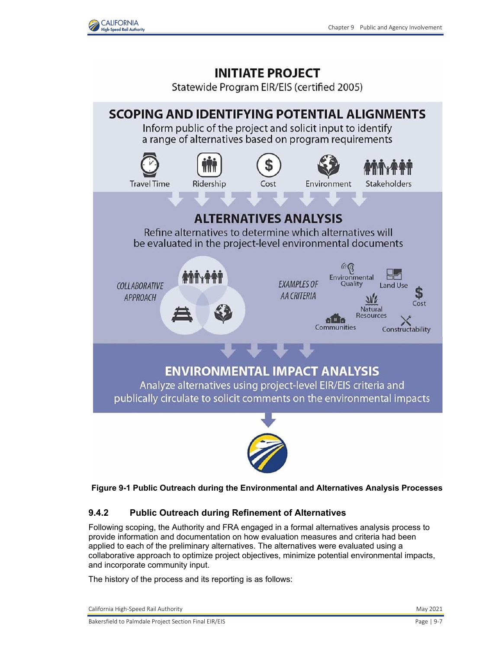



Statewide Program EIR/EIS (certified 2005)



<span id="page-6-0"></span>**Figure 9-1 Public Outreach during the Environmental and Alternatives Analysis Processes**

### **9.4.2 Public Outreach during Refinement of Alternatives**

Following scoping, the Authority and FRA engaged in a formal alternatives analysis process to provide information and documentation on how evaluation measures and criteria had been applied to each of the preliminary alternatives. The alternatives were evaluated using a collaborative approach to optimize project objectives, minimize potential environmental impacts, and incorporate community input.

The history of the process and its reporting is as follows:

California High-Speed Rail Authority **May 2021** 2021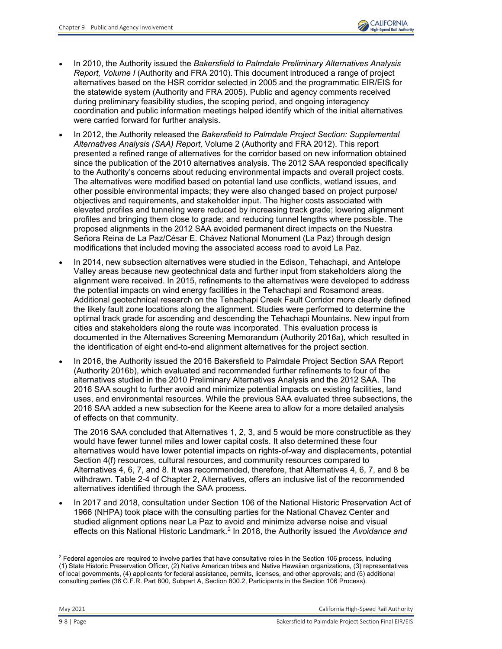- In 2010, the Authority issued the *Bakersfield to Palmdale Preliminary Alternatives Analysis Report, Volume I* (Authority and FRA 2010). This document introduced a range of project alternatives based on the HSR corridor selected in 2005 and the programmatic EIR/EIS for the statewide system (Authority and FRA 2005). Public and agency comments received during preliminary feasibility studies, the scoping period, and ongoing interagency coordination and public information meetings helped identify which of the initial alternatives were carried forward for further analysis.
- In 2012, the Authority released the *Bakersfield to Palmdale Project Section: Supplemental Alternatives Analysis (SAA) Report,* Volume 2 (Authority and FRA 2012). This report presented a refined range of alternatives for the corridor based on new information obtained since the publication of the 2010 alternatives analysis. The 2012 SAA responded specifically to the Authority's concerns about reducing environmental impacts and overall project costs. The alternatives were modified based on potential land use conflicts, wetland issues, and other possible environmental impacts; they were also changed based on project purpose/ objectives and requirements, and stakeholder input. The higher costs associated with elevated profiles and tunneling were reduced by increasing track grade; lowering alignment profiles and bringing them close to grade; and reducing tunnel lengths where possible. The proposed alignments in the 2012 SAA avoided permanent direct impacts on the Nuestra Señora Reina de La Paz/César E. Chávez National Monument (La Paz) through design modifications that included moving the associated access road to avoid La Paz.
- In 2014, new subsection alternatives were studied in the Edison, Tehachapi, and Antelope Valley areas because new geotechnical data and further input from stakeholders along the alignment were received. In 2015, refinements to the alternatives were developed to address the potential impacts on wind energy facilities in the Tehachapi and Rosamond areas. Additional geotechnical research on the Tehachapi Creek Fault Corridor more clearly defined the likely fault zone locations along the alignment. Studies were performed to determine the optimal track grade for ascending and descending the Tehachapi Mountains. New input from cities and stakeholders along the route was incorporated. This evaluation process is documented in the Alternatives Screening Memorandum (Authority 2016a), which resulted in the identification of eight end-to-end alignment alternatives for the project section.
- In 2016, the Authority issued the 2016 Bakersfield to Palmdale Project Section SAA Report (Authority 2016b), which evaluated and recommended further refinements to four of the alternatives studied in the 2010 Preliminary Alternatives Analysis and the 2012 SAA. The 2016 SAA sought to further avoid and minimize potential impacts on existing facilities, land uses, and environmental resources. While the previous SAA evaluated three subsections, the 2016 SAA added a new subsection for the Keene area to allow for a more detailed analysis of effects on that community.

The 2016 SAA concluded that Alternatives 1, 2, 3, and 5 would be more constructible as they would have fewer tunnel miles and lower capital costs. It also determined these four alternatives would have lower potential impacts on rights-of-way and displacements, potential Section 4(f) resources, cultural resources, and community resources compared to Alternatives 4, 6, 7, and 8. It was recommended, therefore, that Alternatives 4, 6, 7, and 8 be withdrawn. Table 2-4 of Chapter 2, Alternatives, offers an inclusive list of the recommended alternatives identified through the SAA process.

• In 2017 and 2018, consultation under Section 106 of the National Historic Preservation Act of 1966 (NHPA) took place with the consulting parties for the National Chavez Center and studied alignment options near La Paz to avoid and minimize adverse noise and visual effects on this National Historic Landmark.<sup>[2](#page-7-0)</sup> In 2018, the Authority issued the Avoidance and

<span id="page-7-0"></span> $\overline{a}$  $2$  Federal agencies are required to involve parties that have consultative roles in the Section 106 process, including (1) State Historic Preservation Officer, (2) Native American tribes and Native Hawaiian organizations, (3) representatives of local governments, (4) applicants for federal assistance, permits, licenses, and other approvals; and (5) additional consulting parties (36 C.F.R. Part 800, Subpart A, Section 800.2, Participants in the Section 106 Process).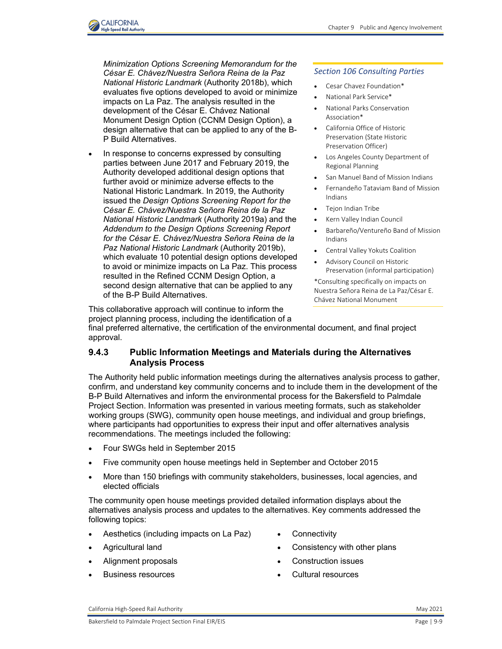

**CALIFORNIA High-Speed Rail Authority** 

In response to concerns expressed by consulting parties between June 2017 and February 2019, the Authority developed additional design options that further avoid or minimize adverse effects to the National Historic Landmark. In 2019, the Authority issued the *Design Options Screening Report for the César E. Chávez/Nuestra Señora Reina de la Paz National Historic Landmark* (Authority 2019a) and the *Addendum to the Design Options Screening Report for the César E. Chávez/Nuestra Señora Reina de la Paz National Historic Landmark* (Authority 2019b), which evaluate 10 potential design options developed to avoid or minimize impacts on La Paz. This process resulted in the Refined CCNM Design Option, a second design alternative that can be applied to any of the B-P Build Alternatives.

#### *Section 106 Consulting Parties*

- Cesar Chavez Foundation\*
- National Park Service\*
- National Parks Conservation Association\*
- California Office of Historic Preservation (State Historic Preservation Officer)
- Los Angeles County Department of Regional Planning
- San Manuel Band of Mission Indians
- Fernandeño Tataviam Band of Mission Indians
- Tejon Indian Tribe
- Kern Valley Indian Council
- Barbareño/Ventureño Band of Mission Indians
- Central Valley Yokuts Coalition
- Advisory Council on Historic Preservation (informal participation)

\*Consulting specifically on impacts on Nuestra Señora Reina de La Paz/César E. Chávez National Monument

This collaborative approach will continue to inform the project planning process, including the identification of a

final preferred alternative, the certification of the environmental document, and final project approval.

#### **9.4.3 Public Information Meetings and Materials during the Alternatives Analysis Process**

The Authority held public information meetings during the alternatives analysis process to gather, confirm, and understand key community concerns and to include them in the development of the B-P Build Alternatives and inform the environmental process for the Bakersfield to Palmdale Project Section. Information was presented in various meeting formats, such as stakeholder working groups (SWG), community open house meetings, and individual and group briefings, where participants had opportunities to express their input and offer alternatives analysis recommendations. The meetings included the following:

- Four SWGs held in September 2015
- Five community open house meetings held in September and October 2015
- More than 150 briefings with community stakeholders, businesses, local agencies, and elected officials

The community open house meetings provided detailed information displays about the alternatives analysis process and updates to the alternatives. Key comments addressed the following topics:

- Aesthetics (including impacts on La Paz)
- Agricultural land
- Alignment proposals
- Business resources
- **Connectivity**
- Consistency with other plans
- Construction issues
- Cultural resources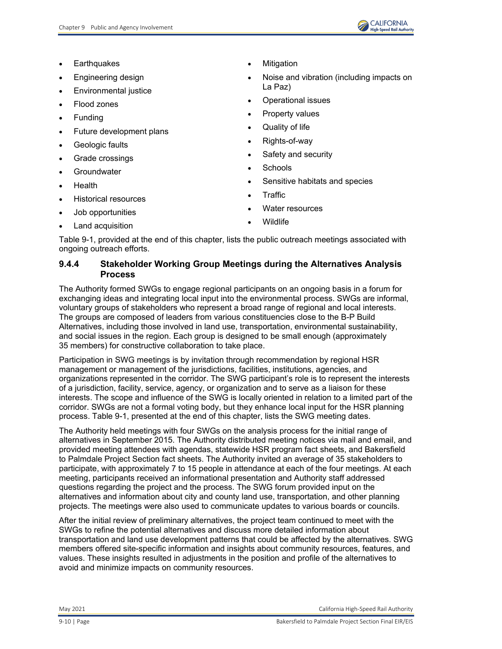

- **Earthquakes**
- Engineering design
- Environmental justice
- Flood zones
- **Funding**
- Future development plans
- Geologic faults
- Grade crossings
- **Groundwater**
- Health
- Historical resources
- Job opportunities
- Land acquisition
- **Mitigation**
- Noise and vibration (including impacts on La Paz)
- Operational issues
- Property values
- Quality of life
- Rights-of-way
- Safety and security
- **Schools**
- Sensitive habitats and species
- **Traffic**
- Water resources
- Wildlife

[Table 9-1,](#page-23-0) provided at the end of this chapter, lists the public outreach meetings associated with ongoing outreach efforts.

## **9.4.4 Stakeholder Working Group Meetings during the Alternatives Analysis Process**

The Authority formed SWGs to engage regional participants on an ongoing basis in a forum for exchanging ideas and integrating local input into the environmental process. SWGs are informal, voluntary groups of stakeholders who represent a broad range of regional and local interests. The groups are composed of leaders from various constituencies close to the B-P Build Alternatives, including those involved in land use, transportation, environmental sustainability, and social issues in the region. Each group is designed to be small enough (approximately 35 members) for constructive collaboration to take place.

Participation in SWG meetings is by invitation through recommendation by regional HSR management or management of the jurisdictions, facilities, institutions, agencies, and organizations represented in the corridor. The SWG participant's role is to represent the interests of a jurisdiction, facility, service, agency, or organization and to serve as a liaison for these interests. The scope and influence of the SWG is locally oriented in relation to a limited part of the corridor. SWGs are not a formal voting body, but they enhance local input for the HSR planning process. [Table 9-1,](#page-23-0) presented at the end of this chapter, lists the SWG meeting dates.

The Authority held meetings with four SWGs on the analysis process for the initial range of alternatives in September 2015. The Authority distributed meeting notices via mail and email, and provided meeting attendees with agendas, statewide HSR program fact sheets, and Bakersfield to Palmdale Project Section fact sheets. The Authority invited an average of 35 stakeholders to participate, with approximately 7 to 15 people in attendance at each of the four meetings. At each meeting, participants received an informational presentation and Authority staff addressed questions regarding the project and the process. The SWG forum provided input on the alternatives and information about city and county land use, transportation, and other planning projects. The meetings were also used to communicate updates to various boards or councils.

After the initial review of preliminary alternatives, the project team continued to meet with the SWGs to refine the potential alternatives and discuss more detailed information about transportation and land use development patterns that could be affected by the alternatives. SWG members offered site-specific information and insights about community resources, features, and values. These insights resulted in adjustments in the position and profile of the alternatives to avoid and minimize impacts on community resources.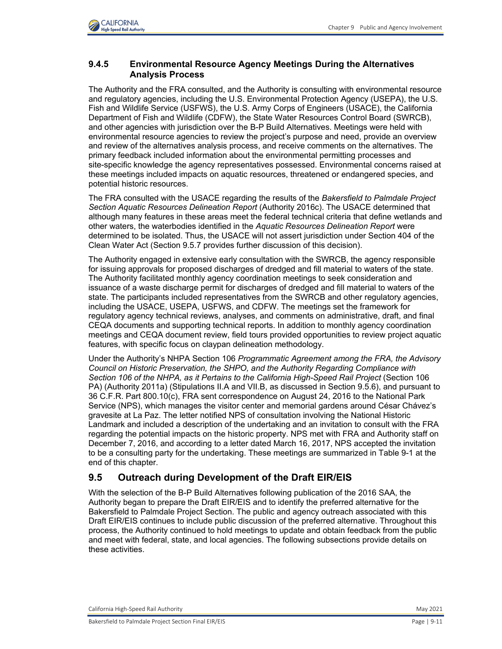

### **9.4.5 Environmental Resource Agency Meetings During the Alternatives Analysis Process**

The Authority and the FRA consulted, and the Authority is consulting with environmental resource and regulatory agencies, including the U.S. Environmental Protection Agency (USEPA), the U.S. Fish and Wildlife Service (USFWS), the U.S. Army Corps of Engineers (USACE), the California Department of Fish and Wildlife (CDFW), the State Water Resources Control Board (SWRCB), and other agencies with jurisdiction over the B-P Build Alternatives. Meetings were held with environmental resource agencies to review the project's purpose and need, provide an overview and review of the alternatives analysis process, and receive comments on the alternatives. The primary feedback included information about the environmental permitting processes and site-specific knowledge the agency representatives possessed. Environmental concerns raised at these meetings included impacts on aquatic resources, threatened or endangered species, and potential historic resources.

The FRA consulted with the USACE regarding the results of the *Bakersfield to Palmdale Project Section Aquatic Resources Delineation Report* (Authority 2016c). The USACE determined that although many features in these areas meet the federal technical criteria that define wetlands and other waters, the waterbodies identified in the *Aquatic Resources Delineation Report* were determined to be isolated. Thus, the USACE will not assert jurisdiction under Section 404 of the Clean Water Act (Section 9.5.7 provides further discussion of this decision).

The Authority engaged in extensive early consultation with the SWRCB, the agency responsible for issuing approvals for proposed discharges of dredged and fill material to waters of the state. The Authority facilitated monthly agency coordination meetings to seek consideration and issuance of a waste discharge permit for discharges of dredged and fill material to waters of the state. The participants included representatives from the SWRCB and other regulatory agencies, including the USACE, USEPA, USFWS, and CDFW. The meetings set the framework for regulatory agency technical reviews, analyses, and comments on administrative, draft, and final CEQA documents and supporting technical reports. In addition to monthly agency coordination meetings and CEQA document review, field tours provided opportunities to review project aquatic features, with specific focus on claypan delineation methodology.

Under the Authority's NHPA Section 106 *Programmatic Agreement among the FRA, the Advisory Council on Historic Preservation, the SHPO, and the Authority Regarding Compliance with Section 106 of the NHPA, as it Pertains to the California High-Speed Rail Project* (Section 106 PA) (Authority 2011a) (Stipulations II.A and VII.B, as discussed in Section 9.5.6), and pursuant to 36 C.F.R. Part 800.10(c), FRA sent correspondence on August 24, 2016 to the National Park Service (NPS), which manages the visitor center and memorial gardens around César Chávez's gravesite at La Paz. The letter notified NPS of consultation involving the National Historic Landmark and included a description of the undertaking and an invitation to consult with the FRA regarding the potential impacts on the historic property. NPS met with FRA and Authority staff on December 7, 2016, and according to a letter dated March 16, 2017, NPS accepted the invitation to be a consulting party for the undertaking. These meetings are summarized in Table 9-1 at the end of this chapter.

## **9.5 Outreach during Development of the Draft EIR/EIS**

With the selection of the B-P Build Alternatives following publication of the 2016 SAA, the Authority began to prepare the Draft EIR/EIS and to identify the preferred alternative for the Bakersfield to Palmdale Project Section. The public and agency outreach associated with this Draft EIR/EIS continues to include public discussion of the preferred alternative. Throughout this process, the Authority continued to hold meetings to update and obtain feedback from the public and meet with federal, state, and local agencies. The following subsections provide details on these activities.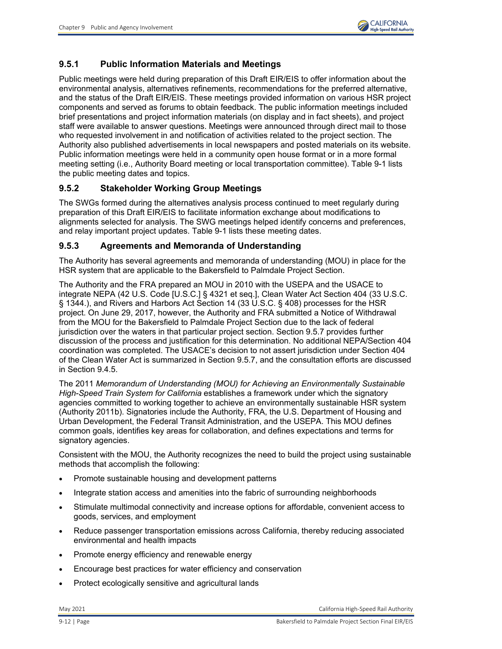

## **9.5.1 Public Information Materials and Meetings**

Public meetings were held during preparation of this Draft EIR/EIS to offer information about the environmental analysis, alternatives refinements, recommendations for the preferred alternative, and the status of the Draft EIR/EIS. These meetings provided information on various HSR project components and served as forums to obtain feedback. The public information meetings included brief presentations and project information materials (on display and in fact sheets), and project staff were available to answer questions. Meetings were announced through direct mail to those who requested involvement in and notification of activities related to the project section. The Authority also published advertisements in local newspapers and posted materials on its website. Public information meetings were held in a community open house format or in a more formal meeting setting (i.e., Authority Board meeting or local transportation committee). [Table 9-1](#page-23-0) lists the public meeting dates and topics.

### **9.5.2 Stakeholder Working Group Meetings**

The SWGs formed during the alternatives analysis process continued to meet regularly during preparation of this Draft EIR/EIS to facilitate information exchange about modifications to alignments selected for analysis. The SWG meetings helped identify concerns and preferences, and relay important project updates. [Table 9-1](#page-23-0) lists these meeting dates.

#### **9.5.3 Agreements and Memoranda of Understanding**

The Authority has several agreements and memoranda of understanding (MOU) in place for the HSR system that are applicable to the Bakersfield to Palmdale Project Section.

The Authority and the FRA prepared an MOU in 2010 with the USEPA and the USACE to integrate NEPA (42 U.S. Code [U.S.C.] § 4321 et seq.], Clean Water Act Section 404 (33 U.S.C. § 1344.), and Rivers and Harbors Act Section 14 (33 U.S.C. § 408) processes for the HSR project. On June 29, 2017, however, the Authority and FRA submitted a Notice of Withdrawal from the MOU for the Bakersfield to Palmdale Project Section due to the lack of federal jurisdiction over the waters in that particular project section. Section 9.5.7 provides further discussion of the process and justification for this determination. No additional NEPA/Section 404 coordination was completed. The USACE's decision to not assert jurisdiction under Section 404 of the Clean Water Act is summarized in Section 9.5.7, and the consultation efforts are discussed in Section 9.4.5.

The 2011 *Memorandum of Understanding (MOU) for Achieving an Environmentally Sustainable High-Speed Train System for California* establishes a framework under which the signatory agencies committed to working together to achieve an environmentally sustainable HSR system (Authority 2011b). Signatories include the Authority, FRA, the U.S. Department of Housing and Urban Development, the Federal Transit Administration, and the USEPA. This MOU defines common goals, identifies key areas for collaboration, and defines expectations and terms for signatory agencies.

Consistent with the MOU, the Authority recognizes the need to build the project using sustainable methods that accomplish the following:

- Promote sustainable housing and development patterns
- Integrate station access and amenities into the fabric of surrounding neighborhoods
- Stimulate multimodal connectivity and increase options for affordable, convenient access to goods, services, and employment
- Reduce passenger transportation emissions across California, thereby reducing associated environmental and health impacts
- Promote energy efficiency and renewable energy
- Encourage best practices for water efficiency and conservation
- Protect ecologically sensitive and agricultural lands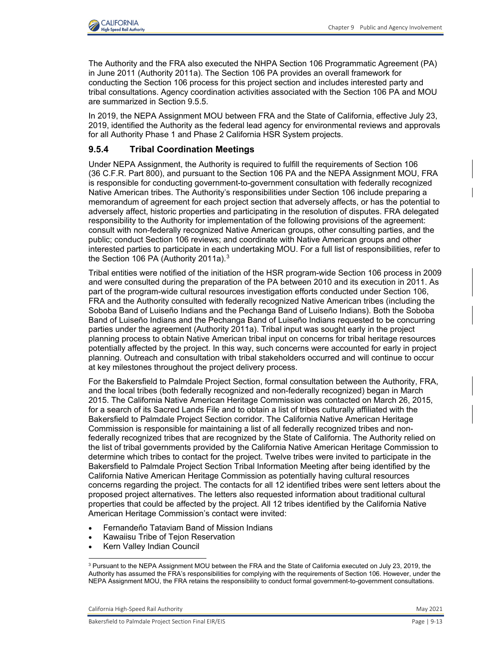

The Authority and the FRA also executed the NHPA Section 106 Programmatic Agreement (PA) in June 2011 (Authority 2011a). The Section 106 PA provides an overall framework for conducting the Section 106 process for this project section and includes interested party and tribal consultations. Agency coordination activities associated with the Section 106 PA and MOU are summarized in Section 9.5.5.

In 2019, the NEPA Assignment MOU between FRA and the State of California, effective July 23, 2019, identified the Authority as the federal lead agency for environmental reviews and approvals for all Authority Phase 1 and Phase 2 California HSR System projects.

### **9.5.4 Tribal Coordination Meetings**

Under NEPA Assignment, the Authority is required to fulfill the requirements of Section 106 (36 C.F.R. Part 800), and pursuant to the Section 106 PA and the NEPA Assignment MOU, FRA is responsible for conducting government-to-government consultation with federally recognized Native American tribes. The Authority's responsibilities under Section 106 include preparing a memorandum of agreement for each project section that adversely affects, or has the potential to adversely affect, historic properties and participating in the resolution of disputes. FRA delegated responsibility to the Authority for implementation of the following provisions of the agreement: consult with non-federally recognized Native American groups, other consulting parties, and the public; conduct Section 106 reviews; and coordinate with Native American groups and other interested parties to participate in each undertaking MOU. For a full list of responsibilities, refer to the Section 106 PA (Authority 2011a).<sup>3</sup>

Tribal entities were notified of the initiation of the HSR program-wide Section 106 process in 2009 and were consulted during the preparation of the PA between 2010 and its execution in 2011. As part of the program-wide cultural resources investigation efforts conducted under Section 106, FRA and the Authority consulted with federally recognized Native American tribes (including the Soboba Band of Luiseño Indians and the Pechanga Band of Luiseño Indians). Both the Soboba Band of Luiseño Indians and the Pechanga Band of Luiseño Indians requested to be concurring parties under the agreement (Authority 2011a). Tribal input was sought early in the project planning process to obtain Native American tribal input on concerns for tribal heritage resources potentially affected by the project. In this way, such concerns were accounted for early in project planning. Outreach and consultation with tribal stakeholders occurred and will continue to occur at key milestones throughout the project delivery process.

For the Bakersfield to Palmdale Project Section, formal consultation between the Authority, FRA, and the local tribes (both federally recognized and non-federally recognized) began in March 2015. The California Native American Heritage Commission was contacted on March 26, 2015, for a search of its Sacred Lands File and to obtain a list of tribes culturally affiliated with the Bakersfield to Palmdale Project Section corridor. The California Native American Heritage Commission is responsible for maintaining a list of all federally recognized tribes and nonfederally recognized tribes that are recognized by the State of California. The Authority relied on the list of tribal governments provided by the California Native American Heritage Commission to determine which tribes to contact for the project. Twelve tribes were invited to participate in the Bakersfield to Palmdale Project Section Tribal Information Meeting after being identified by the California Native American Heritage Commission as potentially having cultural resources concerns regarding the project. The contacts for all 12 identified tribes were sent letters about the proposed project alternatives. The letters also requested information about traditional cultural properties that could be affected by the project. All 12 tribes identified by the California Native American Heritage Commission's contact were invited:

- Fernandeño Tataviam Band of Mission Indians
- Kawaiisu Tribe of Tejon Reservation
- Kern Valley Indian Council

California High-Speed Rail Authority May 2021

<span id="page-12-0"></span><sup>3</sup> Pursuant to the NEPA Assignment MOU between the FRA and the State of California executed on July 23, 2019, the Authority has assumed the FRA's responsibilities for complying with the requirements of Section 106. However, under the NEPA Assignment MOU, the FRA retains the responsibility to conduct formal government-to-government consultations.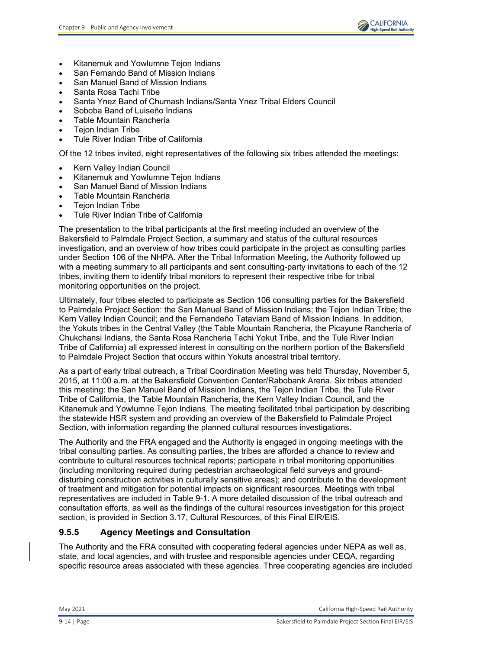

- Kitanemuk and Yowlumne Tejon Indians
- San Fernando Band of Mission Indians
- San Manuel Band of Mission Indians
- Santa Rosa Tachi Tribe
- Santa Ynez Band of Chumash Indians/Santa Ynez Tribal Elders Council
- Soboba Band of Luiseño Indians
- Table Mountain Rancheria
- Tejon Indian Tribe
- Tule River Indian Tribe of California

Of the 12 tribes invited, eight representatives of the following six tribes attended the meetings:

- Kern Valley Indian Council
- Kitanemuk and Yowlumne Tejon Indians
- San Manuel Band of Mission Indians
- Table Mountain Rancheria
- **Tejon Indian Tribe**
- Tule River Indian Tribe of California

The presentation to the tribal participants at the first meeting included an overview of the Bakersfield to Palmdale Project Section, a summary and status of the cultural resources investigation, and an overview of how tribes could participate in the project as consulting parties under Section 106 of the NHPA. After the Tribal Information Meeting, the Authority followed up with a meeting summary to all participants and sent consulting-party invitations to each of the 12 tribes, inviting them to identify tribal monitors to represent their respective tribe for tribal monitoring opportunities on the project.

Ultimately, four tribes elected to participate as Section 106 consulting parties for the Bakersfield to Palmdale Project Section: the San Manuel Band of Mission Indians; the Tejon Indian Tribe; the Kern Valley Indian Council; and the Fernandeño Tataviam Band of Mission Indians. In addition, the Yokuts tribes in the Central Valley (the Table Mountain Rancheria, the Picayune Rancheria of Chukchansi Indians, the Santa Rosa Rancheria Tachi Yokut Tribe, and the Tule River Indian Tribe of California) all expressed interest in consulting on the northern portion of the Bakersfield to Palmdale Project Section that occurs within Yokuts ancestral tribal territory.

As a part of early tribal outreach, a Tribal Coordination Meeting was held Thursday, November 5, 2015, at 11:00 a.m. at the Bakersfield Convention Center/Rabobank Arena. Six tribes attended this meeting: the San Manuel Band of Mission Indians, the Tejon Indian Tribe, the Tule River Tribe of California, the Table Mountain Rancheria, the Kern Valley Indian Council, and the Kitanemuk and Yowlumne Tejon Indians. The meeting facilitated tribal participation by describing the statewide HSR system and providing an overview of the Bakersfield to Palmdale Project Section, with information regarding the planned cultural resources investigations.

The Authority and the FRA engaged and the Authority is engaged in ongoing meetings with the tribal consulting parties. As consulting parties, the tribes are afforded a chance to review and contribute to cultural resources technical reports; participate in tribal monitoring opportunities (including monitoring required during pedestrian archaeological field surveys and grounddisturbing construction activities in culturally sensitive areas); and contribute to the development of treatment and mitigation for potential impacts on significant resources. Meetings with tribal representatives are included in Table 9-1. A more detailed discussion of the tribal outreach and consultation efforts, as well as the findings of the cultural resources investigation for this project section, is provided in Section 3.17, Cultural Resources, of this Final EIR/EIS.

### **9.5.5 Agency Meetings and Consultation**

The Authority and the FRA consulted with cooperating federal agencies under NEPA as well as, state, and local agencies, and with trustee and responsible agencies under CEQA, regarding specific resource areas associated with these agencies. Three cooperating agencies are included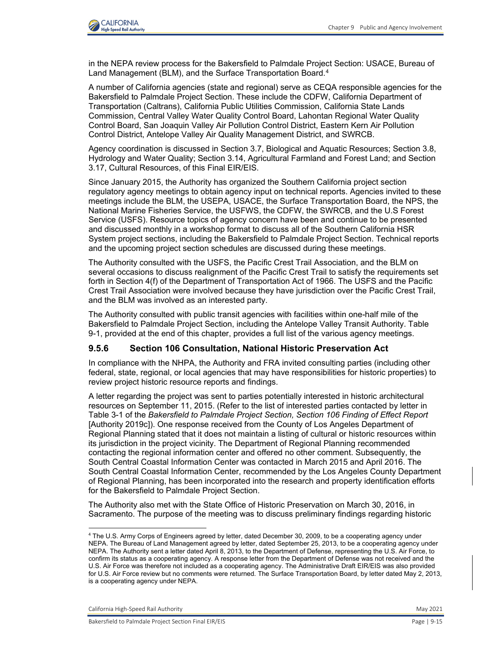

in the NEPA review process for the Bakersfield to Palmdale Project Section: USACE, Bureau of Land Management (BLM), and the Surface Transportation Board.<sup>[4](#page-14-0)</sup>

A number of California agencies (state and regional) serve as CEQA responsible agencies for the Bakersfield to Palmdale Project Section. These include the CDFW, California Department of Transportation (Caltrans), California Public Utilities Commission, California State Lands Commission, Central Valley Water Quality Control Board, Lahontan Regional Water Quality Control Board, San Joaquin Valley Air Pollution Control District, Eastern Kern Air Pollution Control District, Antelope Valley Air Quality Management District, and SWRCB.

Agency coordination is discussed in Section 3.7, Biological and Aquatic Resources; Section 3.8, Hydrology and Water Quality; Section 3.14, Agricultural Farmland and Forest Land; and Section 3.17, Cultural Resources, of this Final EIR/EIS.

Since January 2015, the Authority has organized the Southern California project section regulatory agency meetings to obtain agency input on technical reports. Agencies invited to these meetings include the BLM, the USEPA, USACE, the Surface Transportation Board, the NPS, the National Marine Fisheries Service, the USFWS, the CDFW, the SWRCB, and the U.S Forest Service (USFS). Resource topics of agency concern have been and continue to be presented and discussed monthly in a workshop format to discuss all of the Southern California HSR System project sections, including the Bakersfield to Palmdale Project Section. Technical reports and the upcoming project section schedules are discussed during these meetings.

The Authority consulted with the USFS, the Pacific Crest Trail Association, and the BLM on several occasions to discuss realignment of the Pacific Crest Trail to satisfy the requirements set forth in Section 4(f) of the Department of Transportation Act of 1966. The USFS and the Pacific Crest Trail Association were involved because they have jurisdiction over the Pacific Crest Trail, and the BLM was involved as an interested party.

The Authority consulted with public transit agencies with facilities within one-half mile of the Bakersfield to Palmdale Project Section, including the Antelope Valley Transit Authority. [Table](#page-23-0)  [9-1,](#page-23-0) provided at the end of this chapter, provides a full list of the various agency meetings.

#### **9.5.6 Section 106 Consultation, National Historic Preservation Act**

In compliance with the NHPA, the Authority and FRA invited consulting parties (including other federal, state, regional, or local agencies that may have responsibilities for historic properties) to review project historic resource reports and findings.

A letter regarding the project was sent to parties potentially interested in historic architectural resources on September 11, 2015. (Refer to the list of interested parties contacted by letter in Table 3-1 of the *Bakersfield to Palmdale Project Section, Section 106 Finding of Effect Report* [Authority 2019c]). One response received from the County of Los Angeles Department of Regional Planning stated that it does not maintain a listing of cultural or historic resources within its jurisdiction in the project vicinity. The Department of Regional Planning recommended contacting the regional information center and offered no other comment. Subsequently, the South Central Coastal Information Center was contacted in March 2015 and April 2016. The South Central Coastal Information Center, recommended by the Los Angeles County Department of Regional Planning, has been incorporated into the research and property identification efforts for the Bakersfield to Palmdale Project Section.

The Authority also met with the State Office of Historic Preservation on March 30, 2016, in Sacramento. The purpose of the meeting was to discuss preliminary findings regarding historic

California High-Speed Rail Authority May 2021

<span id="page-14-0"></span><sup>4</sup> The U.S. Army Corps of Engineers agreed by letter, dated December 30, 2009, to be a cooperating agency under NEPA. The Bureau of Land Management agreed by letter, dated September 25, 2013, to be a cooperating agency under NEPA. The Authority sent a letter dated April 8, 2013, to the Department of Defense, representing the U.S. Air Force, to confirm its status as a cooperating agency. A response letter from the Department of Defense was not received and the U.S. Air Force was therefore not included as a cooperating agency. The Administrative Draft EIR/EIS was also provided for U.S. Air Force review but no comments were returned. The Surface Transportation Board, by letter dated May 2, 2013, is a cooperating agency under NEPA.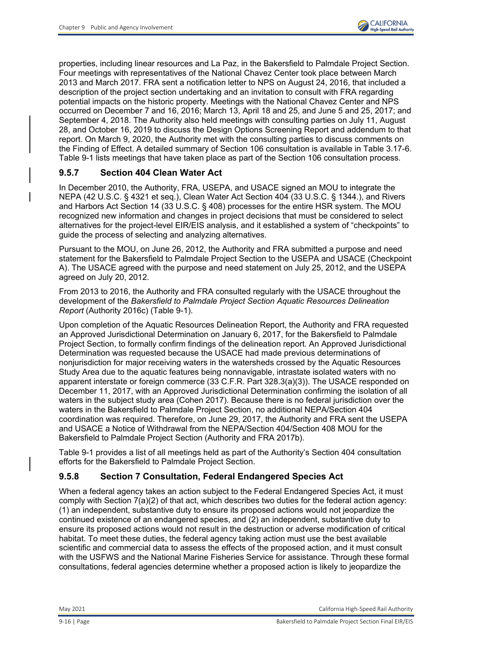properties, including linear resources and La Paz, in the Bakersfield to Palmdale Project Section. Four meetings with representatives of the National Chavez Center took place between March 2013 and March 2017. FRA sent a notification letter to NPS on August 24, 2016, that included a description of the project section undertaking and an invitation to consult with FRA regarding potential impacts on the historic property. Meetings with the National Chavez Center and NPS occurred on December 7 and 16, 2016; March 13, April 18 and 25, and June 5 and 25, 2017; and September 4, 2018. The Authority also held meetings with consulting parties on July 11, August 28, and October 16, 2019 to discuss the Design Options Screening Report and addendum to that report. On March 9, 2020, the Authority met with the consulting parties to discuss comments on the Finding of Effect. A detailed summary of Section 106 consultation is available in Table 3.17-6. Table 9-1 lists meetings that have taken place as part of the Section 106 consultation process.

### **9.5.7 Section 404 Clean Water Act**

In December 2010, the Authority, FRA, USEPA, and USACE signed an MOU to integrate the NEPA (42 U.S.C. § 4321 et seq.), Clean Water Act Section 404 (33 U.S.C. § 1344.), and Rivers and Harbors Act Section 14 (33 U.S.C. § 408) processes for the entire HSR system. The MOU recognized new information and changes in project decisions that must be considered to select alternatives for the project-level EIR/EIS analysis, and it established a system of "checkpoints" to guide the process of selecting and analyzing alternatives.

Pursuant to the MOU, on June 26, 2012, the Authority and FRA submitted a purpose and need statement for the Bakersfield to Palmdale Project Section to the USEPA and USACE (Checkpoint A). The USACE agreed with the purpose and need statement on July 25, 2012, and the USEPA agreed on July 20, 2012.

From 2013 to 2016, the Authority and FRA consulted regularly with the USACE throughout the development of the *Bakersfield to Palmdale Project Section Aquatic Resources Delineation Report* (Authority 2016c) [\(Table 9-1\)](#page-23-0).

Upon completion of the Aquatic Resources Delineation Report, the Authority and FRA requested an Approved Jurisdictional Determination on January 6, 2017, for the Bakersfield to Palmdale Project Section, to formally confirm findings of the delineation report. An Approved Jurisdictional Determination was requested because the USACE had made previous determinations of nonjurisdiction for major receiving waters in the watersheds crossed by the Aquatic Resources Study Area due to the aquatic features being nonnavigable, intrastate isolated waters with no apparent interstate or foreign commerce (33 C.F.R. Part 328.3(a)(3)). The USACE responded on December 11, 2017, with an Approved Jurisdictional Determination confirming the isolation of all waters in the subject study area (Cohen 2017). Because there is no federal jurisdiction over the waters in the Bakersfield to Palmdale Project Section, no additional NEPA/Section 404 coordination was required. Therefore, on June 29, 2017, the Authority and FRA sent the USEPA and USACE a Notice of Withdrawal from the NEPA/Section 404/Section 408 MOU for the Bakersfield to Palmdale Project Section (Authority and FRA 2017b).

[Table 9-1](#page-23-0) provides a list of all meetings held as part of the Authority's Section 404 consultation efforts for the Bakersfield to Palmdale Project Section.

#### **9.5.8 Section 7 Consultation, Federal Endangered Species Act**

When a federal agency takes an action subject to the Federal Endangered Species Act, it must comply with Section 7(a)(2) of that act, which describes two duties for the federal action agency: (1) an independent, substantive duty to ensure its proposed actions would not jeopardize the continued existence of an endangered species, and (2) an independent, substantive duty to ensure its proposed actions would not result in the destruction or adverse modification of critical habitat. To meet these duties, the federal agency taking action must use the best available scientific and commercial data to assess the effects of the proposed action, and it must consult with the USFWS and the National Marine Fisheries Service for assistance. Through these formal consultations, federal agencies determine whether a proposed action is likely to jeopardize the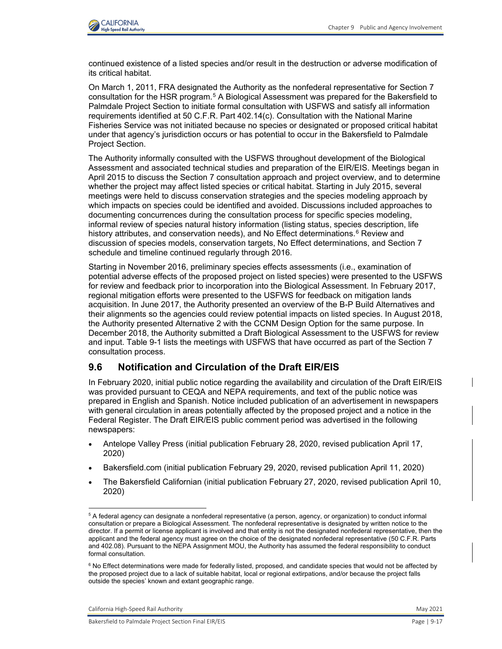

continued existence of a listed species and/or result in the destruction or adverse modification of its critical habitat.

On March 1, 2011, FRA designated the Authority as the nonfederal representative for Section 7 consultation for the HSR program.<sup>[5](#page-16-0)</sup> A Biological Assessment was prepared for the Bakersfield to Palmdale Project Section to initiate formal consultation with USFWS and satisfy all information requirements identified at 50 C.F.R. Part 402.14(c). Consultation with the National Marine Fisheries Service was not initiated because no species or designated or proposed critical habitat under that agency's jurisdiction occurs or has potential to occur in the Bakersfield to Palmdale Project Section.

The Authority informally consulted with the USFWS throughout development of the Biological Assessment and associated technical studies and preparation of the EIR/EIS. Meetings began in April 2015 to discuss the Section 7 consultation approach and project overview, and to determine whether the project may affect listed species or critical habitat. Starting in July 2015, several meetings were held to discuss conservation strategies and the species modeling approach by which impacts on species could be identified and avoided. Discussions included approaches to documenting concurrences during the consultation process for specific species modeling, informal review of species natural history information (listing status, species description, life history attributes, and conservation needs), and No Effect determinations.<sup>[6](#page-16-1)</sup> Review and discussion of species models, conservation targets, No Effect determinations, and Section 7 schedule and timeline continued regularly through 2016.

Starting in November 2016, preliminary species effects assessments (i.e., examination of potential adverse effects of the proposed project on listed species) were presented to the USFWS for review and feedback prior to incorporation into the Biological Assessment. In February 2017, regional mitigation efforts were presented to the USFWS for feedback on mitigation lands acquisition. In June 2017, the Authority presented an overview of the B-P Build Alternatives and their alignments so the agencies could review potential impacts on listed species. In August 2018, the Authority presented Alternative 2 with the CCNM Design Option for the same purpose. In December 2018, the Authority submitted a Draft Biological Assessment to the USFWS for review and input. [Table 9-1](#page-23-0) lists the meetings with USFWS that have occurred as part of the Section 7 consultation process.

### **9.6 Notification and Circulation of the Draft EIR/EIS**

In February 2020, initial public notice regarding the availability and circulation of the Draft EIR/EIS was provided pursuant to CEQA and NEPA requirements, and text of the public notice was prepared in English and Spanish. Notice included publication of an advertisement in newspapers with general circulation in areas potentially affected by the proposed project and a notice in the Federal Register. The Draft EIR/EIS public comment period was advertised in the following newspapers:

- Antelope Valley Press (initial publication February 28, 2020, revised publication April 17, 2020)
- Bakersfield.com (initial publication February 29, 2020, revised publication April 11, 2020)
- The Bakersfield Californian (initial publication February 27, 2020, revised publication April 10, 2020)

California High-Speed Rail Authority **May 2021** 2021

<span id="page-16-0"></span> $^5$  A federal agency can designate a nonfederal representative (a person, agency, or organization) to conduct informal consultation or prepare a Biological Assessment. The nonfederal representative is designated by written notice to the director. If a permit or license applicant is involved and that entity is not the designated nonfederal representative, then the applicant and the federal agency must agree on the choice of the designated nonfederal representative (50 C.F.R. Parts and 402.08). Pursuant to the NEPA Assignment MOU, the Authority has assumed the federal responsibility to conduct formal consultation.

<span id="page-16-1"></span> $^6$  No Effect determinations were made for federally listed, proposed, and candidate species that would not be affected by the proposed project due to a lack of suitable habitat, local or regional extirpations, and/or because the project falls outside the species' known and extant geographic range.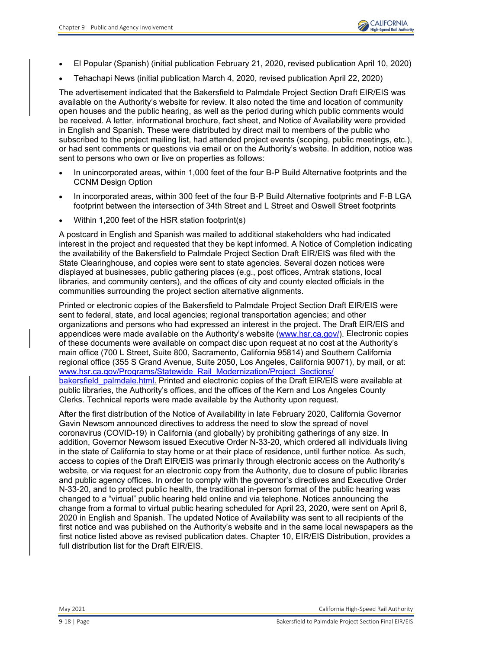- El Popular (Spanish) (initial publication February 21, 2020, revised publication April 10, 2020)
- Tehachapi News (initial publication March 4, 2020, revised publication April 22, 2020)

The advertisement indicated that the Bakersfield to Palmdale Project Section Draft EIR/EIS was available on the Authority's website for review. It also noted the time and location of community open houses and the public hearing, as well as the period during which public comments would be received. A letter, informational brochure, fact sheet, and Notice of Availability were provided in English and Spanish. These were distributed by direct mail to members of the public who subscribed to the project mailing list, had attended project events (scoping, public meetings, etc.), or had sent comments or questions via email or on the Authority's website. In addition, notice was sent to persons who own or live on properties as follows:

- In unincorporated areas, within 1,000 feet of the four B-P Build Alternative footprints and the CCNM Design Option
- In incorporated areas, within 300 feet of the four B-P Build Alternative footprints and F-B LGA footprint between the intersection of 34th Street and L Street and Oswell Street footprints
- Within 1,200 feet of the HSR station footprint(s)

A postcard in English and Spanish was mailed to additional stakeholders who had indicated interest in the project and requested that they be kept informed. A Notice of Completion indicating the availability of the Bakersfield to Palmdale Project Section Draft EIR/EIS was filed with the State Clearinghouse, and copies were sent to state agencies. Several dozen notices were displayed at businesses, public gathering places (e.g., post offices, Amtrak stations, local libraries, and community centers), and the offices of city and county elected officials in the communities surrounding the project section alternative alignments.

Printed or electronic copies of the Bakersfield to Palmdale Project Section Draft EIR/EIS were sent to federal, state, and local agencies; regional transportation agencies; and other organizations and persons who had expressed an interest in the project. The Draft EIR/EIS and appendices were made available on the Authority's website [\(www.hsr.ca.gov/\)](http://www.hsr.ca.gov/). Electronic copies of these documents were available on compact disc upon request at no cost at the Authority's main office (700 L Street, Suite 800, Sacramento, California 95814) and Southern California regional office (355 S Grand Avenue, Suite 2050, Los Angeles, California 90071), by mail, or at: [www.hsr.ca.gov/Programs/Statewide\\_Rail\\_Modernization/Project\\_Sections/](https://www.hsr.ca.gov/Programs/Statewide_Rail_Modernization/Project_Sections/bakersfield_palmdale.html) bakersfield palmdale.html. Printed and electronic copies of the Draft EIR/EIS were available at public libraries, the Authority's offices, and the offices of the Kern and Los Angeles County Clerks. Technical reports were made available by the Authority upon request.

After the first distribution of the Notice of Availability in late February 2020, California Governor Gavin Newsom announced directives to address the need to slow the spread of novel coronavirus (COVID-19) in California (and globally) by prohibiting gatherings of any size. In addition, Governor Newsom issued Executive Order N-33-20, which ordered all individuals living in the state of California to stay home or at their place of residence, until further notice. As such, access to copies of the Draft EIR/EIS was primarily through electronic access on the Authority's website, or via request for an electronic copy from the Authority, due to closure of public libraries and public agency offices. In order to comply with the governor's directives and Executive Order N-33-20, and to protect public health, the traditional in-person format of the public hearing was changed to a "virtual" public hearing held online and via telephone. Notices announcing the change from a formal to virtual public hearing scheduled for April 23, 2020, were sent on April 8, 2020 in English and Spanish. The updated Notice of Availability was sent to all recipients of the first notice and was published on the Authority's website and in the same local newspapers as the first notice listed above as revised publication dates. Chapter 10, EIR/EIS Distribution, provides a full distribution list for the Draft EIR/EIS.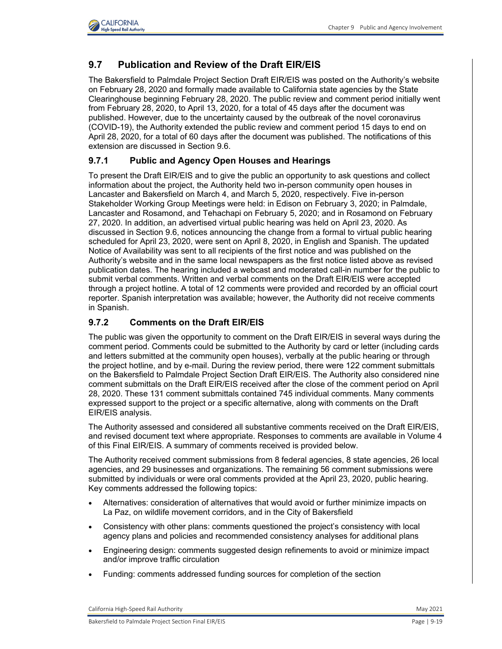

## **9.7 Publication and Review of the Draft EIR/EIS**

The Bakersfield to Palmdale Project Section Draft EIR/EIS was posted on the Authority's website on February 28, 2020 and formally made available to California state agencies by the State Clearinghouse beginning February 28, 2020. The public review and comment period initially went from February 28, 2020, to April 13, 2020, for a total of 45 days after the document was published. However, due to the uncertainty caused by the outbreak of the novel coronavirus (COVID-19), the Authority extended the public review and comment period 15 days to end on April 28, 2020, for a total of 60 days after the document was published. The notifications of this extension are discussed in Section 9.6.

### **9.7.1 Public and Agency Open Houses and Hearings**

To present the Draft EIR/EIS and to give the public an opportunity to ask questions and collect information about the project, the Authority held two in-person community open houses in Lancaster and Bakersfield on March 4, and March 5, 2020, respectively. Five in-person Stakeholder Working Group Meetings were held: in Edison on February 3, 2020; in Palmdale, Lancaster and Rosamond, and Tehachapi on February 5, 2020; and in Rosamond on February 27, 2020. In addition, an advertised virtual public hearing was held on April 23, 2020. As discussed in Section 9.6, notices announcing the change from a formal to virtual public hearing scheduled for April 23, 2020, were sent on April 8, 2020, in English and Spanish. The updated Notice of Availability was sent to all recipients of the first notice and was published on the Authority's website and in the same local newspapers as the first notice listed above as revised publication dates. The hearing included a webcast and moderated call-in number for the public to submit verbal comments. Written and verbal comments on the Draft EIR/EIS were accepted through a project hotline. A total of 12 comments were provided and recorded by an official court reporter. Spanish interpretation was available; however, the Authority did not receive comments in Spanish.

#### **9.7.2 Comments on the Draft EIR/EIS**

The public was given the opportunity to comment on the Draft EIR/EIS in several ways during the comment period. Comments could be submitted to the Authority by card or letter (including cards and letters submitted at the community open houses), verbally at the public hearing or through the project hotline, and by e-mail. During the review period, there were 122 comment submittals on the Bakersfield to Palmdale Project Section Draft EIR/EIS. The Authority also considered nine comment submittals on the Draft EIR/EIS received after the close of the comment period on April 28, 2020. These 131 comment submittals contained 745 individual comments. Many comments expressed support to the project or a specific alternative, along with comments on the Draft EIR/EIS analysis.

The Authority assessed and considered all substantive comments received on the Draft EIR/EIS, and revised document text where appropriate. Responses to comments are available in Volume 4 of this Final EIR/EIS. A summary of comments received is provided below.

The Authority received comment submissions from 8 federal agencies, 8 state agencies, 26 local agencies, and 29 businesses and organizations. The remaining 56 comment submissions were submitted by individuals or were oral comments provided at the April 23, 2020, public hearing. Key comments addressed the following topics:

- Alternatives: consideration of alternatives that would avoid or further minimize impacts on La Paz, on wildlife movement corridors, and in the City of Bakersfield
- Consistency with other plans: comments questioned the project's consistency with local agency plans and policies and recommended consistency analyses for additional plans
- Engineering design: comments suggested design refinements to avoid or minimize impact and/or improve traffic circulation
- Funding: comments addressed funding sources for completion of the section

California High-Speed Rail Authority **May 2021** 2021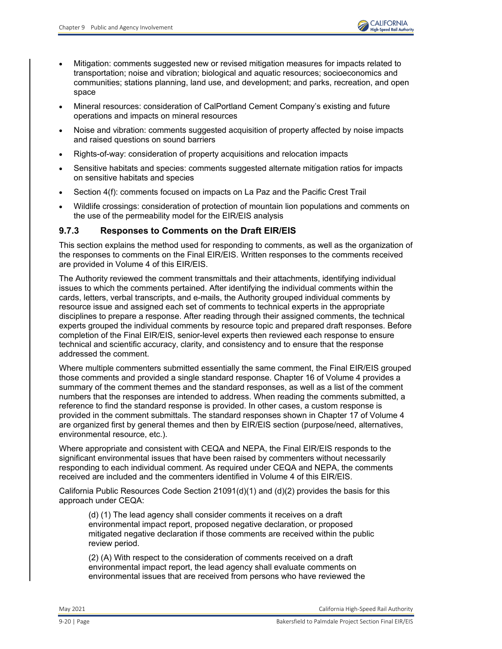- Mitigation: comments suggested new or revised mitigation measures for impacts related to transportation; noise and vibration; biological and aquatic resources; socioeconomics and communities; stations planning, land use, and development; and parks, recreation, and open space
- Mineral resources: consideration of CalPortland Cement Company's existing and future operations and impacts on mineral resources
- Noise and vibration: comments suggested acquisition of property affected by noise impacts and raised questions on sound barriers
- Rights-of-way: consideration of property acquisitions and relocation impacts
- Sensitive habitats and species: comments suggested alternate mitigation ratios for impacts on sensitive habitats and species
- Section 4(f): comments focused on impacts on La Paz and the Pacific Crest Trail
- Wildlife crossings: consideration of protection of mountain lion populations and comments on the use of the permeability model for the EIR/EIS analysis

### **9.7.3 Responses to Comments on the Draft EIR/EIS**

This section explains the method used for responding to comments, as well as the organization of the responses to comments on the Final EIR/EIS. Written responses to the comments received are provided in Volume 4 of this EIR/EIS.

The Authority reviewed the comment transmittals and their attachments, identifying individual issues to which the comments pertained. After identifying the individual comments within the cards, letters, verbal transcripts, and e-mails, the Authority grouped individual comments by resource issue and assigned each set of comments to technical experts in the appropriate disciplines to prepare a response. After reading through their assigned comments, the technical experts grouped the individual comments by resource topic and prepared draft responses. Before completion of the Final EIR/EIS, senior-level experts then reviewed each response to ensure technical and scientific accuracy, clarity, and consistency and to ensure that the response addressed the comment.

Where multiple commenters submitted essentially the same comment, the Final EIR/EIS grouped those comments and provided a single standard response. Chapter 16 of Volume 4 provides a summary of the comment themes and the standard responses, as well as a list of the comment numbers that the responses are intended to address. When reading the comments submitted, a reference to find the standard response is provided. In other cases, a custom response is provided in the comment submittals. The standard responses shown in Chapter 17 of Volume 4 are organized first by general themes and then by EIR/EIS section (purpose/need, alternatives, environmental resource, etc.).

Where appropriate and consistent with CEQA and NEPA, the Final EIR/EIS responds to the significant environmental issues that have been raised by commenters without necessarily responding to each individual comment. As required under CEQA and NEPA, the comments received are included and the commenters identified in Volume 4 of this EIR/EIS.

California Public Resources Code Section 21091(d)(1) and (d)(2) provides the basis for this approach under CEQA:

(d) (1) The lead agency shall consider comments it receives on a draft environmental impact report, proposed negative declaration, or proposed mitigated negative declaration if those comments are received within the public review period.

(2) (A) With respect to the consideration of comments received on a draft environmental impact report, the lead agency shall evaluate comments on environmental issues that are received from persons who have reviewed the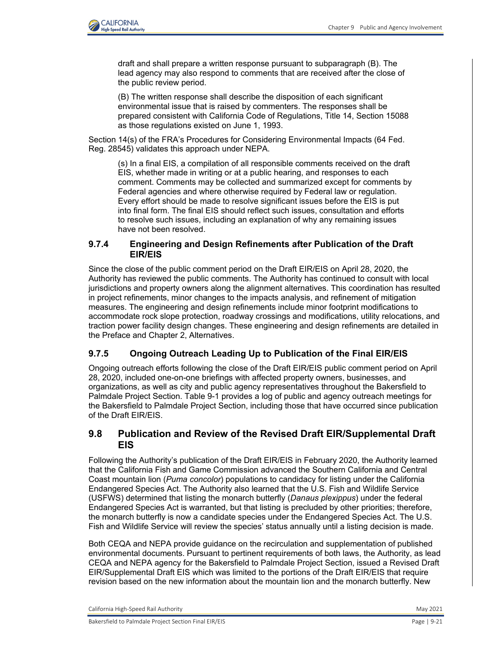

draft and shall prepare a written response pursuant to subparagraph (B). The lead agency may also respond to comments that are received after the close of the public review period.

(B) The written response shall describe the disposition of each significant environmental issue that is raised by commenters. The responses shall be prepared consistent with California Code of Regulations, Title 14, Section 15088 as those regulations existed on June 1, 1993.

Section 14(s) of the FRA's Procedures for Considering Environmental Impacts (64 Fed. Reg. 28545) validates this approach under NEPA.

(s) In a final EIS, a compilation of all responsible comments received on the draft EIS, whether made in writing or at a public hearing, and responses to each comment. Comments may be collected and summarized except for comments by Federal agencies and where otherwise required by Federal law or regulation. Every effort should be made to resolve significant issues before the EIS is put into final form. The final EIS should reflect such issues, consultation and efforts to resolve such issues, including an explanation of why any remaining issues have not been resolved.

#### **9.7.4 Engineering and Design Refinements after Publication of the Draft EIR/EIS**

Since the close of the public comment period on the Draft EIR/EIS on April 28, 2020, the Authority has reviewed the public comments. The Authority has continued to consult with local jurisdictions and property owners along the alignment alternatives. This coordination has resulted in project refinements, minor changes to the impacts analysis, and refinement of mitigation measures. The engineering and design refinements include minor footprint modifications to accommodate rock slope protection, roadway crossings and modifications, utility relocations, and traction power facility design changes. These engineering and design refinements are detailed in the Preface and Chapter 2, Alternatives.

### **9.7.5 Ongoing Outreach Leading Up to Publication of the Final EIR/EIS**

Ongoing outreach efforts following the close of the Draft EIR/EIS public comment period on April 28, 2020, included one-on-one briefings with affected property owners, businesses, and organizations, as well as city and public agency representatives throughout the Bakersfield to Palmdale Project Section. [Table 9-1](#page-23-0) provides a log of public and agency outreach meetings for the Bakersfield to Palmdale Project Section, including those that have occurred since publication of the Draft EIR/EIS.

### **9.8 Publication and Review of the Revised Draft EIR/Supplemental Draft EIS**

Following the Authority's publication of the Draft EIR/EIS in February 2020, the Authority learned that the California Fish and Game Commission advanced the Southern California and Central Coast mountain lion (*Puma concolor*) populations to candidacy for listing under the California Endangered Species Act. The Authority also learned that the U.S. Fish and Wildlife Service (USFWS) determined that listing the monarch butterfly (*Danaus plexippus*) under the federal Endangered Species Act is warranted, but that listing is precluded by other priorities; therefore, the monarch butterfly is now a candidate species under the Endangered Species Act. The U.S. Fish and Wildlife Service will review the species' status annually until a listing decision is made.

Both CEQA and NEPA provide guidance on the recirculation and supplementation of published environmental documents. Pursuant to pertinent requirements of both laws, the Authority, as lead CEQA and NEPA agency for the Bakersfield to Palmdale Project Section, issued a Revised Draft EIR/Supplemental Draft EIS which was limited to the portions of the Draft EIR/EIS that require revision based on the new information about the mountain lion and the monarch butterfly. New

California High-Speed Rail Authority **May 2021** 2021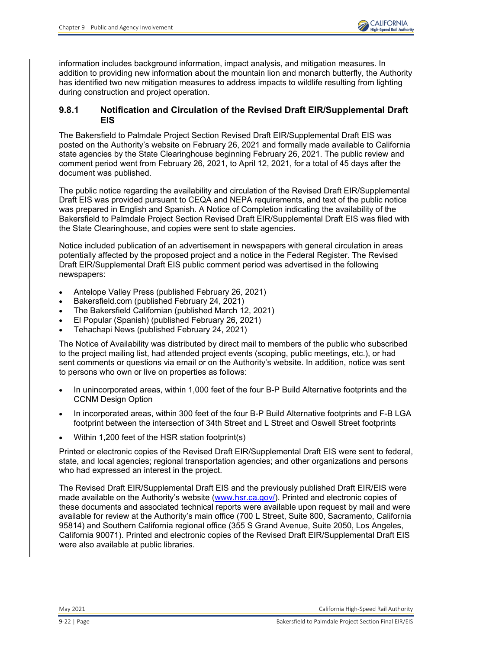information includes background information, impact analysis, and mitigation measures. In addition to providing new information about the mountain lion and monarch butterfly, the Authority has identified two new mitigation measures to address impacts to wildlife resulting from lighting during construction and project operation.

#### **9.8.1 Notification and Circulation of the Revised Draft EIR/Supplemental Draft EIS**

The Bakersfield to Palmdale Project Section Revised Draft EIR/Supplemental Draft EIS was posted on the Authority's website on February 26, 2021 and formally made available to California state agencies by the State Clearinghouse beginning February 26, 2021. The public review and comment period went from February 26, 2021, to April 12, 2021, for a total of 45 days after the document was published.

The public notice regarding the availability and circulation of the Revised Draft EIR/Supplemental Draft EIS was provided pursuant to CEQA and NEPA requirements, and text of the public notice was prepared in English and Spanish. A Notice of Completion indicating the availability of the Bakersfield to Palmdale Project Section Revised Draft EIR/Supplemental Draft EIS was filed with the State Clearinghouse, and copies were sent to state agencies.

Notice included publication of an advertisement in newspapers with general circulation in areas potentially affected by the proposed project and a notice in the Federal Register. The Revised Draft EIR/Supplemental Draft EIS public comment period was advertised in the following newspapers:

- Antelope Valley Press (published February 26, 2021)
- Bakersfield.com (published February 24, 2021)
- The Bakersfield Californian (published March 12, 2021)
- El Popular (Spanish) (published February 26, 2021)
- Tehachapi News (published February 24, 2021)

The Notice of Availability was distributed by direct mail to members of the public who subscribed to the project mailing list, had attended project events (scoping, public meetings, etc.), or had sent comments or questions via email or on the Authority's website. In addition, notice was sent to persons who own or live on properties as follows:

- In unincorporated areas, within 1,000 feet of the four B-P Build Alternative footprints and the CCNM Design Option
- In incorporated areas, within 300 feet of the four B-P Build Alternative footprints and F-B LGA footprint between the intersection of 34th Street and L Street and Oswell Street footprints
- Within 1,200 feet of the HSR station footprint(s)

Printed or electronic copies of the Revised Draft EIR/Supplemental Draft EIS were sent to federal, state, and local agencies; regional transportation agencies; and other organizations and persons who had expressed an interest in the project.

The Revised Draft EIR/Supplemental Draft EIS and the previously published Draft EIR/EIS were made available on the Authority's website [\(www.hsr.ca.gov/\)](http://www.hsr.ca.gov/). Printed and electronic copies of these documents and associated technical reports were available upon request by mail and were available for review at the Authority's main office (700 L Street, Suite 800, Sacramento, California 95814) and Southern California regional office (355 S Grand Avenue, Suite 2050, Los Angeles, California 90071). Printed and electronic copies of the Revised Draft EIR/Supplemental Draft EIS were also available at public libraries.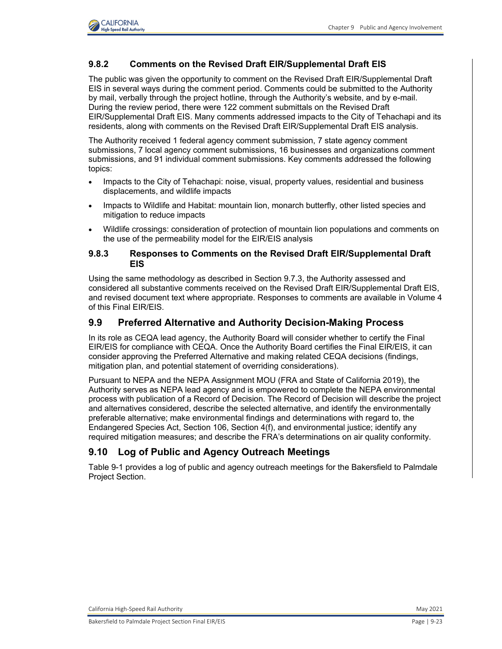

### **9.8.2 Comments on the Revised Draft EIR/Supplemental Draft EIS**

The public was given the opportunity to comment on the Revised Draft EIR/Supplemental Draft EIS in several ways during the comment period. Comments could be submitted to the Authority by mail, verbally through the project hotline, through the Authority's website, and by e-mail. During the review period, there were 122 comment submittals on the Revised Draft EIR/Supplemental Draft EIS. Many comments addressed impacts to the City of Tehachapi and its residents, along with comments on the Revised Draft EIR/Supplemental Draft EIS analysis.

The Authority received 1 federal agency comment submission, 7 state agency comment submissions, 7 local agency comment submissions, 16 businesses and organizations comment submissions, and 91 individual comment submissions. Key comments addressed the following topics:

- Impacts to the City of Tehachapi: noise, visual, property values, residential and business displacements, and wildlife impacts
- Impacts to Wildlife and Habitat: mountain lion, monarch butterfly, other listed species and mitigation to reduce impacts
- Wildlife crossings: consideration of protection of mountain lion populations and comments on the use of the permeability model for the EIR/EIS analysis

#### **9.8.3 Responses to Comments on the Revised Draft EIR/Supplemental Draft EIS**

Using the same methodology as described in Section 9.7.3, the Authority assessed and considered all substantive comments received on the Revised Draft EIR/Supplemental Draft EIS, and revised document text where appropriate. Responses to comments are available in Volume 4 of this Final EIR/EIS.

#### **9.9 Preferred Alternative and Authority Decision-Making Process**

In its role as CEQA lead agency, the Authority Board will consider whether to certify the Final EIR/EIS for compliance with CEQA. Once the Authority Board certifies the Final EIR/EIS, it can consider approving the Preferred Alternative and making related CEQA decisions (findings, mitigation plan, and potential statement of overriding considerations).

Pursuant to NEPA and the NEPA Assignment MOU (FRA and State of California 2019), the Authority serves as NEPA lead agency and is empowered to complete the NEPA environmental process with publication of a Record of Decision. The Record of Decision will describe the project and alternatives considered, describe the selected alternative, and identify the environmentally preferable alternative; make environmental findings and determinations with regard to, the Endangered Species Act, Section 106, Section 4(f), and environmental justice; identify any required mitigation measures; and describe the FRA's determinations on air quality conformity.

## **[9.10](#page-23-0) Log of Public and Agency Outreach Meetings**

Table 9-1 provides a log of public and agency outreach meetings for the Bakersfield to Palmdale Project Section.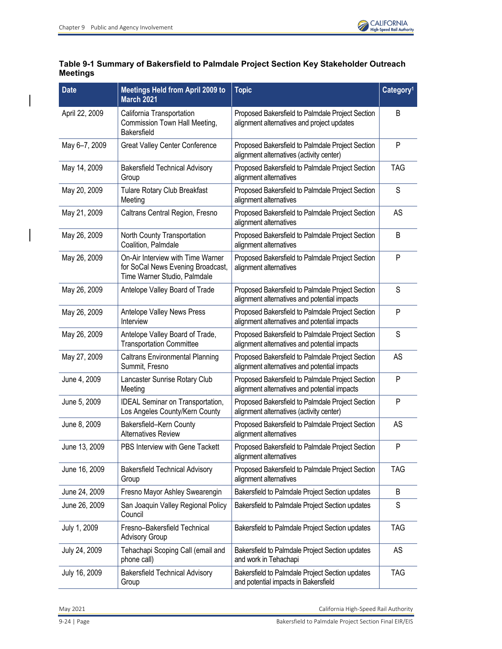

## <span id="page-23-0"></span>**Table 9-1 Summary of Bakersfield to Palmdale Project Section Key Stakeholder Outreach Meetings**

| <b>Date</b>    | <b>Meetings Held from April 2009 to</b><br><b>March 2021</b>                                           | <b>Topic</b>                                                                                     | Category <sup>1</sup> |
|----------------|--------------------------------------------------------------------------------------------------------|--------------------------------------------------------------------------------------------------|-----------------------|
| April 22, 2009 | California Transportation<br>Commission Town Hall Meeting,<br>Bakersfield                              | Proposed Bakersfield to Palmdale Project Section<br>alignment alternatives and project updates   | B                     |
| May 6-7, 2009  | <b>Great Valley Center Conference</b>                                                                  | Proposed Bakersfield to Palmdale Project Section<br>alignment alternatives (activity center)     | P                     |
| May 14, 2009   | <b>Bakersfield Technical Advisory</b><br>Group                                                         | Proposed Bakersfield to Palmdale Project Section<br>alignment alternatives                       | <b>TAG</b>            |
| May 20, 2009   | <b>Tulare Rotary Club Breakfast</b><br>Meeting                                                         | Proposed Bakersfield to Palmdale Project Section<br>alignment alternatives                       | S                     |
| May 21, 2009   | Caltrans Central Region, Fresno                                                                        | Proposed Bakersfield to Palmdale Project Section<br>alignment alternatives                       | AS                    |
| May 26, 2009   | North County Transportation<br>Coalition, Palmdale                                                     | Proposed Bakersfield to Palmdale Project Section<br>alignment alternatives                       | B                     |
| May 26, 2009   | On-Air Interview with Time Warner<br>for SoCal News Evening Broadcast,<br>Time Warner Studio, Palmdale | Proposed Bakersfield to Palmdale Project Section<br>alignment alternatives                       | P                     |
| May 26, 2009   | Antelope Valley Board of Trade                                                                         | Proposed Bakersfield to Palmdale Project Section<br>alignment alternatives and potential impacts | S                     |
| May 26, 2009   | Antelope Valley News Press<br>Interview                                                                | Proposed Bakersfield to Palmdale Project Section<br>alignment alternatives and potential impacts | P                     |
| May 26, 2009   | Antelope Valley Board of Trade,<br><b>Transportation Committee</b>                                     | Proposed Bakersfield to Palmdale Project Section<br>alignment alternatives and potential impacts | S                     |
| May 27, 2009   | <b>Caltrans Environmental Planning</b><br>Summit, Fresno                                               | Proposed Bakersfield to Palmdale Project Section<br>alignment alternatives and potential impacts | AS                    |
| June 4, 2009   | Lancaster Sunrise Rotary Club<br>Meeting                                                               | Proposed Bakersfield to Palmdale Project Section<br>alignment alternatives and potential impacts | P                     |
| June 5, 2009   | <b>IDEAL Seminar on Transportation,</b><br>Los Angeles County/Kern County                              | Proposed Bakersfield to Palmdale Project Section<br>alignment alternatives (activity center)     | P                     |
| June 8, 2009   | Bakersfield-Kern County<br><b>Alternatives Review</b>                                                  | Proposed Bakersfield to Palmdale Project Section<br>alignment alternatives                       | AS                    |
| June 13, 2009  | PBS Interview with Gene Tackett                                                                        | Proposed Bakersfield to Palmdale Project Section<br>alignment alternatives                       | P                     |
| June 16, 2009  | <b>Bakersfield Technical Advisory</b><br>Group                                                         | Proposed Bakersfield to Palmdale Project Section<br>alignment alternatives                       | <b>TAG</b>            |
| June 24, 2009  | Fresno Mayor Ashley Swearengin                                                                         | Bakersfield to Palmdale Project Section updates                                                  | B                     |
| June 26, 2009  | San Joaquin Valley Regional Policy<br>Council                                                          | Bakersfield to Palmdale Project Section updates                                                  | S                     |
| July 1, 2009   | Fresno-Bakersfield Technical<br><b>Advisory Group</b>                                                  | Bakersfield to Palmdale Project Section updates                                                  | <b>TAG</b>            |
| July 24, 2009  | Tehachapi Scoping Call (email and<br>phone call)                                                       | Bakersfield to Palmdale Project Section updates<br>and work in Tehachapi                         | AS                    |
| July 16, 2009  | <b>Bakersfield Technical Advisory</b><br>Group                                                         | Bakersfield to Palmdale Project Section updates<br>and potential impacts in Bakersfield          | <b>TAG</b>            |

May 2021 **California High-Speed Rail Authority** California High-Speed Rail Authority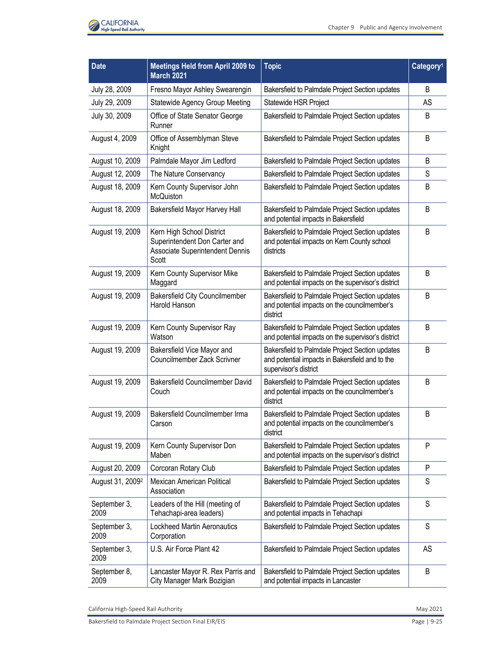

| <b>Date</b>                  | <b>Meetings Held from April 2009 to</b><br><b>March 2021</b>                                           | <b>Topic</b>                                                                                                                | Category <sup>1</sup> |
|------------------------------|--------------------------------------------------------------------------------------------------------|-----------------------------------------------------------------------------------------------------------------------------|-----------------------|
| July 28, 2009                | Fresno Mayor Ashley Swearengin                                                                         | Bakersfield to Palmdale Project Section updates                                                                             | B                     |
| July 29, 2009                | <b>Statewide Agency Group Meeting</b>                                                                  | Statewide HSR Project                                                                                                       | AS                    |
| July 30, 2009                | Office of State Senator George<br>Runner                                                               | Bakersfield to Palmdale Project Section updates                                                                             | B                     |
| August 4, 2009               | Office of Assemblyman Steve<br>Knight                                                                  | Bakersfield to Palmdale Project Section updates                                                                             | B                     |
| August 10, 2009              | Palmdale Mayor Jim Ledford                                                                             | Bakersfield to Palmdale Project Section updates                                                                             | B                     |
| August 12, 2009              | The Nature Conservancy                                                                                 | Bakersfield to Palmdale Project Section updates                                                                             | S                     |
| August 18, 2009              | Kern County Supervisor John<br>McQuiston                                                               | Bakersfield to Palmdale Project Section updates                                                                             | B                     |
| August 18, 2009              | Bakersfield Mayor Harvey Hall                                                                          | Bakersfield to Palmdale Project Section updates<br>and potential impacts in Bakersfield                                     | B                     |
| August 19, 2009              | Kern High School District<br>Superintendent Don Carter and<br>Associate Superintendent Dennis<br>Scott | Bakersfield to Palmdale Project Section updates<br>and potential impacts on Kern County school<br>districts                 | B                     |
| August 19, 2009              | Kern County Supervisor Mike<br>Maggard                                                                 | Bakersfield to Palmdale Project Section updates<br>and potential impacts on the supervisor's district                       | B                     |
| August 19, 2009              | <b>Bakersfield City Councilmember</b><br>Harold Hanson                                                 | Bakersfield to Palmdale Project Section updates<br>and potential impacts on the councilmember's<br>district                 | B                     |
| August 19, 2009              | Kern County Supervisor Ray<br>Watson                                                                   | Bakersfield to Palmdale Project Section updates<br>and potential impacts on the supervisor's district                       | B                     |
| August 19, 2009              | Bakersfield Vice Mayor and<br>Councilmember Zack Scrivner                                              | Bakersfield to Palmdale Project Section updates<br>and potential impacts in Bakersfield and to the<br>supervisor's district | B                     |
| August 19, 2009              | Bakersfield Councilmember David<br>Couch                                                               | Bakersfield to Palmdale Project Section updates<br>and potential impacts on the councilmember's<br>district                 | B                     |
| August 19, 2009              | Bakersfield Councilmember Irma<br>Carson                                                               | Bakersfield to Palmdale Project Section updates<br>and potential impacts on the councilmember's<br>district                 | B                     |
| August 19, 2009              | Kern County Supervisor Don<br>Maben                                                                    | Bakersfield to Palmdale Project Section updates<br>and potential impacts on the supervisor's district                       | $\mathsf{P}$          |
| August 20, 2009              | Corcoran Rotary Club                                                                                   | Bakersfield to Palmdale Project Section updates                                                                             | P                     |
| August 31, 2009 <sup>2</sup> | Mexican American Political<br>Association                                                              | Bakersfield to Palmdale Project Section updates                                                                             | S                     |
| September 3,<br>2009         | Leaders of the Hill (meeting of<br>Tehachapi-area leaders)                                             | Bakersfield to Palmdale Project Section updates<br>and potential impacts in Tehachapi                                       | S                     |
| September 3,<br>2009         | <b>Lockheed Martin Aeronautics</b><br>Corporation                                                      | Bakersfield to Palmdale Project Section updates                                                                             | S                     |
| September 3,<br>2009         | U.S. Air Force Plant 42                                                                                | Bakersfield to Palmdale Project Section updates                                                                             | <b>AS</b>             |
| September 8,<br>2009         | Lancaster Mayor R. Rex Parris and<br>City Manager Mark Bozigian                                        | Bakersfield to Palmdale Project Section updates<br>and potential impacts in Lancaster                                       | B                     |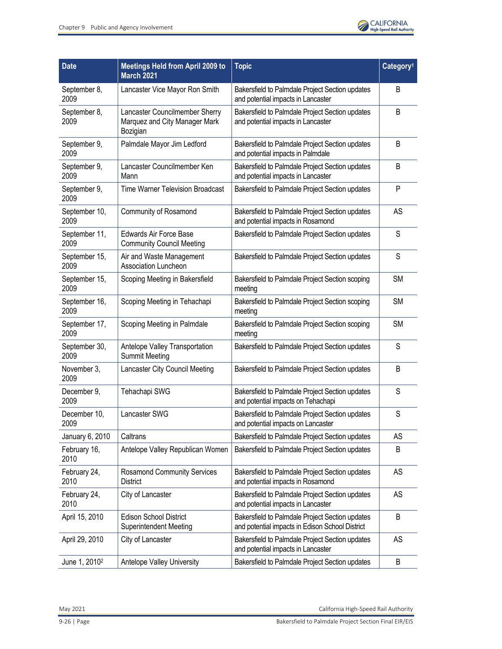

| <b>Date</b>               | <b>Meetings Held from April 2009 to</b><br><b>March 2021</b>                | <b>Topic</b>                                                                                       | Category <sup>1</sup> |
|---------------------------|-----------------------------------------------------------------------------|----------------------------------------------------------------------------------------------------|-----------------------|
| September 8,<br>2009      | Lancaster Vice Mayor Ron Smith                                              | Bakersfield to Palmdale Project Section updates<br>and potential impacts in Lancaster              | B                     |
| September 8,<br>2009      | Lancaster Councilmember Sherry<br>Marquez and City Manager Mark<br>Bozigian | Bakersfield to Palmdale Project Section updates<br>and potential impacts in Lancaster              | B                     |
| September 9,<br>2009      | Palmdale Mayor Jim Ledford                                                  | Bakersfield to Palmdale Project Section updates<br>and potential impacts in Palmdale               | B                     |
| September 9,<br>2009      | Lancaster Councilmember Ken<br>Mann                                         | Bakersfield to Palmdale Project Section updates<br>and potential impacts in Lancaster              | B                     |
| September 9,<br>2009      | <b>Time Warner Television Broadcast</b>                                     | Bakersfield to Palmdale Project Section updates                                                    | P                     |
| September 10,<br>2009     | Community of Rosamond                                                       | Bakersfield to Palmdale Project Section updates<br>and potential impacts in Rosamond               | AS                    |
| September 11,<br>2009     | <b>Edwards Air Force Base</b><br><b>Community Council Meeting</b>           | Bakersfield to Palmdale Project Section updates                                                    | S                     |
| September 15,<br>2009     | Air and Waste Management<br><b>Association Luncheon</b>                     | Bakersfield to Palmdale Project Section updates                                                    | S                     |
| September 15,<br>2009     | Scoping Meeting in Bakersfield                                              | Bakersfield to Palmdale Project Section scoping<br>meeting                                         | <b>SM</b>             |
| September 16,<br>2009     | Scoping Meeting in Tehachapi                                                | Bakersfield to Palmdale Project Section scoping<br>meeting                                         | <b>SM</b>             |
| September 17,<br>2009     | Scoping Meeting in Palmdale                                                 | Bakersfield to Palmdale Project Section scoping<br>meeting                                         | <b>SM</b>             |
| September 30,<br>2009     | Antelope Valley Transportation<br><b>Summit Meeting</b>                     | Bakersfield to Palmdale Project Section updates                                                    | S                     |
| November 3,<br>2009       | Lancaster City Council Meeting                                              | Bakersfield to Palmdale Project Section updates                                                    | B                     |
| December 9,<br>2009       | Tehachapi SWG                                                               | Bakersfield to Palmdale Project Section updates<br>and potential impacts on Tehachapi              | S                     |
| December 10,<br>2009      | Lancaster SWG                                                               | Bakersfield to Palmdale Project Section updates<br>and potential impacts on Lancaster              | S                     |
| January 6, 2010           | Caltrans                                                                    | Bakersfield to Palmdale Project Section updates                                                    | AS                    |
| February 16,<br>2010      | Antelope Valley Republican Women                                            | Bakersfield to Palmdale Project Section updates                                                    | B                     |
| February 24,<br>2010      | <b>Rosamond Community Services</b><br><b>District</b>                       | Bakersfield to Palmdale Project Section updates<br>and potential impacts in Rosamond               | AS                    |
| February 24,<br>2010      | City of Lancaster                                                           | Bakersfield to Palmdale Project Section updates<br>and potential impacts in Lancaster              | AS                    |
| April 15, 2010            | <b>Edison School District</b><br><b>Superintendent Meeting</b>              | Bakersfield to Palmdale Project Section updates<br>and potential impacts in Edison School District | B                     |
| April 29, 2010            | City of Lancaster                                                           | Bakersfield to Palmdale Project Section updates<br>and potential impacts in Lancaster              | AS                    |
| June 1, 2010 <sup>2</sup> | <b>Antelope Valley University</b>                                           | Bakersfield to Palmdale Project Section updates                                                    | B                     |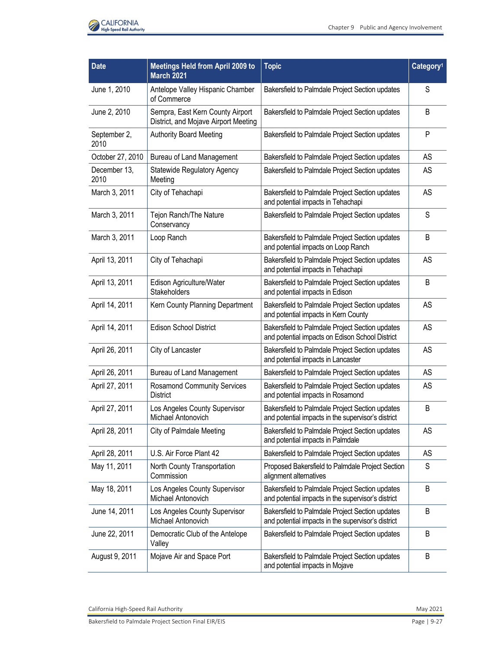

| <b>Date</b>          | <b>Meetings Held from April 2009 to</b><br><b>March 2021</b>             | <b>Topic</b>                                                                                          | Category <sup>1</sup> |
|----------------------|--------------------------------------------------------------------------|-------------------------------------------------------------------------------------------------------|-----------------------|
| June 1, 2010         | Antelope Valley Hispanic Chamber<br>of Commerce                          | Bakersfield to Palmdale Project Section updates                                                       | S                     |
| June 2, 2010         | Sempra, East Kern County Airport<br>District, and Mojave Airport Meeting | Bakersfield to Palmdale Project Section updates                                                       | B                     |
| September 2,<br>2010 | <b>Authority Board Meeting</b>                                           | Bakersfield to Palmdale Project Section updates                                                       | P                     |
| October 27, 2010     | Bureau of Land Management                                                | Bakersfield to Palmdale Project Section updates                                                       | AS                    |
| December 13,<br>2010 | <b>Statewide Regulatory Agency</b><br>Meeting                            | Bakersfield to Palmdale Project Section updates                                                       | AS                    |
| March 3, 2011        | City of Tehachapi                                                        | Bakersfield to Palmdale Project Section updates<br>and potential impacts in Tehachapi                 | AS                    |
| March 3, 2011        | Tejon Ranch/The Nature<br>Conservancy                                    | Bakersfield to Palmdale Project Section updates                                                       | S                     |
| March 3, 2011        | Loop Ranch                                                               | Bakersfield to Palmdale Project Section updates<br>and potential impacts on Loop Ranch                | B                     |
| April 13, 2011       | City of Tehachapi                                                        | Bakersfield to Palmdale Project Section updates<br>and potential impacts in Tehachapi                 | AS                    |
| April 13, 2011       | Edison Agriculture/Water<br>Stakeholders                                 | Bakersfield to Palmdale Project Section updates<br>and potential impacts in Edison                    | B                     |
| April 14, 2011       | Kern County Planning Department                                          | Bakersfield to Palmdale Project Section updates<br>and potential impacts in Kern County               | AS                    |
| April 14, 2011       | <b>Edison School District</b>                                            | Bakersfield to Palmdale Project Section updates<br>and potential impacts on Edison School District    | AS                    |
| April 26, 2011       | City of Lancaster                                                        | Bakersfield to Palmdale Project Section updates<br>and potential impacts in Lancaster                 | AS                    |
| April 26, 2011       | <b>Bureau of Land Management</b>                                         | Bakersfield to Palmdale Project Section updates                                                       | AS                    |
| April 27, 2011       | <b>Rosamond Community Services</b><br><b>District</b>                    | Bakersfield to Palmdale Project Section updates<br>and potential impacts in Rosamond                  | AS                    |
| April 27, 2011       | Los Angeles County Supervisor<br>Michael Antonovich                      | Bakersfield to Palmdale Project Section updates<br>and potential impacts in the supervisor's district | B                     |
| April 28, 2011       | City of Palmdale Meeting                                                 | Bakersfield to Palmdale Project Section updates<br>and potential impacts in Palmdale                  | AS                    |
| April 28, 2011       | U.S. Air Force Plant 42                                                  | Bakersfield to Palmdale Project Section updates                                                       | AS                    |
| May 11, 2011         | North County Transportation<br>Commission                                | Proposed Bakersfield to Palmdale Project Section<br>alignment alternatives                            | S                     |
| May 18, 2011         | Los Angeles County Supervisor<br>Michael Antonovich                      | Bakersfield to Palmdale Project Section updates<br>and potential impacts in the supervisor's district | B                     |
| June 14, 2011        | Los Angeles County Supervisor<br>Michael Antonovich                      | Bakersfield to Palmdale Project Section updates<br>and potential impacts in the supervisor's district | B                     |
| June 22, 2011        | Democratic Club of the Antelope<br>Valley                                | Bakersfield to Palmdale Project Section updates                                                       | B                     |
| August 9, 2011       | Mojave Air and Space Port                                                | Bakersfield to Palmdale Project Section updates<br>and potential impacts in Mojave                    | B                     |

California High-Speed Rail Authority **May 2021**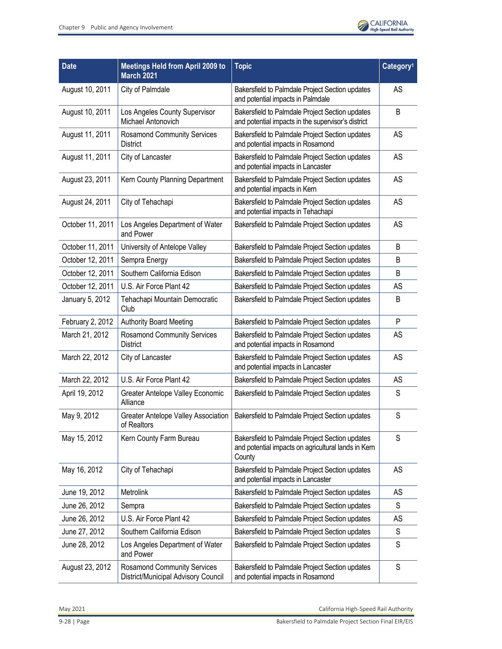

| <b>Date</b>      | <b>Meetings Held from April 2009 to</b><br><b>March 2021</b>              | <b>Topic</b>                                                                                                     | Category <sup>1</sup> |
|------------------|---------------------------------------------------------------------------|------------------------------------------------------------------------------------------------------------------|-----------------------|
| August 10, 2011  | City of Palmdale                                                          | Bakersfield to Palmdale Project Section updates<br>and potential impacts in Palmdale                             | <b>AS</b>             |
| August 10, 2011  | Los Angeles County Supervisor<br>Michael Antonovich                       | Bakersfield to Palmdale Project Section updates<br>and potential impacts in the supervisor's district            | B                     |
| August 11, 2011  | <b>Rosamond Community Services</b><br><b>District</b>                     | Bakersfield to Palmdale Project Section updates<br>and potential impacts in Rosamond                             | AS                    |
| August 11, 2011  | City of Lancaster                                                         | Bakersfield to Palmdale Project Section updates<br>and potential impacts in Lancaster                            | AS                    |
| August 23, 2011  | Kern County Planning Department                                           | Bakersfield to Palmdale Project Section updates<br>and potential impacts in Kern                                 | AS                    |
| August 24, 2011  | City of Tehachapi                                                         | Bakersfield to Palmdale Project Section updates<br>and potential impacts in Tehachapi                            | AS                    |
| October 11, 2011 | Los Angeles Department of Water<br>and Power                              | Bakersfield to Palmdale Project Section updates                                                                  | <b>AS</b>             |
| October 11, 2011 | University of Antelope Valley                                             | Bakersfield to Palmdale Project Section updates                                                                  | B                     |
| October 12, 2011 | Sempra Energy                                                             | Bakersfield to Palmdale Project Section updates                                                                  | B                     |
| October 12, 2011 | Southern California Edison                                                | Bakersfield to Palmdale Project Section updates                                                                  | B                     |
| October 12, 2011 | U.S. Air Force Plant 42                                                   | Bakersfield to Palmdale Project Section updates                                                                  | AS                    |
| January 5, 2012  | Tehachapi Mountain Democratic<br>Club                                     | Bakersfield to Palmdale Project Section updates                                                                  | B                     |
| February 2, 2012 | <b>Authority Board Meeting</b>                                            | Bakersfield to Palmdale Project Section updates                                                                  | P                     |
| March 21, 2012   | <b>Rosamond Community Services</b><br><b>District</b>                     | Bakersfield to Palmdale Project Section updates<br>and potential impacts in Rosamond                             | <b>AS</b>             |
| March 22, 2012   | City of Lancaster                                                         | Bakersfield to Palmdale Project Section updates<br>and potential impacts in Lancaster                            | AS                    |
| March 22, 2012   | U.S. Air Force Plant 42                                                   | Bakersfield to Palmdale Project Section updates                                                                  | <b>AS</b>             |
| April 19, 2012   | Greater Antelope Valley Economic<br>Alliance                              | Bakersfield to Palmdale Project Section updates                                                                  | S                     |
| May 9, 2012      | <b>Greater Antelope Valley Association</b><br>of Realtors                 | Bakersfield to Palmdale Project Section updates                                                                  | S                     |
| May 15, 2012     | Kern County Farm Bureau                                                   | Bakersfield to Palmdale Project Section updates<br>and potential impacts on agricultural lands in Kern<br>County | S                     |
| May 16, 2012     | City of Tehachapi                                                         | Bakersfield to Palmdale Project Section updates<br>and potential impacts in Lancaster                            | AS                    |
| June 19, 2012    | Metrolink                                                                 | Bakersfield to Palmdale Project Section updates                                                                  | AS                    |
| June 26, 2012    | Sempra                                                                    | Bakersfield to Palmdale Project Section updates                                                                  | S                     |
| June 26, 2012    | U.S. Air Force Plant 42                                                   | Bakersfield to Palmdale Project Section updates                                                                  | AS                    |
| June 27, 2012    | Southern California Edison                                                | Bakersfield to Palmdale Project Section updates                                                                  | S                     |
| June 28, 2012    | Los Angeles Department of Water<br>and Power                              | Bakersfield to Palmdale Project Section updates                                                                  | S                     |
| August 23, 2012  | <b>Rosamond Community Services</b><br>District/Municipal Advisory Council | Bakersfield to Palmdale Project Section updates<br>and potential impacts in Rosamond                             | S                     |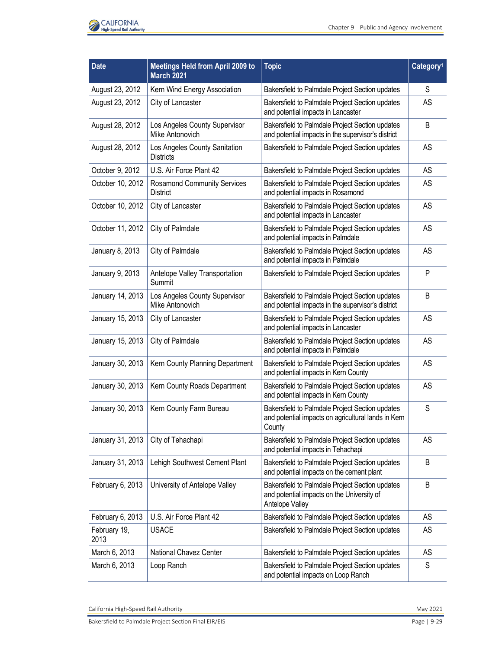

| <b>Date</b>          | <b>Meetings Held from April 2009 to</b><br><b>March 2021</b> | <b>Topic</b>                                                                                                     | Category <sup>1</sup> |
|----------------------|--------------------------------------------------------------|------------------------------------------------------------------------------------------------------------------|-----------------------|
| August 23, 2012      | Kern Wind Energy Association                                 | Bakersfield to Palmdale Project Section updates                                                                  | S                     |
| August 23, 2012      | City of Lancaster                                            | Bakersfield to Palmdale Project Section updates<br>and potential impacts in Lancaster                            | AS                    |
| August 28, 2012      | Los Angeles County Supervisor<br>Mike Antonovich             | Bakersfield to Palmdale Project Section updates<br>and potential impacts in the supervisor's district            | B                     |
| August 28, 2012      | Los Angeles County Sanitation<br><b>Districts</b>            | Bakersfield to Palmdale Project Section updates                                                                  | AS                    |
| October 9, 2012      | U.S. Air Force Plant 42                                      | Bakersfield to Palmdale Project Section updates                                                                  | AS                    |
| October 10, 2012     | <b>Rosamond Community Services</b><br><b>District</b>        | Bakersfield to Palmdale Project Section updates<br>and potential impacts in Rosamond                             | AS                    |
| October 10, 2012     | City of Lancaster                                            | Bakersfield to Palmdale Project Section updates<br>and potential impacts in Lancaster                            | AS                    |
| October 11, 2012     | City of Palmdale                                             | Bakersfield to Palmdale Project Section updates<br>and potential impacts in Palmdale                             | AS                    |
| January 8, 2013      | City of Palmdale                                             | Bakersfield to Palmdale Project Section updates<br>and potential impacts in Palmdale                             | AS                    |
| January 9, 2013      | Antelope Valley Transportation<br>Summit                     | Bakersfield to Palmdale Project Section updates                                                                  | P                     |
| January 14, 2013     | Los Angeles County Supervisor<br>Mike Antonovich             | Bakersfield to Palmdale Project Section updates<br>and potential impacts in the supervisor's district            | B                     |
| January 15, 2013     | City of Lancaster                                            | Bakersfield to Palmdale Project Section updates<br>and potential impacts in Lancaster                            | AS                    |
| January 15, 2013     | City of Palmdale                                             | Bakersfield to Palmdale Project Section updates<br>and potential impacts in Palmdale                             | AS                    |
| January 30, 2013     | Kern County Planning Department                              | Bakersfield to Palmdale Project Section updates<br>and potential impacts in Kern County                          | AS                    |
| January 30, 2013     | Kern County Roads Department                                 | Bakersfield to Palmdale Project Section updates<br>and potential impacts in Kern County                          | AS                    |
| January 30, 2013     | Kern County Farm Bureau                                      | Bakersfield to Palmdale Project Section updates<br>and potential impacts on agricultural lands in Kern<br>County | S                     |
| January 31, 2013     | City of Tehachapi                                            | Bakersfield to Palmdale Project Section updates<br>and potential impacts in Tehachapi                            | AS                    |
| January 31, 2013     | Lehigh Southwest Cement Plant                                | Bakersfield to Palmdale Project Section updates<br>and potential impacts on the cement plant                     | B                     |
| February 6, 2013     | University of Antelope Valley                                | Bakersfield to Palmdale Project Section updates<br>and potential impacts on the University of<br>Antelope Valley | B                     |
| February 6, 2013     | U.S. Air Force Plant 42                                      | Bakersfield to Palmdale Project Section updates                                                                  | AS                    |
| February 19,<br>2013 | <b>USACE</b>                                                 | Bakersfield to Palmdale Project Section updates                                                                  | AS                    |
| March 6, 2013        | National Chavez Center                                       | Bakersfield to Palmdale Project Section updates                                                                  | AS                    |
| March 6, 2013        | Loop Ranch                                                   | Bakersfield to Palmdale Project Section updates<br>and potential impacts on Loop Ranch                           | S                     |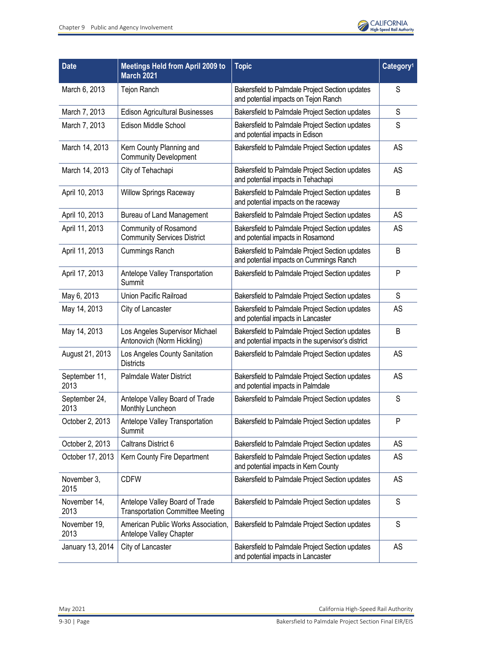

| <b>Date</b>           | <b>Meetings Held from April 2009 to</b><br><b>March 2021</b>              | <b>Topic</b>                                                                                          | Category <sup>1</sup> |
|-----------------------|---------------------------------------------------------------------------|-------------------------------------------------------------------------------------------------------|-----------------------|
| March 6, 2013         | Tejon Ranch                                                               | Bakersfield to Palmdale Project Section updates<br>and potential impacts on Tejon Ranch               | S                     |
| March 7, 2013         | <b>Edison Agricultural Businesses</b>                                     | Bakersfield to Palmdale Project Section updates                                                       | S                     |
| March 7, 2013         | Edison Middle School                                                      | Bakersfield to Palmdale Project Section updates<br>and potential impacts in Edison                    | S                     |
| March 14, 2013        | Kern County Planning and<br><b>Community Development</b>                  | Bakersfield to Palmdale Project Section updates                                                       | AS                    |
| March 14, 2013        | City of Tehachapi                                                         | Bakersfield to Palmdale Project Section updates<br>and potential impacts in Tehachapi                 | AS                    |
| April 10, 2013        | <b>Willow Springs Raceway</b>                                             | Bakersfield to Palmdale Project Section updates<br>and potential impacts on the raceway               | B                     |
| April 10, 2013        | <b>Bureau of Land Management</b>                                          | Bakersfield to Palmdale Project Section updates                                                       | AS                    |
| April 11, 2013        | Community of Rosamond<br><b>Community Services District</b>               | Bakersfield to Palmdale Project Section updates<br>and potential impacts in Rosamond                  | AS                    |
| April 11, 2013        | <b>Cummings Ranch</b>                                                     | Bakersfield to Palmdale Project Section updates<br>and potential impacts on Cummings Ranch            | B                     |
| April 17, 2013        | Antelope Valley Transportation<br>Summit                                  | Bakersfield to Palmdale Project Section updates                                                       | P                     |
| May 6, 2013           | <b>Union Pacific Railroad</b>                                             | Bakersfield to Palmdale Project Section updates                                                       | S                     |
| May 14, 2013          | City of Lancaster                                                         | Bakersfield to Palmdale Project Section updates<br>and potential impacts in Lancaster                 | AS                    |
| May 14, 2013          | Los Angeles Supervisor Michael<br>Antonovich (Norm Hickling)              | Bakersfield to Palmdale Project Section updates<br>and potential impacts in the supervisor's district | B                     |
| August 21, 2013       | Los Angeles County Sanitation<br><b>Districts</b>                         | Bakersfield to Palmdale Project Section updates                                                       | AS                    |
| September 11,<br>2013 | <b>Palmdale Water District</b>                                            | Bakersfield to Palmdale Project Section updates<br>and potential impacts in Palmdale                  | AS                    |
| September 24,<br>2013 | Antelope Valley Board of Trade<br>Monthly Luncheon                        | Bakersfield to Palmdale Project Section updates                                                       | S                     |
| October 2, 2013       | Antelope Valley Transportation<br>Summit                                  | Bakersfield to Palmdale Project Section updates                                                       | P                     |
| October 2, 2013       | Caltrans District 6                                                       | Bakersfield to Palmdale Project Section updates                                                       | <b>AS</b>             |
| October 17, 2013      | Kern County Fire Department                                               | Bakersfield to Palmdale Project Section updates<br>and potential impacts in Kern County               | AS                    |
| November 3,<br>2015   | <b>CDFW</b>                                                               | Bakersfield to Palmdale Project Section updates                                                       | AS                    |
| November 14,<br>2013  | Antelope Valley Board of Trade<br><b>Transportation Committee Meeting</b> | Bakersfield to Palmdale Project Section updates                                                       | S                     |
| November 19,<br>2013  | American Public Works Association,<br>Antelope Valley Chapter             | Bakersfield to Palmdale Project Section updates                                                       | S                     |
| January 13, 2014      | City of Lancaster                                                         | Bakersfield to Palmdale Project Section updates<br>and potential impacts in Lancaster                 | AS                    |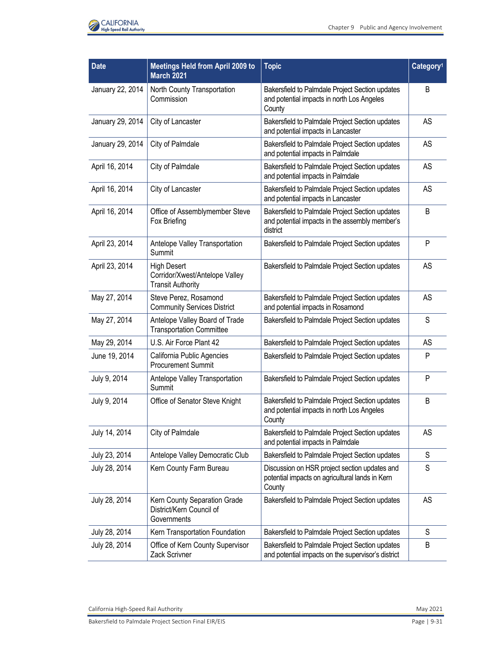

| <b>Date</b>      | <b>Meetings Held from April 2009 to</b><br><b>March 2021</b>                     | <b>Topic</b>                                                                                                  | Category <sup>1</sup> |
|------------------|----------------------------------------------------------------------------------|---------------------------------------------------------------------------------------------------------------|-----------------------|
| January 22, 2014 | North County Transportation<br>Commission                                        | Bakersfield to Palmdale Project Section updates<br>and potential impacts in north Los Angeles<br>County       | B                     |
| January 29, 2014 | City of Lancaster                                                                | Bakersfield to Palmdale Project Section updates<br>and potential impacts in Lancaster                         | AS                    |
| January 29, 2014 | City of Palmdale                                                                 | Bakersfield to Palmdale Project Section updates<br>and potential impacts in Palmdale                          | AS                    |
| April 16, 2014   | City of Palmdale                                                                 | Bakersfield to Palmdale Project Section updates<br>and potential impacts in Palmdale                          | AS                    |
| April 16, 2014   | City of Lancaster                                                                | Bakersfield to Palmdale Project Section updates<br>and potential impacts in Lancaster                         | AS                    |
| April 16, 2014   | Office of Assemblymember Steve<br>Fox Briefing                                   | Bakersfield to Palmdale Project Section updates<br>and potential impacts in the assembly member's<br>district | B                     |
| April 23, 2014   | Antelope Valley Transportation<br>Summit                                         | Bakersfield to Palmdale Project Section updates                                                               | P                     |
| April 23, 2014   | <b>High Desert</b><br>Corridor/Xwest/Antelope Valley<br><b>Transit Authority</b> | Bakersfield to Palmdale Project Section updates                                                               | AS                    |
| May 27, 2014     | Steve Perez, Rosamond<br><b>Community Services District</b>                      | Bakersfield to Palmdale Project Section updates<br>and potential impacts in Rosamond                          | AS                    |
| May 27, 2014     | Antelope Valley Board of Trade<br><b>Transportation Committee</b>                | Bakersfield to Palmdale Project Section updates                                                               | S                     |
| May 29, 2014     | U.S. Air Force Plant 42                                                          | Bakersfield to Palmdale Project Section updates                                                               | AS                    |
| June 19, 2014    | California Public Agencies<br><b>Procurement Summit</b>                          | Bakersfield to Palmdale Project Section updates                                                               | P                     |
| July 9, 2014     | Antelope Valley Transportation<br>Summit                                         | Bakersfield to Palmdale Project Section updates                                                               | P                     |
| July 9, 2014     | Office of Senator Steve Knight                                                   | Bakersfield to Palmdale Project Section updates<br>and potential impacts in north Los Angeles<br>County       | B                     |
| July 14, 2014    | City of Palmdale                                                                 | Bakersfield to Palmdale Project Section updates<br>and potential impacts in Palmdale                          | AS                    |
| July 23, 2014    | Antelope Valley Democratic Club                                                  | Bakersfield to Palmdale Project Section updates                                                               | S                     |
| July 28, 2014    | Kern County Farm Bureau                                                          | Discussion on HSR project section updates and<br>potential impacts on agricultural lands in Kern<br>County    | S                     |
| July 28, 2014    | Kern County Separation Grade<br>District/Kern Council of<br>Governments          | Bakersfield to Palmdale Project Section updates                                                               | AS                    |
| July 28, 2014    | Kern Transportation Foundation                                                   | Bakersfield to Palmdale Project Section updates                                                               | S                     |
| July 28, 2014    | Office of Kern County Supervisor<br>Zack Scrivner                                | Bakersfield to Palmdale Project Section updates<br>and potential impacts on the supervisor's district         | B                     |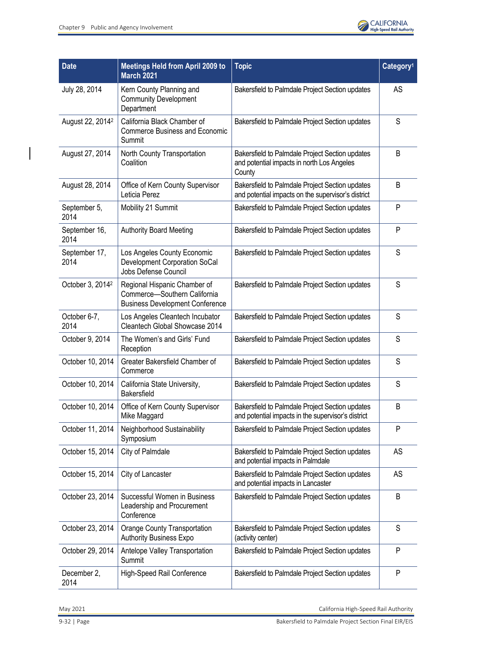$\begin{array}{c} \hline \end{array}$ 



| <b>Date</b>                  | <b>Meetings Held from April 2009 to</b><br><b>March 2021</b>                                           | <b>Topic</b>                                                                                            | Category <sup>1</sup> |
|------------------------------|--------------------------------------------------------------------------------------------------------|---------------------------------------------------------------------------------------------------------|-----------------------|
| July 28, 2014                | Kern County Planning and<br><b>Community Development</b><br>Department                                 | Bakersfield to Palmdale Project Section updates                                                         | AS                    |
| August 22, 2014 <sup>2</sup> | California Black Chamber of<br><b>Commerce Business and Economic</b><br>Summit                         | Bakersfield to Palmdale Project Section updates                                                         | S                     |
| August 27, 2014              | North County Transportation<br>Coalition                                                               | Bakersfield to Palmdale Project Section updates<br>and potential impacts in north Los Angeles<br>County | B                     |
| August 28, 2014              | Office of Kern County Supervisor<br>Leticia Perez                                                      | Bakersfield to Palmdale Project Section updates<br>and potential impacts on the supervisor's district   | B                     |
| September 5,<br>2014         | Mobility 21 Summit                                                                                     | Bakersfield to Palmdale Project Section updates                                                         | P                     |
| September 16,<br>2014        | <b>Authority Board Meeting</b>                                                                         | Bakersfield to Palmdale Project Section updates                                                         | P                     |
| September 17,<br>2014        | Los Angeles County Economic<br>Development Corporation SoCal<br>Jobs Defense Council                   | Bakersfield to Palmdale Project Section updates                                                         | S                     |
| October 3, 2014 <sup>2</sup> | Regional Hispanic Chamber of<br>Commerce-Southern California<br><b>Business Development Conference</b> | Bakersfield to Palmdale Project Section updates                                                         | S                     |
| October 6-7,<br>2014         | Los Angeles Cleantech Incubator<br>Cleantech Global Showcase 2014                                      | Bakersfield to Palmdale Project Section updates                                                         | S                     |
| October 9, 2014              | The Women's and Girls' Fund<br>Reception                                                               | Bakersfield to Palmdale Project Section updates                                                         | S                     |
| October 10, 2014             | Greater Bakersfield Chamber of<br>Commerce                                                             | Bakersfield to Palmdale Project Section updates                                                         | S                     |
| October 10, 2014             | California State University,<br><b>Bakersfield</b>                                                     | Bakersfield to Palmdale Project Section updates                                                         | S                     |
| October 10, 2014             | Office of Kern County Supervisor<br>Mike Maggard                                                       | Bakersfield to Palmdale Project Section updates<br>and potential impacts in the supervisor's district   | B                     |
| October 11, 2014             | Neighborhood Sustainability<br>Symposium                                                               | Bakersfield to Palmdale Project Section updates                                                         | P                     |
| October 15, 2014             | City of Palmdale                                                                                       | Bakersfield to Palmdale Project Section updates<br>and potential impacts in Palmdale                    | AS                    |
| October 15, 2014             | City of Lancaster                                                                                      | Bakersfield to Palmdale Project Section updates<br>and potential impacts in Lancaster                   | AS                    |
| October 23, 2014             | Successful Women in Business<br>Leadership and Procurement<br>Conference                               | Bakersfield to Palmdale Project Section updates                                                         | B                     |
| October 23, 2014             | Orange County Transportation<br>Authority Business Expo                                                | Bakersfield to Palmdale Project Section updates<br>(activity center)                                    | S                     |
| October 29, 2014             | Antelope Valley Transportation<br>Summit                                                               | Bakersfield to Palmdale Project Section updates                                                         | P                     |
| December 2,<br>2014          | High-Speed Rail Conference                                                                             | Bakersfield to Palmdale Project Section updates                                                         | P                     |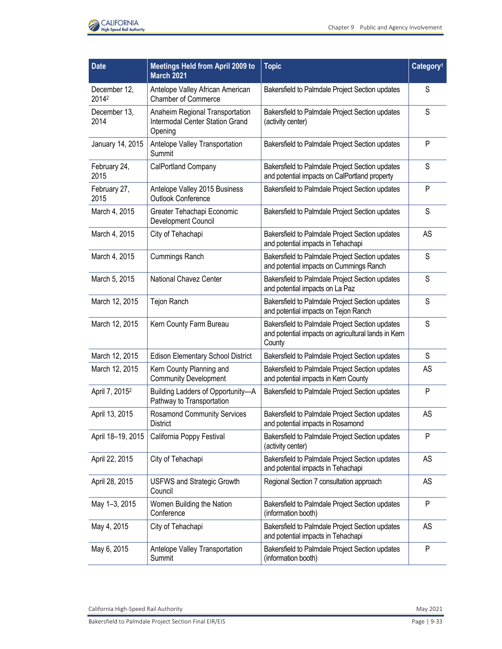

| <b>Date</b>                | <b>Meetings Held from April 2009 to</b><br><b>March 2021</b>                  | <b>Topic</b>                                                                                                     | Category <sup>1</sup> |
|----------------------------|-------------------------------------------------------------------------------|------------------------------------------------------------------------------------------------------------------|-----------------------|
| December 12,<br>20142      | Antelope Valley African American<br><b>Chamber of Commerce</b>                | Bakersfield to Palmdale Project Section updates                                                                  | S                     |
| December 13,<br>2014       | Anaheim Regional Transportation<br>Intermodal Center Station Grand<br>Opening | Bakersfield to Palmdale Project Section updates<br>(activity center)                                             | S                     |
| January 14, 2015           | Antelope Valley Transportation<br>Summit                                      | Bakersfield to Palmdale Project Section updates                                                                  | P                     |
| February 24,<br>2015       | CalPortland Company                                                           | Bakersfield to Palmdale Project Section updates<br>and potential impacts on CalPortland property                 | S                     |
| February 27,<br>2015       | Antelope Valley 2015 Business<br><b>Outlook Conference</b>                    | Bakersfield to Palmdale Project Section updates                                                                  | $\mathsf{P}$          |
| March 4, 2015              | Greater Tehachapi Economic<br>Development Council                             | Bakersfield to Palmdale Project Section updates                                                                  | S                     |
| March 4, 2015              | City of Tehachapi                                                             | Bakersfield to Palmdale Project Section updates<br>and potential impacts in Tehachapi                            | <b>AS</b>             |
| March 4, 2015              | <b>Cummings Ranch</b>                                                         | Bakersfield to Palmdale Project Section updates<br>and potential impacts on Cummings Ranch                       | S                     |
| March 5, 2015              | National Chavez Center                                                        | Bakersfield to Palmdale Project Section updates<br>and potential impacts on La Paz                               | S                     |
| March 12, 2015             | Tejon Ranch                                                                   | Bakersfield to Palmdale Project Section updates<br>and potential impacts on Tejon Ranch                          | S                     |
| March 12, 2015             | Kern County Farm Bureau                                                       | Bakersfield to Palmdale Project Section updates<br>and potential impacts on agricultural lands in Kern<br>County | $\mathsf S$           |
| March 12, 2015             | <b>Edison Elementary School District</b>                                      | Bakersfield to Palmdale Project Section updates                                                                  | S                     |
| March 12, 2015             | Kern County Planning and<br><b>Community Development</b>                      | Bakersfield to Palmdale Project Section updates<br>and potential impacts in Kern County                          | AS                    |
| April 7, 2015 <sup>2</sup> | Building Ladders of Opportunity-A<br>Pathway to Transportation                | Bakersfield to Palmdale Project Section updates                                                                  | P                     |
| April 13, 2015             | <b>Rosamond Community Services</b><br>District                                | Bakersfield to Palmdale Project Section updates<br>and potential impacts in Rosamond                             | <b>AS</b>             |
| April 18-19, 2015          | California Poppy Festival                                                     | Bakersfield to Palmdale Project Section updates<br>(activity center)                                             | P                     |
| April 22, 2015             | City of Tehachapi                                                             | Bakersfield to Palmdale Project Section updates<br>and potential impacts in Tehachapi                            | AS                    |
| April 28, 2015             | <b>USFWS and Strategic Growth</b><br>Council                                  | Regional Section 7 consultation approach                                                                         | AS                    |
| May 1-3, 2015              | Women Building the Nation<br>Conference                                       | Bakersfield to Palmdale Project Section updates<br>(information booth)                                           | P                     |
| May 4, 2015                | City of Tehachapi                                                             | Bakersfield to Palmdale Project Section updates<br>and potential impacts in Tehachapi                            | AS                    |
| May 6, 2015                | Antelope Valley Transportation<br>Summit                                      | Bakersfield to Palmdale Project Section updates<br>(information booth)                                           | P                     |

California High-Speed Rail Authority **May 2021**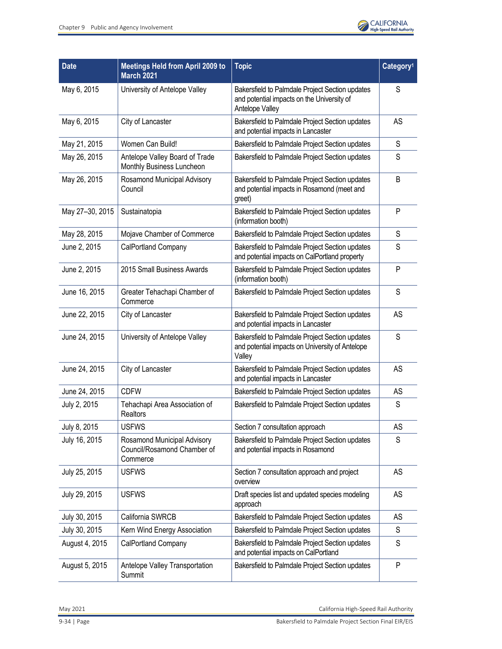

| Date            | <b>Meetings Held from April 2009 to</b><br><b>March 2021</b>           | <b>Topic</b>                                                                                                     | Category <sup>1</sup> |
|-----------------|------------------------------------------------------------------------|------------------------------------------------------------------------------------------------------------------|-----------------------|
| May 6, 2015     | University of Antelope Valley                                          | Bakersfield to Palmdale Project Section updates<br>and potential impacts on the University of<br>Antelope Valley | S                     |
| May 6, 2015     | City of Lancaster                                                      | Bakersfield to Palmdale Project Section updates<br>and potential impacts in Lancaster                            | AS                    |
| May 21, 2015    | Women Can Build!                                                       | Bakersfield to Palmdale Project Section updates                                                                  | S                     |
| May 26, 2015    | Antelope Valley Board of Trade<br>Monthly Business Luncheon            | Bakersfield to Palmdale Project Section updates                                                                  | S                     |
| May 26, 2015    | Rosamond Municipal Advisory<br>Council                                 | Bakersfield to Palmdale Project Section updates<br>and potential impacts in Rosamond (meet and<br>greet)         | B                     |
| May 27-30, 2015 | Sustainatopia                                                          | Bakersfield to Palmdale Project Section updates<br>(information booth)                                           | P                     |
| May 28, 2015    | Mojave Chamber of Commerce                                             | Bakersfield to Palmdale Project Section updates                                                                  | S                     |
| June 2, 2015    | CalPortland Company                                                    | Bakersfield to Palmdale Project Section updates<br>and potential impacts on CalPortland property                 | S                     |
| June 2, 2015    | 2015 Small Business Awards                                             | Bakersfield to Palmdale Project Section updates<br>(information booth)                                           | P                     |
| June 16, 2015   | Greater Tehachapi Chamber of<br>Commerce                               | Bakersfield to Palmdale Project Section updates                                                                  | S                     |
| June 22, 2015   | City of Lancaster                                                      | Bakersfield to Palmdale Project Section updates<br>and potential impacts in Lancaster                            | AS                    |
| June 24, 2015   | University of Antelope Valley                                          | Bakersfield to Palmdale Project Section updates<br>and potential impacts on University of Antelope<br>Valley     | S                     |
| June 24, 2015   | City of Lancaster                                                      | Bakersfield to Palmdale Project Section updates<br>and potential impacts in Lancaster                            | AS                    |
| June 24, 2015   | <b>CDFW</b>                                                            | Bakersfield to Palmdale Project Section updates                                                                  | AS                    |
| July 2, 2015    | Tehachapi Area Association of<br>Realtors                              | Bakersfield to Palmdale Project Section updates                                                                  | S                     |
| July 8, 2015    | <b>USFWS</b>                                                           | Section 7 consultation approach                                                                                  | AS                    |
| July 16, 2015   | Rosamond Municipal Advisory<br>Council/Rosamond Chamber of<br>Commerce | Bakersfield to Palmdale Project Section updates<br>and potential impacts in Rosamond                             | S                     |
| July 25, 2015   | <b>USFWS</b>                                                           | Section 7 consultation approach and project<br>overview                                                          | AS                    |
| July 29, 2015   | <b>USFWS</b>                                                           | Draft species list and updated species modeling<br>approach                                                      | AS                    |
| July 30, 2015   | California SWRCB                                                       | Bakersfield to Palmdale Project Section updates                                                                  | AS                    |
| July 30, 2015   | Kern Wind Energy Association                                           | Bakersfield to Palmdale Project Section updates                                                                  | S                     |
| August 4, 2015  | <b>CalPortland Company</b>                                             | Bakersfield to Palmdale Project Section updates<br>and potential impacts on CalPortland                          | S                     |
| August 5, 2015  | Antelope Valley Transportation<br>Summit                               | Bakersfield to Palmdale Project Section updates                                                                  | P                     |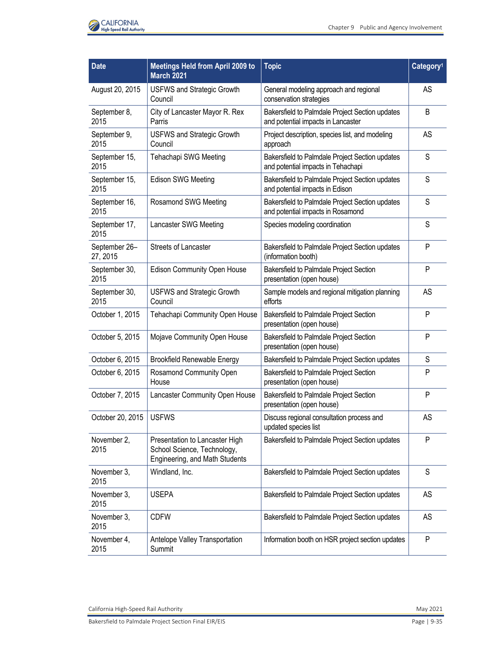

| <b>Date</b>               | <b>Meetings Held from April 2009 to</b><br><b>March 2021</b>                                    | <b>Topic</b>                                                                          | Category <sup>1</sup> |
|---------------------------|-------------------------------------------------------------------------------------------------|---------------------------------------------------------------------------------------|-----------------------|
| August 20, 2015           | <b>USFWS and Strategic Growth</b><br>Council                                                    | General modeling approach and regional<br>conservation strategies                     | AS                    |
| September 8,<br>2015      | City of Lancaster Mayor R. Rex<br>Parris                                                        | Bakersfield to Palmdale Project Section updates<br>and potential impacts in Lancaster | B                     |
| September 9,<br>2015      | <b>USFWS and Strategic Growth</b><br>Council                                                    | Project description, species list, and modeling<br>approach                           | AS                    |
| September 15,<br>2015     | Tehachapi SWG Meeting                                                                           | Bakersfield to Palmdale Project Section updates<br>and potential impacts in Tehachapi | S                     |
| September 15,<br>2015     | <b>Edison SWG Meeting</b>                                                                       | Bakersfield to Palmdale Project Section updates<br>and potential impacts in Edison    | S                     |
| September 16,<br>2015     | Rosamond SWG Meeting                                                                            | Bakersfield to Palmdale Project Section updates<br>and potential impacts in Rosamond  | S                     |
| September 17,<br>2015     | Lancaster SWG Meeting                                                                           | Species modeling coordination                                                         | S                     |
| September 26-<br>27, 2015 | <b>Streets of Lancaster</b>                                                                     | Bakersfield to Palmdale Project Section updates<br>(information booth)                | P                     |
| September 30,<br>2015     | <b>Edison Community Open House</b>                                                              | Bakersfield to Palmdale Project Section<br>presentation (open house)                  | P                     |
| September 30,<br>2015     | <b>USFWS and Strategic Growth</b><br>Council                                                    | Sample models and regional mitigation planning<br>efforts                             | AS                    |
| October 1, 2015           | Tehachapi Community Open House                                                                  | Bakersfield to Palmdale Project Section<br>presentation (open house)                  | P                     |
| October 5, 2015           | Mojave Community Open House                                                                     | Bakersfield to Palmdale Project Section<br>presentation (open house)                  | P                     |
| October 6, 2015           | <b>Brookfield Renewable Energy</b>                                                              | Bakersfield to Palmdale Project Section updates                                       | S                     |
| October 6, 2015           | Rosamond Community Open<br>House                                                                | Bakersfield to Palmdale Project Section<br>presentation (open house)                  | P                     |
| October 7, 2015           | Lancaster Community Open House                                                                  | Bakersfield to Palmdale Project Section<br>presentation (open house)                  | P                     |
| October 20, 2015          | <b>USFWS</b>                                                                                    | Discuss regional consultation process and<br>updated species list                     | AS                    |
| November 2,<br>2015       | Presentation to Lancaster High<br>School Science, Technology,<br>Engineering, and Math Students | Bakersfield to Palmdale Project Section updates                                       | P                     |
| November 3,<br>2015       | Windland, Inc.                                                                                  | Bakersfield to Palmdale Project Section updates                                       | S                     |
| November 3,<br>2015       | <b>USEPA</b>                                                                                    | Bakersfield to Palmdale Project Section updates                                       | AS                    |
| November 3,<br>2015       | <b>CDFW</b>                                                                                     | Bakersfield to Palmdale Project Section updates                                       | AS                    |
| November 4,<br>2015       | Antelope Valley Transportation<br>Summit                                                        | Information booth on HSR project section updates                                      | P                     |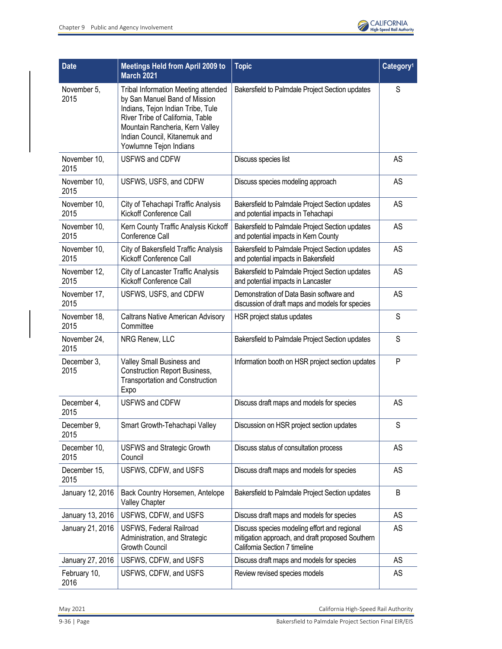

| <b>Date</b>          | <b>Meetings Held from April 2009 to</b><br><b>March 2021</b>                                                                                                                                                                                       | <b>Topic</b>                                                                                                                      | Category <sup>1</sup> |
|----------------------|----------------------------------------------------------------------------------------------------------------------------------------------------------------------------------------------------------------------------------------------------|-----------------------------------------------------------------------------------------------------------------------------------|-----------------------|
| November 5,<br>2015  | <b>Tribal Information Meeting attended</b><br>by San Manuel Band of Mission<br>Indians, Tejon Indian Tribe, Tule<br>River Tribe of California, Table<br>Mountain Rancheria, Kern Valley<br>Indian Council, Kitanemuk and<br>Yowlumne Tejon Indians | Bakersfield to Palmdale Project Section updates                                                                                   | S                     |
| November 10,<br>2015 | <b>USFWS and CDFW</b>                                                                                                                                                                                                                              | Discuss species list                                                                                                              | AS                    |
| November 10,<br>2015 | USFWS, USFS, and CDFW                                                                                                                                                                                                                              | Discuss species modeling approach                                                                                                 | AS                    |
| November 10,<br>2015 | City of Tehachapi Traffic Analysis<br>Kickoff Conference Call                                                                                                                                                                                      | Bakersfield to Palmdale Project Section updates<br>and potential impacts in Tehachapi                                             | AS                    |
| November 10,<br>2015 | Kern County Traffic Analysis Kickoff<br>Conference Call                                                                                                                                                                                            | Bakersfield to Palmdale Project Section updates<br>and potential impacts in Kern County                                           | AS                    |
| November 10,<br>2015 | City of Bakersfield Traffic Analysis<br>Kickoff Conference Call                                                                                                                                                                                    | Bakersfield to Palmdale Project Section updates<br>and potential impacts in Bakersfield                                           | AS                    |
| November 12,<br>2015 | City of Lancaster Traffic Analysis<br>Kickoff Conference Call                                                                                                                                                                                      | Bakersfield to Palmdale Project Section updates<br>and potential impacts in Lancaster                                             | AS                    |
| November 17,<br>2015 | USFWS, USFS, and CDFW                                                                                                                                                                                                                              | Demonstration of Data Basin software and<br>discussion of draft maps and models for species                                       | AS                    |
| November 18,<br>2015 | <b>Caltrans Native American Advisory</b><br>Committee                                                                                                                                                                                              | HSR project status updates                                                                                                        | S                     |
| November 24,<br>2015 | NRG Renew, LLC                                                                                                                                                                                                                                     | Bakersfield to Palmdale Project Section updates                                                                                   | S                     |
| December 3,<br>2015  | Valley Small Business and<br><b>Construction Report Business,</b><br><b>Transportation and Construction</b><br>Expo                                                                                                                                | Information booth on HSR project section updates                                                                                  | P                     |
| December 4,<br>2015  | <b>USFWS and CDFW</b>                                                                                                                                                                                                                              | Discuss draft maps and models for species                                                                                         | AS                    |
| December 9.<br>2015  | Smart Growth-Tehachapi Valley                                                                                                                                                                                                                      | Discussion on HSR project section updates                                                                                         | S                     |
| December 10,<br>2015 | <b>USFWS and Strategic Growth</b><br>Council                                                                                                                                                                                                       | Discuss status of consultation process                                                                                            | AS                    |
| December 15,<br>2015 | USFWS, CDFW, and USFS                                                                                                                                                                                                                              | Discuss draft maps and models for species                                                                                         | AS                    |
| January 12, 2016     | Back Country Horsemen, Antelope<br>Valley Chapter                                                                                                                                                                                                  | Bakersfield to Palmdale Project Section updates                                                                                   | B                     |
| January 13, 2016     | USFWS, CDFW, and USFS                                                                                                                                                                                                                              | Discuss draft maps and models for species                                                                                         | AS                    |
| January 21, 2016     | USFWS, Federal Railroad<br>Administration, and Strategic<br><b>Growth Council</b>                                                                                                                                                                  | Discuss species modeling effort and regional<br>mitigation approach, and draft proposed Southern<br>California Section 7 timeline | AS                    |
| January 27, 2016     | USFWS, CDFW, and USFS                                                                                                                                                                                                                              | Discuss draft maps and models for species                                                                                         | AS                    |
| February 10,<br>2016 | USFWS, CDFW, and USFS                                                                                                                                                                                                                              | Review revised species models                                                                                                     | AS                    |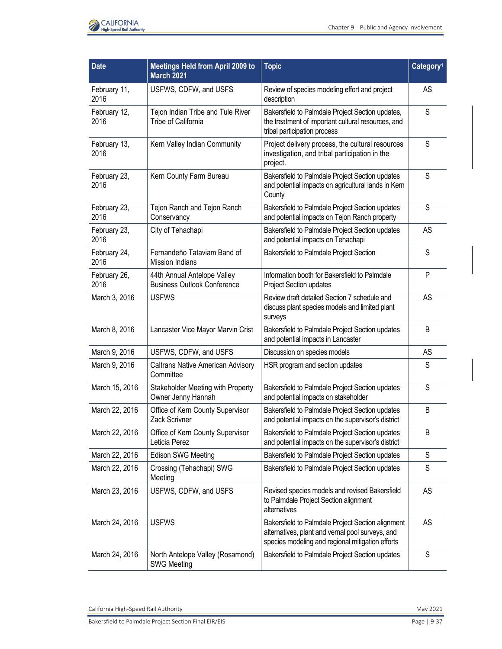

| <b>Date</b>          | <b>Meetings Held from April 2009 to</b><br><b>March 2021</b>      | <b>Topic</b>                                                                                                                                              | Category <sup>1</sup> |
|----------------------|-------------------------------------------------------------------|-----------------------------------------------------------------------------------------------------------------------------------------------------------|-----------------------|
| February 11,<br>2016 | USFWS, CDFW, and USFS                                             | Review of species modeling effort and project<br>description                                                                                              | AS                    |
| February 12,<br>2016 | Tejon Indian Tribe and Tule River<br>Tribe of California          | Bakersfield to Palmdale Project Section updates,<br>the treatment of important cultural resources, and<br>tribal participation process                    | S                     |
| February 13,<br>2016 | Kern Valley Indian Community                                      | Project delivery process, the cultural resources<br>investigation, and tribal participation in the<br>project.                                            | S                     |
| February 23,<br>2016 | Kern County Farm Bureau                                           | Bakersfield to Palmdale Project Section updates<br>and potential impacts on agricultural lands in Kern<br>County                                          | S                     |
| February 23,<br>2016 | Tejon Ranch and Tejon Ranch<br>Conservancy                        | Bakersfield to Palmdale Project Section updates<br>and potential impacts on Tejon Ranch property                                                          | S                     |
| February 23,<br>2016 | City of Tehachapi                                                 | Bakersfield to Palmdale Project Section updates<br>and potential impacts on Tehachapi                                                                     | AS                    |
| February 24,<br>2016 | Fernandeño Tataviam Band of<br><b>Mission Indians</b>             | Bakersfield to Palmdale Project Section                                                                                                                   | S                     |
| February 26,<br>2016 | 44th Annual Antelope Valley<br><b>Business Outlook Conference</b> | Information booth for Bakersfield to Palmdale<br>Project Section updates                                                                                  | P                     |
| March 3, 2016        | <b>USFWS</b>                                                      | Review draft detailed Section 7 schedule and<br>discuss plant species models and limited plant<br>surveys                                                 | AS                    |
| March 8, 2016        | Lancaster Vice Mayor Marvin Crist                                 | Bakersfield to Palmdale Project Section updates<br>and potential impacts in Lancaster                                                                     | B                     |
| March 9, 2016        | USFWS, CDFW, and USFS                                             | Discussion on species models                                                                                                                              | AS                    |
| March 9, 2016        | <b>Caltrans Native American Advisory</b><br>Committee             | HSR program and section updates                                                                                                                           | S                     |
| March 15, 2016       | Stakeholder Meeting with Property<br>Owner Jenny Hannah           | Bakersfield to Palmdale Project Section updates<br>and potential impacts on stakeholder                                                                   | S                     |
| March 22, 2016       | Office of Kern County Supervisor<br>Zack Scrivner                 | Bakersfield to Palmdale Project Section updates<br>and potential impacts on the supervisor's district                                                     | B                     |
| March 22, 2016       | Office of Kern County Supervisor<br>Leticia Perez                 | Bakersfield to Palmdale Project Section updates<br>and potential impacts on the supervisor's district                                                     | B                     |
| March 22, 2016       | <b>Edison SWG Meeting</b>                                         | Bakersfield to Palmdale Project Section updates                                                                                                           | S                     |
| March 22, 2016       | Crossing (Tehachapi) SWG<br>Meeting                               | Bakersfield to Palmdale Project Section updates                                                                                                           | S                     |
| March 23, 2016       | USFWS, CDFW, and USFS                                             | Revised species models and revised Bakersfield<br>to Palmdale Project Section alignment<br>alternatives                                                   | <b>AS</b>             |
| March 24, 2016       | <b>USFWS</b>                                                      | Bakersfield to Palmdale Project Section alignment<br>alternatives, plant and vernal pool surveys, and<br>species modeling and regional mitigation efforts | <b>AS</b>             |
| March 24, 2016       | North Antelope Valley (Rosamond)<br><b>SWG Meeting</b>            | Bakersfield to Palmdale Project Section updates                                                                                                           | S                     |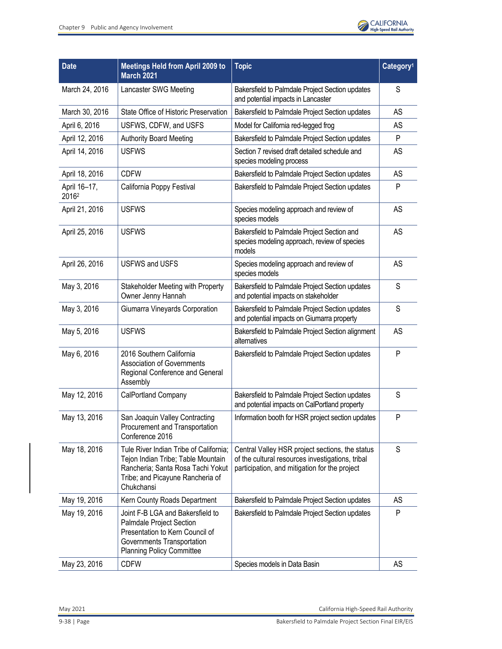

| <b>Date</b>           | Meetings Held from April 2009 to<br><b>March 2021</b>                                                                                                               | <b>Topic</b>                                                                                                                                         | Category <sup>1</sup> |
|-----------------------|---------------------------------------------------------------------------------------------------------------------------------------------------------------------|------------------------------------------------------------------------------------------------------------------------------------------------------|-----------------------|
| March 24, 2016        | Lancaster SWG Meeting                                                                                                                                               | Bakersfield to Palmdale Project Section updates<br>and potential impacts in Lancaster                                                                | S                     |
| March 30, 2016        | State Office of Historic Preservation                                                                                                                               | Bakersfield to Palmdale Project Section updates                                                                                                      | AS                    |
| April 6, 2016         | USFWS, CDFW, and USFS                                                                                                                                               | Model for California red-legged frog                                                                                                                 | AS                    |
| April 12, 2016        | <b>Authority Board Meeting</b>                                                                                                                                      | Bakersfield to Palmdale Project Section updates                                                                                                      | P                     |
| April 14, 2016        | <b>USFWS</b>                                                                                                                                                        | Section 7 revised draft detailed schedule and<br>species modeling process                                                                            | <b>AS</b>             |
| April 18, 2016        | <b>CDFW</b>                                                                                                                                                         | Bakersfield to Palmdale Project Section updates                                                                                                      | <b>AS</b>             |
| April 16-17,<br>20162 | California Poppy Festival                                                                                                                                           | Bakersfield to Palmdale Project Section updates                                                                                                      | P                     |
| April 21, 2016        | <b>USFWS</b>                                                                                                                                                        | Species modeling approach and review of<br>species models                                                                                            | AS                    |
| April 25, 2016        | <b>USFWS</b>                                                                                                                                                        | Bakersfield to Palmdale Project Section and<br>species modeling approach, review of species<br>models                                                | AS                    |
| April 26, 2016        | <b>USFWS and USFS</b>                                                                                                                                               | Species modeling approach and review of<br>species models                                                                                            | AS                    |
| May 3, 2016           | Stakeholder Meeting with Property<br>Owner Jenny Hannah                                                                                                             | Bakersfield to Palmdale Project Section updates<br>and potential impacts on stakeholder                                                              | S                     |
| May 3, 2016           | Giumarra Vineyards Corporation                                                                                                                                      | Bakersfield to Palmdale Project Section updates<br>and potential impacts on Giumarra property                                                        | S                     |
| May 5, 2016           | <b>USFWS</b>                                                                                                                                                        | Bakersfield to Palmdale Project Section alignment<br>alternatives                                                                                    | AS                    |
| May 6, 2016           | 2016 Southern California<br><b>Association of Governments</b><br>Regional Conference and General<br>Assembly                                                        | Bakersfield to Palmdale Project Section updates                                                                                                      | P                     |
| May 12, 2016          | CalPortland Company                                                                                                                                                 | Bakersfield to Palmdale Project Section updates<br>and potential impacts on CalPortland property                                                     | S                     |
| May 13, 2016          | San Joaquin Valley Contracting<br>Procurement and Transportation<br>Conference 2016                                                                                 | Information booth for HSR project section updates                                                                                                    | $\mathsf{P}$          |
| May 18, 2016          | Tule River Indian Tribe of California;<br>Tejon Indian Tribe; Table Mountain<br>Rancheria; Santa Rosa Tachi Yokut<br>Tribe; and Picayune Rancheria of<br>Chukchansi | Central Valley HSR project sections, the status<br>of the cultural resources investigations, tribal<br>participation, and mitigation for the project | S                     |
| May 19, 2016          | Kern County Roads Department                                                                                                                                        | Bakersfield to Palmdale Project Section updates                                                                                                      | AS                    |
| May 19, 2016          | Joint F-B LGA and Bakersfield to<br>Palmdale Project Section<br>Presentation to Kern Council of<br>Governments Transportation<br><b>Planning Policy Committee</b>   | Bakersfield to Palmdale Project Section updates                                                                                                      | P                     |
| May 23, 2016          | <b>CDFW</b>                                                                                                                                                         | Species models in Data Basin                                                                                                                         | AS                    |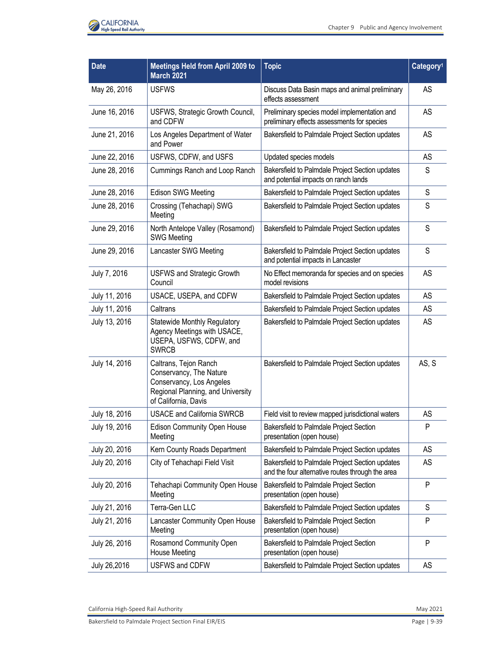

| <b>Date</b>   | <b>Meetings Held from April 2009 to</b><br><b>March 2021</b>                                                                              | <b>Topic</b>                                                                                        | Category <sup>1</sup> |
|---------------|-------------------------------------------------------------------------------------------------------------------------------------------|-----------------------------------------------------------------------------------------------------|-----------------------|
| May 26, 2016  | <b>USFWS</b>                                                                                                                              | Discuss Data Basin maps and animal preliminary<br>effects assessment                                | AS                    |
| June 16, 2016 | USFWS, Strategic Growth Council,<br>and CDFW                                                                                              | Preliminary species model implementation and<br>preliminary effects assessments for species         | AS                    |
| June 21, 2016 | Los Angeles Department of Water<br>and Power                                                                                              | Bakersfield to Palmdale Project Section updates                                                     | AS                    |
| June 22, 2016 | USFWS, CDFW, and USFS                                                                                                                     | Updated species models                                                                              | AS                    |
| June 28, 2016 | Cummings Ranch and Loop Ranch                                                                                                             | Bakersfield to Palmdale Project Section updates<br>and potential impacts on ranch lands             | S                     |
| June 28, 2016 | Edison SWG Meeting                                                                                                                        | Bakersfield to Palmdale Project Section updates                                                     | S                     |
| June 28, 2016 | Crossing (Tehachapi) SWG<br>Meeting                                                                                                       | Bakersfield to Palmdale Project Section updates                                                     | S                     |
| June 29, 2016 | North Antelope Valley (Rosamond)<br><b>SWG Meeting</b>                                                                                    | Bakersfield to Palmdale Project Section updates                                                     | S                     |
| June 29, 2016 | Lancaster SWG Meeting                                                                                                                     | Bakersfield to Palmdale Project Section updates<br>and potential impacts in Lancaster               | S                     |
| July 7, 2016  | <b>USFWS and Strategic Growth</b><br>Council                                                                                              | No Effect memoranda for species and on species<br>model revisions                                   | AS                    |
| July 11, 2016 | USACE, USEPA, and CDFW                                                                                                                    | Bakersfield to Palmdale Project Section updates                                                     | AS                    |
| July 11, 2016 | Caltrans                                                                                                                                  | Bakersfield to Palmdale Project Section updates                                                     | AS                    |
| July 13, 2016 | <b>Statewide Monthly Regulatory</b><br>Agency Meetings with USACE,<br>USEPA, USFWS, CDFW, and<br><b>SWRCB</b>                             | Bakersfield to Palmdale Project Section updates                                                     | AS                    |
| July 14, 2016 | Caltrans, Tejon Ranch<br>Conservancy, The Nature<br>Conservancy, Los Angeles<br>Regional Planning, and University<br>of California, Davis | Bakersfield to Palmdale Project Section updates                                                     | AS, S                 |
| July 18, 2016 | <b>USACE and California SWRCB</b>                                                                                                         | Field visit to review mapped jurisdictional waters                                                  | AS                    |
| July 19, 2016 | Edison Community Open House<br>Meeting                                                                                                    | Bakersfield to Palmdale Project Section<br>presentation (open house)                                | Ρ                     |
| July 20, 2016 | Kern County Roads Department                                                                                                              | Bakersfield to Palmdale Project Section updates                                                     | AS                    |
| July 20, 2016 | City of Tehachapi Field Visit                                                                                                             | Bakersfield to Palmdale Project Section updates<br>and the four alternative routes through the area | AS                    |
| July 20, 2016 | Tehachapi Community Open House<br>Meeting                                                                                                 | Bakersfield to Palmdale Project Section<br>presentation (open house)                                | P                     |
| July 21, 2016 | Terra-Gen LLC                                                                                                                             | Bakersfield to Palmdale Project Section updates                                                     | S                     |
| July 21, 2016 | Lancaster Community Open House<br>Meeting                                                                                                 | <b>Bakersfield to Palmdale Project Section</b><br>presentation (open house)                         | P                     |
| July 26, 2016 | Rosamond Community Open<br><b>House Meeting</b>                                                                                           | Bakersfield to Palmdale Project Section<br>presentation (open house)                                | P                     |
| July 26,2016  | <b>USFWS and CDFW</b>                                                                                                                     | Bakersfield to Palmdale Project Section updates                                                     | AS                    |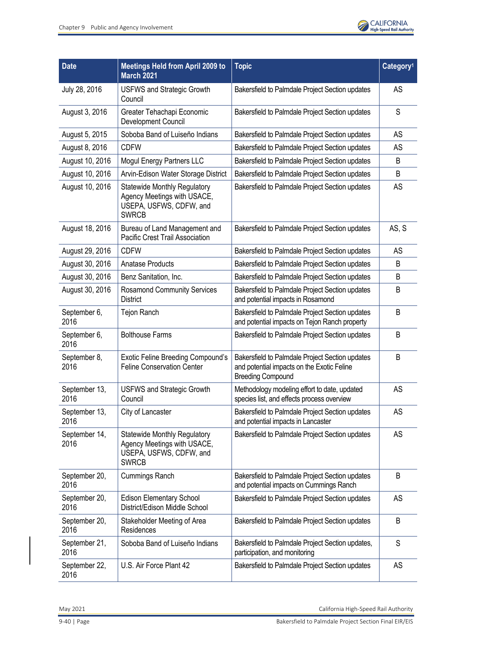

| <b>Date</b>           | <b>Meetings Held from April 2009 to</b><br><b>March 2021</b>                                                  | <b>Topic</b>                                                                                                              | Category <sup>1</sup> |
|-----------------------|---------------------------------------------------------------------------------------------------------------|---------------------------------------------------------------------------------------------------------------------------|-----------------------|
| July 28, 2016         | <b>USFWS and Strategic Growth</b><br>Council                                                                  | Bakersfield to Palmdale Project Section updates                                                                           | AS                    |
| August 3, 2016        | Greater Tehachapi Economic<br>Development Council                                                             | Bakersfield to Palmdale Project Section updates                                                                           | S                     |
| August 5, 2015        | Soboba Band of Luiseño Indians                                                                                | Bakersfield to Palmdale Project Section updates                                                                           | AS                    |
| August 8, 2016        | <b>CDFW</b>                                                                                                   | Bakersfield to Palmdale Project Section updates                                                                           | <b>AS</b>             |
| August 10, 2016       | Mogul Energy Partners LLC                                                                                     | Bakersfield to Palmdale Project Section updates                                                                           | B                     |
| August 10, 2016       | Arvin-Edison Water Storage District                                                                           | Bakersfield to Palmdale Project Section updates                                                                           | B                     |
| August 10, 2016       | <b>Statewide Monthly Regulatory</b><br>Agency Meetings with USACE,<br>USEPA, USFWS, CDFW, and<br><b>SWRCB</b> | Bakersfield to Palmdale Project Section updates                                                                           | AS                    |
| August 18, 2016       | Bureau of Land Management and<br>Pacific Crest Trail Association                                              | Bakersfield to Palmdale Project Section updates                                                                           | AS, S                 |
| August 29, 2016       | <b>CDFW</b>                                                                                                   | Bakersfield to Palmdale Project Section updates                                                                           | <b>AS</b>             |
| August 30, 2016       | <b>Anatase Products</b>                                                                                       | Bakersfield to Palmdale Project Section updates                                                                           | B                     |
| August 30, 2016       | Benz Sanitation, Inc.                                                                                         | Bakersfield to Palmdale Project Section updates                                                                           | B                     |
| August 30, 2016       | <b>Rosamond Community Services</b><br><b>District</b>                                                         | Bakersfield to Palmdale Project Section updates<br>and potential impacts in Rosamond                                      | B                     |
| September 6,<br>2016  | Tejon Ranch                                                                                                   | Bakersfield to Palmdale Project Section updates<br>and potential impacts on Tejon Ranch property                          | B                     |
| September 6,<br>2016  | <b>Bolthouse Farms</b>                                                                                        | Bakersfield to Palmdale Project Section updates                                                                           | B                     |
| September 8,<br>2016  | <b>Exotic Feline Breeding Compound's</b><br><b>Feline Conservation Center</b>                                 | Bakersfield to Palmdale Project Section updates<br>and potential impacts on the Exotic Feline<br><b>Breeding Compound</b> | B                     |
| September 13,<br>2016 | <b>USFWS and Strategic Growth</b><br>Council                                                                  | Methodology modeling effort to date, updated<br>species list, and effects process overview                                | AS                    |
| September 13,<br>2016 | City of Lancaster                                                                                             | Bakersfield to Palmdale Project Section updates<br>and potential impacts in Lancaster                                     | AS                    |
| September 14,<br>2016 | <b>Statewide Monthly Regulatory</b><br>Agency Meetings with USACE,<br>USEPA, USFWS, CDFW, and<br><b>SWRCB</b> | Bakersfield to Palmdale Project Section updates                                                                           | AS                    |
| September 20,<br>2016 | <b>Cummings Ranch</b>                                                                                         | Bakersfield to Palmdale Project Section updates<br>and potential impacts on Cummings Ranch                                | B                     |
| September 20,<br>2016 | Edison Elementary School<br>District/Edison Middle School                                                     | Bakersfield to Palmdale Project Section updates                                                                           | AS                    |
| September 20,<br>2016 | Stakeholder Meeting of Area<br>Residences                                                                     | Bakersfield to Palmdale Project Section updates                                                                           | B                     |
| September 21,<br>2016 | Soboba Band of Luiseño Indians                                                                                | Bakersfield to Palmdale Project Section updates,<br>participation, and monitoring                                         | S                     |
| September 22,<br>2016 | U.S. Air Force Plant 42                                                                                       | Bakersfield to Palmdale Project Section updates                                                                           | AS                    |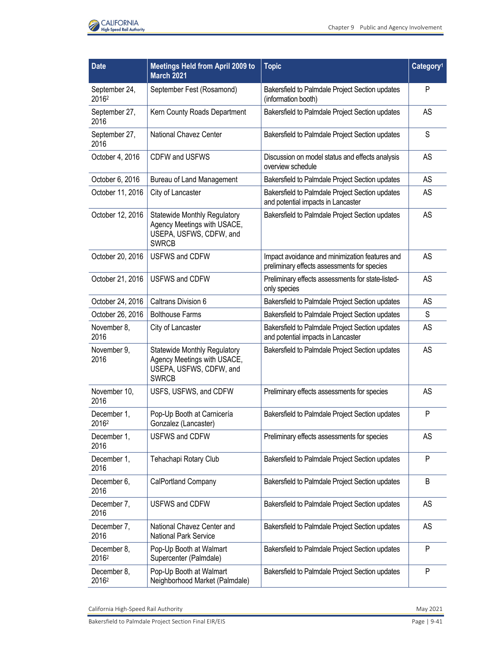

| <b>Date</b>            | <b>Meetings Held from April 2009 to</b><br><b>March 2021</b>                                                  | <b>Topic</b>                                                                                  | Category <sup>1</sup> |
|------------------------|---------------------------------------------------------------------------------------------------------------|-----------------------------------------------------------------------------------------------|-----------------------|
| September 24,<br>20162 | September Fest (Rosamond)                                                                                     | Bakersfield to Palmdale Project Section updates<br>(information booth)                        | $\mathsf{P}$          |
| September 27,<br>2016  | Kern County Roads Department                                                                                  | Bakersfield to Palmdale Project Section updates                                               | AS                    |
| September 27,<br>2016  | National Chavez Center                                                                                        | Bakersfield to Palmdale Project Section updates                                               | S                     |
| October 4, 2016        | <b>CDFW and USFWS</b>                                                                                         | Discussion on model status and effects analysis<br>overview schedule                          | AS                    |
| October 6, 2016        | Bureau of Land Management                                                                                     | Bakersfield to Palmdale Project Section updates                                               | AS                    |
| October 11, 2016       | City of Lancaster                                                                                             | Bakersfield to Palmdale Project Section updates<br>and potential impacts in Lancaster         | AS                    |
| October 12, 2016       | <b>Statewide Monthly Regulatory</b><br>Agency Meetings with USACE,<br>USEPA, USFWS, CDFW, and<br><b>SWRCB</b> | Bakersfield to Palmdale Project Section updates                                               | AS                    |
| October 20, 2016       | <b>USFWS and CDFW</b>                                                                                         | Impact avoidance and minimization features and<br>preliminary effects assessments for species | <b>AS</b>             |
| October 21, 2016       | <b>USFWS and CDFW</b>                                                                                         | Preliminary effects assessments for state-listed-<br>only species                             | AS                    |
| October 24, 2016       | Caltrans Division 6                                                                                           | Bakersfield to Palmdale Project Section updates                                               | AS                    |
| October 26, 2016       | <b>Bolthouse Farms</b>                                                                                        | Bakersfield to Palmdale Project Section updates                                               | S                     |
| November 8,<br>2016    | City of Lancaster                                                                                             | Bakersfield to Palmdale Project Section updates<br>and potential impacts in Lancaster         | AS                    |
| November 9,<br>2016    | <b>Statewide Monthly Regulatory</b><br>Agency Meetings with USACE,<br>USEPA, USFWS, CDFW, and<br><b>SWRCB</b> | Bakersfield to Palmdale Project Section updates                                               | AS                    |
| November 10,<br>2016   | USFS, USFWS, and CDFW                                                                                         | Preliminary effects assessments for species                                                   | <b>AS</b>             |
| December 1,<br>20162   | Pop-Up Booth at Carnicería<br>Gonzalez (Lancaster)                                                            | Bakersfield to Palmdale Project Section updates                                               | $\mathsf{P}$          |
| December 1,<br>2016    | <b>USFWS and CDFW</b>                                                                                         | Preliminary effects assessments for species                                                   | <b>AS</b>             |
| December 1,<br>2016    | Tehachapi Rotary Club                                                                                         | Bakersfield to Palmdale Project Section updates                                               | $\mathsf{P}$          |
| December 6,<br>2016    | CalPortland Company                                                                                           | Bakersfield to Palmdale Project Section updates                                               | B                     |
| December 7,<br>2016    | USFWS and CDFW                                                                                                | Bakersfield to Palmdale Project Section updates                                               | AS                    |
| December 7,<br>2016    | National Chavez Center and<br><b>National Park Service</b>                                                    | Bakersfield to Palmdale Project Section updates                                               | AS                    |
| December 8,<br>20162   | Pop-Up Booth at Walmart<br>Supercenter (Palmdale)                                                             | Bakersfield to Palmdale Project Section updates                                               | $\mathsf{P}$          |
| December 8,<br>20162   | Pop-Up Booth at Walmart<br>Neighborhood Market (Palmdale)                                                     | Bakersfield to Palmdale Project Section updates                                               | $\mathsf{P}$          |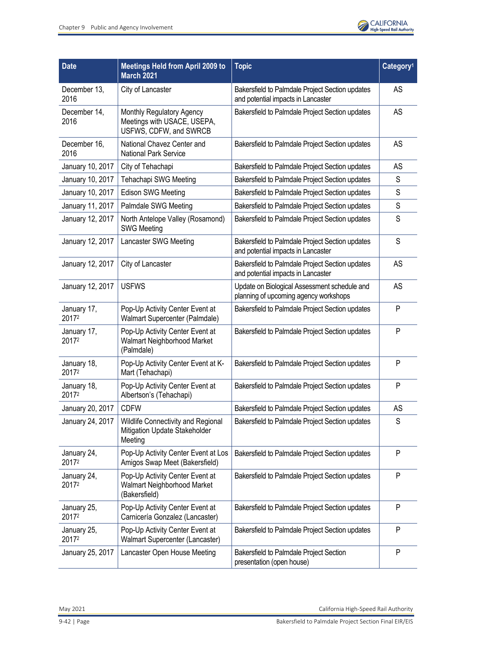

| <b>Date</b>          | <b>Meetings Held from April 2009 to</b><br><b>March 2021</b>                       | <b>Topic</b>                                                                          | Category <sup>1</sup> |
|----------------------|------------------------------------------------------------------------------------|---------------------------------------------------------------------------------------|-----------------------|
| December 13,<br>2016 | City of Lancaster                                                                  | Bakersfield to Palmdale Project Section updates<br>and potential impacts in Lancaster | AS                    |
| December 14,<br>2016 | Monthly Regulatory Agency<br>Meetings with USACE, USEPA,<br>USFWS, CDFW, and SWRCB | Bakersfield to Palmdale Project Section updates                                       | AS                    |
| December 16,<br>2016 | National Chavez Center and<br><b>National Park Service</b>                         | Bakersfield to Palmdale Project Section updates                                       | AS                    |
| January 10, 2017     | City of Tehachapi                                                                  | Bakersfield to Palmdale Project Section updates                                       | AS                    |
| January 10, 2017     | Tehachapi SWG Meeting                                                              | Bakersfield to Palmdale Project Section updates                                       | S                     |
| January 10, 2017     | <b>Edison SWG Meeting</b>                                                          | Bakersfield to Palmdale Project Section updates                                       | $\mathsf S$           |
| January 11, 2017     | Palmdale SWG Meeting                                                               | Bakersfield to Palmdale Project Section updates                                       | $\mathsf S$           |
| January 12, 2017     | North Antelope Valley (Rosamond)<br><b>SWG Meeting</b>                             | Bakersfield to Palmdale Project Section updates                                       | S                     |
| January 12, 2017     | Lancaster SWG Meeting                                                              | Bakersfield to Palmdale Project Section updates<br>and potential impacts in Lancaster | S                     |
| January 12, 2017     | City of Lancaster                                                                  | Bakersfield to Palmdale Project Section updates<br>and potential impacts in Lancaster | AS                    |
| January 12, 2017     | <b>USFWS</b>                                                                       | Update on Biological Assessment schedule and<br>planning of upcoming agency workshops | AS                    |
| January 17,<br>20172 | Pop-Up Activity Center Event at<br>Walmart Supercenter (Palmdale)                  | Bakersfield to Palmdale Project Section updates                                       | P                     |
| January 17,<br>20172 | Pop-Up Activity Center Event at<br>Walmart Neighborhood Market<br>(Palmdale)       | Bakersfield to Palmdale Project Section updates                                       | P                     |
| January 18,<br>20172 | Pop-Up Activity Center Event at K-<br>Mart (Tehachapi)                             | Bakersfield to Palmdale Project Section updates                                       | P                     |
| January 18,<br>20172 | Pop-Up Activity Center Event at<br>Albertson's (Tehachapi)                         | Bakersfield to Palmdale Project Section updates                                       | P                     |
| January 20, 2017     | <b>CDFW</b>                                                                        | Bakersfield to Palmdale Project Section updates                                       | AS                    |
| January 24, 2017     | Wildlife Connectivity and Regional<br>Mitigation Update Stakeholder<br>Meeting     | Bakersfield to Palmdale Project Section updates                                       | $\mathsf S$           |
| January 24,<br>20172 | Pop-Up Activity Center Event at Los<br>Amigos Swap Meet (Bakersfield)              | Bakersfield to Palmdale Project Section updates                                       | P                     |
| January 24,<br>20172 | Pop-Up Activity Center Event at<br>Walmart Neighborhood Market<br>(Bakersfield)    | Bakersfield to Palmdale Project Section updates                                       | P                     |
| January 25,<br>20172 | Pop-Up Activity Center Event at<br>Carnicería Gonzalez (Lancaster)                 | Bakersfield to Palmdale Project Section updates                                       | P                     |
| January 25,<br>20172 | Pop-Up Activity Center Event at<br>Walmart Supercenter (Lancaster)                 | Bakersfield to Palmdale Project Section updates                                       | P                     |
| January 25, 2017     | Lancaster Open House Meeting                                                       | Bakersfield to Palmdale Project Section<br>presentation (open house)                  | P                     |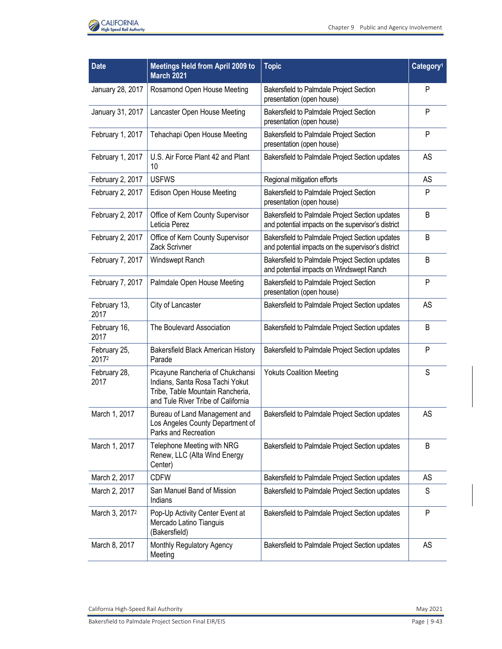

| <b>Date</b>                | <b>Meetings Held from April 2009 to</b><br><b>March 2021</b>                                                                                  | <b>Topic</b>                                                                                          | Category <sup>1</sup> |
|----------------------------|-----------------------------------------------------------------------------------------------------------------------------------------------|-------------------------------------------------------------------------------------------------------|-----------------------|
| January 28, 2017           | Rosamond Open House Meeting                                                                                                                   | Bakersfield to Palmdale Project Section<br>presentation (open house)                                  | P                     |
| January 31, 2017           | Lancaster Open House Meeting                                                                                                                  | Bakersfield to Palmdale Project Section<br>presentation (open house)                                  | P                     |
| February 1, 2017           | Tehachapi Open House Meeting                                                                                                                  | Bakersfield to Palmdale Project Section<br>presentation (open house)                                  | P                     |
| February 1, 2017           | U.S. Air Force Plant 42 and Plant<br>10                                                                                                       | Bakersfield to Palmdale Project Section updates                                                       | <b>AS</b>             |
| February 2, 2017           | <b>USFWS</b>                                                                                                                                  | Regional mitigation efforts                                                                           | AS                    |
| February 2, 2017           | Edison Open House Meeting                                                                                                                     | Bakersfield to Palmdale Project Section<br>presentation (open house)                                  | P                     |
| February 2, 2017           | Office of Kern County Supervisor<br>Leticia Perez                                                                                             | Bakersfield to Palmdale Project Section updates<br>and potential impacts on the supervisor's district | B                     |
| February 2, 2017           | Office of Kern County Supervisor<br>Zack Scrivner                                                                                             | Bakersfield to Palmdale Project Section updates<br>and potential impacts on the supervisor's district | B                     |
| February 7, 2017           | Windswept Ranch                                                                                                                               | Bakersfield to Palmdale Project Section updates<br>and potential impacts on Windswept Ranch           | B                     |
| February 7, 2017           | Palmdale Open House Meeting                                                                                                                   | Bakersfield to Palmdale Project Section<br>presentation (open house)                                  | P                     |
| February 13,<br>2017       | City of Lancaster                                                                                                                             | Bakersfield to Palmdale Project Section updates                                                       | AS                    |
| February 16,<br>2017       | The Boulevard Association                                                                                                                     | Bakersfield to Palmdale Project Section updates                                                       | B                     |
| February 25,<br>20172      | Bakersfield Black American History<br>Parade                                                                                                  | Bakersfield to Palmdale Project Section updates                                                       | P                     |
| February 28,<br>2017       | Picayune Rancheria of Chukchansi<br>Indians, Santa Rosa Tachi Yokut<br>Tribe, Table Mountain Rancheria,<br>and Tule River Tribe of California | <b>Yokuts Coalition Meeting</b>                                                                       | S                     |
| March 1, 2017              | Bureau of Land Management and<br>Los Angeles County Department of<br>Parks and Recreation                                                     | Bakersfield to Palmdale Project Section updates                                                       | AS                    |
| March 1, 2017              | Telephone Meeting with NRG<br>Renew, LLC (Alta Wind Energy<br>Center)                                                                         | Bakersfield to Palmdale Project Section updates                                                       | B                     |
| March 2, 2017              | <b>CDFW</b>                                                                                                                                   | Bakersfield to Palmdale Project Section updates                                                       | AS                    |
| March 2, 2017              | San Manuel Band of Mission<br>Indians                                                                                                         | Bakersfield to Palmdale Project Section updates                                                       | S                     |
| March 3, 2017 <sup>2</sup> | Pop-Up Activity Center Event at<br>Mercado Latino Tianguis<br>(Bakersfield)                                                                   | Bakersfield to Palmdale Project Section updates                                                       | P                     |
| March 8, 2017              | Monthly Regulatory Agency<br>Meeting                                                                                                          | Bakersfield to Palmdale Project Section updates                                                       | <b>AS</b>             |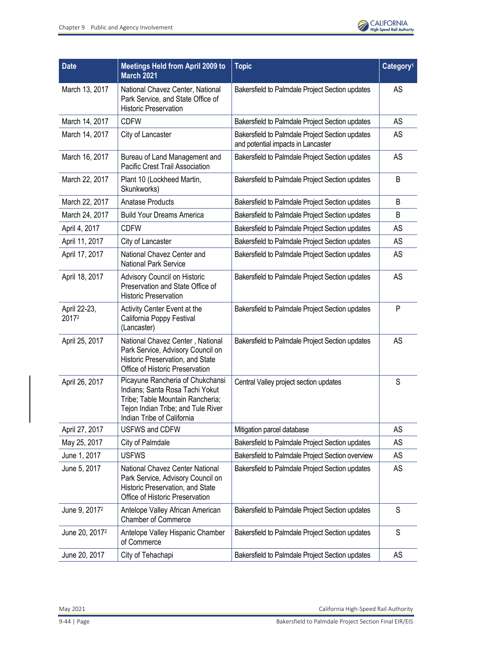

| <b>Date</b>                | <b>Meetings Held from April 2009 to</b><br><b>March 2021</b>                                                                                                                | <b>Topic</b>                                                                          | Category <sup>1</sup> |
|----------------------------|-----------------------------------------------------------------------------------------------------------------------------------------------------------------------------|---------------------------------------------------------------------------------------|-----------------------|
| March 13, 2017             | National Chavez Center, National<br>Park Service, and State Office of<br><b>Historic Preservation</b>                                                                       | Bakersfield to Palmdale Project Section updates                                       | AS                    |
| March 14, 2017             | <b>CDFW</b>                                                                                                                                                                 | Bakersfield to Palmdale Project Section updates                                       | AS                    |
| March 14, 2017             | City of Lancaster                                                                                                                                                           | Bakersfield to Palmdale Project Section updates<br>and potential impacts in Lancaster | AS                    |
| March 16, 2017             | Bureau of Land Management and<br>Pacific Crest Trail Association                                                                                                            | Bakersfield to Palmdale Project Section updates                                       | AS                    |
| March 22, 2017             | Plant 10 (Lockheed Martin,<br>Skunkworks)                                                                                                                                   | Bakersfield to Palmdale Project Section updates                                       | B                     |
| March 22, 2017             | <b>Anatase Products</b>                                                                                                                                                     | Bakersfield to Palmdale Project Section updates                                       | B                     |
| March 24, 2017             | <b>Build Your Dreams America</b>                                                                                                                                            | Bakersfield to Palmdale Project Section updates                                       | B                     |
| April 4, 2017              | <b>CDFW</b>                                                                                                                                                                 | Bakersfield to Palmdale Project Section updates                                       | AS                    |
| April 11, 2017             | City of Lancaster                                                                                                                                                           | Bakersfield to Palmdale Project Section updates                                       | AS                    |
| April 17, 2017             | National Chavez Center and<br><b>National Park Service</b>                                                                                                                  | Bakersfield to Palmdale Project Section updates                                       | AS                    |
| April 18, 2017             | Advisory Council on Historic<br>Preservation and State Office of<br><b>Historic Preservation</b>                                                                            | Bakersfield to Palmdale Project Section updates                                       | AS                    |
| April 22-23,<br>20172      | Activity Center Event at the<br>California Poppy Festival<br>(Lancaster)                                                                                                    | Bakersfield to Palmdale Project Section updates                                       | P                     |
| April 25, 2017             | National Chavez Center, National<br>Park Service, Advisory Council on<br>Historic Preservation, and State<br>Office of Historic Preservation                                | Bakersfield to Palmdale Project Section updates                                       | AS                    |
| April 26, 2017             | Picayune Rancheria of Chukchansi<br>Indians; Santa Rosa Tachi Yokut<br>Tribe; Table Mountain Rancheria;<br>Tejon Indian Tribe; and Tule River<br>Indian Tribe of California | Central Valley project section updates                                                | S                     |
| April 27, 2017             | <b>USFWS and CDFW</b>                                                                                                                                                       | Mitigation parcel database                                                            | AS                    |
| May 25, 2017               | City of Palmdale                                                                                                                                                            | Bakersfield to Palmdale Project Section updates                                       | AS                    |
| June 1, 2017               | <b>USFWS</b>                                                                                                                                                                | Bakersfield to Palmdale Project Section overview                                      | AS                    |
| June 5, 2017               | National Chavez Center National<br>Park Service, Advisory Council on<br>Historic Preservation, and State<br>Office of Historic Preservation                                 | Bakersfield to Palmdale Project Section updates                                       | AS                    |
| June 9, 2017 <sup>2</sup>  | Antelope Valley African American<br><b>Chamber of Commerce</b>                                                                                                              | Bakersfield to Palmdale Project Section updates                                       | S                     |
| June 20, 2017 <sup>2</sup> | Antelope Valley Hispanic Chamber<br>of Commerce                                                                                                                             | Bakersfield to Palmdale Project Section updates                                       | S                     |
| June 20, 2017              | City of Tehachapi                                                                                                                                                           | Bakersfield to Palmdale Project Section updates                                       | AS                    |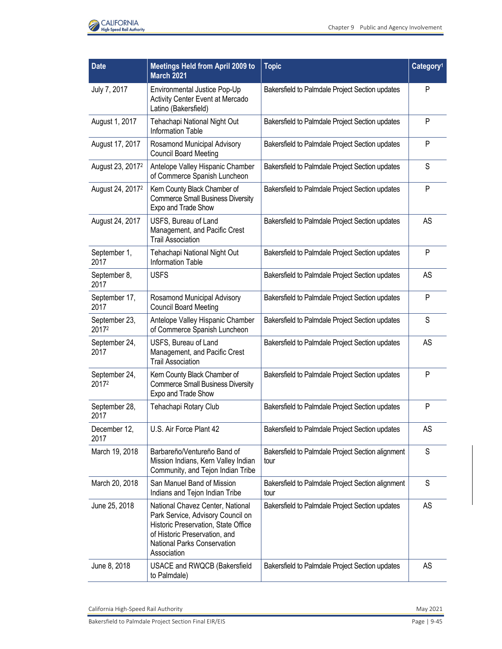

| <b>Date</b>                  | <b>Meetings Held from April 2009 to</b><br><b>March 2021</b>                                                                                                                                | <b>Topic</b>                                              | Category <sup>1</sup> |
|------------------------------|---------------------------------------------------------------------------------------------------------------------------------------------------------------------------------------------|-----------------------------------------------------------|-----------------------|
| July 7, 2017                 | Environmental Justice Pop-Up<br>Activity Center Event at Mercado<br>Latino (Bakersfield)                                                                                                    | Bakersfield to Palmdale Project Section updates           | P                     |
| August 1, 2017               | Tehachapi National Night Out<br><b>Information Table</b>                                                                                                                                    | Bakersfield to Palmdale Project Section updates           | P                     |
| August 17, 2017              | Rosamond Municipal Advisory<br><b>Council Board Meeting</b>                                                                                                                                 | Bakersfield to Palmdale Project Section updates           | P                     |
| August 23, 2017 <sup>2</sup> | Antelope Valley Hispanic Chamber<br>of Commerce Spanish Luncheon                                                                                                                            | Bakersfield to Palmdale Project Section updates           | S                     |
| August 24, 2017 <sup>2</sup> | Kern County Black Chamber of<br><b>Commerce Small Business Diversity</b><br>Expo and Trade Show                                                                                             | Bakersfield to Palmdale Project Section updates           | P                     |
| August 24, 2017              | USFS, Bureau of Land<br>Management, and Pacific Crest<br><b>Trail Association</b>                                                                                                           | Bakersfield to Palmdale Project Section updates           | AS                    |
| September 1,<br>2017         | Tehachapi National Night Out<br><b>Information Table</b>                                                                                                                                    | Bakersfield to Palmdale Project Section updates           | P                     |
| September 8,<br>2017         | <b>USFS</b>                                                                                                                                                                                 | Bakersfield to Palmdale Project Section updates           | AS                    |
| September 17,<br>2017        | Rosamond Municipal Advisory<br><b>Council Board Meeting</b>                                                                                                                                 | Bakersfield to Palmdale Project Section updates           | P                     |
| September 23,<br>20172       | Antelope Valley Hispanic Chamber<br>of Commerce Spanish Luncheon                                                                                                                            | Bakersfield to Palmdale Project Section updates           | S                     |
| September 24,<br>2017        | USFS, Bureau of Land<br>Management, and Pacific Crest<br><b>Trail Association</b>                                                                                                           | Bakersfield to Palmdale Project Section updates           | AS                    |
| September 24,<br>20172       | Kern County Black Chamber of<br><b>Commerce Small Business Diversity</b><br>Expo and Trade Show                                                                                             | Bakersfield to Palmdale Project Section updates           | P                     |
| September 28,<br>2017        | Tehachapi Rotary Club                                                                                                                                                                       | Bakersfield to Palmdale Project Section updates           | P                     |
| December 12,<br>2017         | U.S. Air Force Plant 42                                                                                                                                                                     | Bakersfield to Palmdale Project Section updates           | AS                    |
| March 19, 2018               | Barbareño/Ventureño Band of<br>Mission Indians, Kern Valley Indian<br>Community, and Tejon Indian Tribe                                                                                     | Bakersfield to Palmdale Project Section alignment<br>tour | $\mathsf S$           |
| March 20, 2018               | San Manuel Band of Mission<br>Indians and Tejon Indian Tribe                                                                                                                                | Bakersfield to Palmdale Project Section alignment<br>tour | S                     |
| June 25, 2018                | National Chavez Center, National<br>Park Service, Advisory Council on<br>Historic Preservation, State Office<br>of Historic Preservation, and<br>National Parks Conservation<br>Association | Bakersfield to Palmdale Project Section updates           | <b>AS</b>             |
| June 8, 2018                 | USACE and RWQCB (Bakersfield<br>to Palmdale)                                                                                                                                                | Bakersfield to Palmdale Project Section updates           | <b>AS</b>             |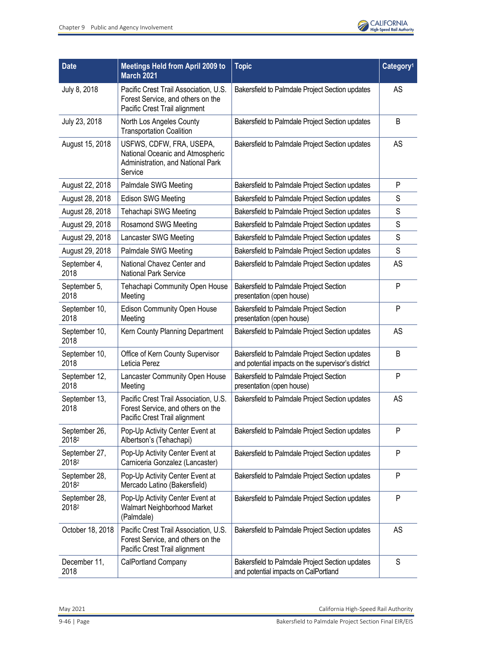

| <b>Date</b>            | <b>Meetings Held from April 2009 to</b><br><b>March 2021</b>                                                 | <b>Topic</b>                                                                                          | Category <sup>1</sup> |
|------------------------|--------------------------------------------------------------------------------------------------------------|-------------------------------------------------------------------------------------------------------|-----------------------|
| July 8, 2018           | Pacific Crest Trail Association, U.S.<br>Forest Service, and others on the<br>Pacific Crest Trail alignment  | Bakersfield to Palmdale Project Section updates                                                       | AS                    |
| July 23, 2018          | North Los Angeles County<br><b>Transportation Coalition</b>                                                  | Bakersfield to Palmdale Project Section updates                                                       | B                     |
| August 15, 2018        | USFWS, CDFW, FRA, USEPA,<br>National Oceanic and Atmospheric<br>Administration, and National Park<br>Service | Bakersfield to Palmdale Project Section updates                                                       | AS                    |
| August 22, 2018        | Palmdale SWG Meeting                                                                                         | Bakersfield to Palmdale Project Section updates                                                       | P                     |
| August 28, 2018        | <b>Edison SWG Meeting</b>                                                                                    | Bakersfield to Palmdale Project Section updates                                                       | S                     |
| August 28, 2018        | Tehachapi SWG Meeting                                                                                        | Bakersfield to Palmdale Project Section updates                                                       | S                     |
| August 29, 2018        | Rosamond SWG Meeting                                                                                         | Bakersfield to Palmdale Project Section updates                                                       | S                     |
| August 29, 2018        | Lancaster SWG Meeting                                                                                        | Bakersfield to Palmdale Project Section updates                                                       | S                     |
| August 29, 2018        | Palmdale SWG Meeting                                                                                         | Bakersfield to Palmdale Project Section updates                                                       | S                     |
| September 4,<br>2018   | National Chavez Center and<br><b>National Park Service</b>                                                   | Bakersfield to Palmdale Project Section updates                                                       | AS                    |
| September 5,<br>2018   | Tehachapi Community Open House<br>Meeting                                                                    | Bakersfield to Palmdale Project Section<br>presentation (open house)                                  | P                     |
| September 10,<br>2018  | <b>Edison Community Open House</b><br>Meeting                                                                | Bakersfield to Palmdale Project Section<br>presentation (open house)                                  | ${\sf P}$             |
| September 10,<br>2018  | Kern County Planning Department                                                                              | Bakersfield to Palmdale Project Section updates                                                       | AS                    |
| September 10,<br>2018  | Office of Kern County Supervisor<br>Leticia Perez                                                            | Bakersfield to Palmdale Project Section updates<br>and potential impacts on the supervisor's district | B                     |
| September 12,<br>2018  | Lancaster Community Open House<br>Meeting                                                                    | Bakersfield to Palmdale Project Section<br>presentation (open house)                                  | P                     |
| September 13,<br>2018  | Pacific Crest Trail Association, U.S.<br>Forest Service, and others on the<br>Pacific Crest Trail alignment  | Bakersfield to Palmdale Project Section updates                                                       | AS                    |
| September 26,<br>20182 | Pop-Up Activity Center Event at<br>Albertson's (Tehachapi)                                                   | Bakersfield to Palmdale Project Section updates                                                       | P                     |
| September 27,<br>20182 | Pop-Up Activity Center Event at<br>Carniceria Gonzalez (Lancaster)                                           | Bakersfield to Palmdale Project Section updates                                                       | $\mathsf{P}$          |
| September 28,<br>20182 | Pop-Up Activity Center Event at<br>Mercado Latino (Bakersfield)                                              | Bakersfield to Palmdale Project Section updates                                                       | P                     |
| September 28,<br>20182 | Pop-Up Activity Center Event at<br>Walmart Neighborhood Market<br>(Palmdale)                                 | Bakersfield to Palmdale Project Section updates                                                       | $\mathsf{P}$          |
| October 18, 2018       | Pacific Crest Trail Association, U.S.<br>Forest Service, and others on the<br>Pacific Crest Trail alignment  | Bakersfield to Palmdale Project Section updates                                                       | AS                    |
| December 11,<br>2018   | CalPortland Company                                                                                          | Bakersfield to Palmdale Project Section updates<br>and potential impacts on CalPortland               | S                     |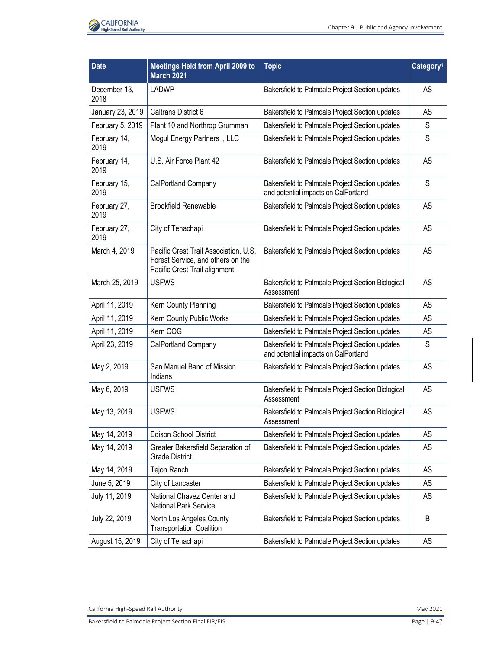

| <b>Date</b>          | <b>Meetings Held from April 2009 to</b><br><b>March 2021</b>                                                | <b>Topic</b>                                                                            | Category <sup>1</sup> |
|----------------------|-------------------------------------------------------------------------------------------------------------|-----------------------------------------------------------------------------------------|-----------------------|
| December 13,<br>2018 | LADWP                                                                                                       | Bakersfield to Palmdale Project Section updates                                         | <b>AS</b>             |
| January 23, 2019     | Caltrans District 6                                                                                         | Bakersfield to Palmdale Project Section updates                                         | AS                    |
| February 5, 2019     | Plant 10 and Northrop Grumman                                                                               | Bakersfield to Palmdale Project Section updates                                         | S                     |
| February 14,<br>2019 | Mogul Energy Partners I, LLC                                                                                | Bakersfield to Palmdale Project Section updates                                         | S                     |
| February 14,<br>2019 | U.S. Air Force Plant 42                                                                                     | Bakersfield to Palmdale Project Section updates                                         | AS                    |
| February 15,<br>2019 | CalPortland Company                                                                                         | Bakersfield to Palmdale Project Section updates<br>and potential impacts on CalPortland | S                     |
| February 27,<br>2019 | <b>Brookfield Renewable</b>                                                                                 | Bakersfield to Palmdale Project Section updates                                         | <b>AS</b>             |
| February 27,<br>2019 | City of Tehachapi                                                                                           | Bakersfield to Palmdale Project Section updates                                         | AS                    |
| March 4, 2019        | Pacific Crest Trail Association, U.S.<br>Forest Service, and others on the<br>Pacific Crest Trail alignment | Bakersfield to Palmdale Project Section updates                                         | AS                    |
| March 25, 2019       | <b>USFWS</b>                                                                                                | Bakersfield to Palmdale Project Section Biological<br>Assessment                        | AS                    |
| April 11, 2019       | Kern County Planning                                                                                        | Bakersfield to Palmdale Project Section updates                                         | AS                    |
| April 11, 2019       | Kern County Public Works                                                                                    | Bakersfield to Palmdale Project Section updates                                         | AS                    |
| April 11, 2019       | Kern COG                                                                                                    | Bakersfield to Palmdale Project Section updates                                         | AS                    |
| April 23, 2019       | CalPortland Company                                                                                         | Bakersfield to Palmdale Project Section updates<br>and potential impacts on CalPortland | S                     |
| May 2, 2019          | San Manuel Band of Mission<br>Indians                                                                       | Bakersfield to Palmdale Project Section updates                                         | <b>AS</b>             |
| May 6, 2019          | <b>USFWS</b>                                                                                                | Bakersfield to Palmdale Project Section Biological<br>Assessment                        | AS                    |
| May 13, 2019         | <b>USFWS</b>                                                                                                | Bakersfield to Palmdale Project Section Biological<br>Assessment                        | AS                    |
| May 14, 2019         | <b>Edison School District</b>                                                                               | Bakersfield to Palmdale Project Section updates                                         | <b>AS</b>             |
| May 14, 2019         | Greater Bakersfield Separation of<br><b>Grade District</b>                                                  | Bakersfield to Palmdale Project Section updates                                         | AS                    |
| May 14, 2019         | <b>Tejon Ranch</b>                                                                                          | Bakersfield to Palmdale Project Section updates                                         | <b>AS</b>             |
| June 5, 2019         | City of Lancaster                                                                                           | Bakersfield to Palmdale Project Section updates                                         | <b>AS</b>             |
| July 11, 2019        | National Chavez Center and<br>National Park Service                                                         | Bakersfield to Palmdale Project Section updates                                         | AS                    |
| July 22, 2019        | North Los Angeles County<br><b>Transportation Coalition</b>                                                 | Bakersfield to Palmdale Project Section updates                                         | B                     |
| August 15, 2019      | City of Tehachapi                                                                                           | Bakersfield to Palmdale Project Section updates                                         | <b>AS</b>             |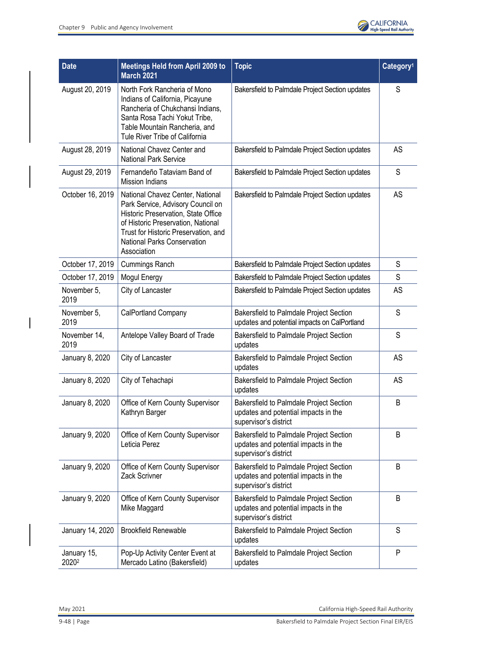

| <b>Date</b>          | Meetings Held from April 2009 to<br><b>March 2021</b>                                                                                                                                                                                           | <b>Topic</b>                                                                                             | Category <sup>1</sup> |
|----------------------|-------------------------------------------------------------------------------------------------------------------------------------------------------------------------------------------------------------------------------------------------|----------------------------------------------------------------------------------------------------------|-----------------------|
| August 20, 2019      | North Fork Rancheria of Mono<br>Indians of California, Picayune<br>Rancheria of Chukchansi Indians,<br>Santa Rosa Tachi Yokut Tribe,<br>Table Mountain Rancheria, and<br>Tule River Tribe of California                                         | Bakersfield to Palmdale Project Section updates                                                          | S                     |
| August 28, 2019      | National Chavez Center and<br><b>National Park Service</b>                                                                                                                                                                                      | Bakersfield to Palmdale Project Section updates                                                          | AS                    |
| August 29, 2019      | Fernandeño Tataviam Band of<br><b>Mission Indians</b>                                                                                                                                                                                           | Bakersfield to Palmdale Project Section updates                                                          | S                     |
| October 16, 2019     | National Chavez Center, National<br>Park Service, Advisory Council on<br>Historic Preservation, State Office<br>of Historic Preservation, National<br>Trust for Historic Preservation, and<br><b>National Parks Conservation</b><br>Association | Bakersfield to Palmdale Project Section updates                                                          | AS                    |
| October 17, 2019     | Cummings Ranch                                                                                                                                                                                                                                  | Bakersfield to Palmdale Project Section updates                                                          | S                     |
| October 17, 2019     | Mogul Energy                                                                                                                                                                                                                                    | Bakersfield to Palmdale Project Section updates                                                          | S                     |
| November 5,<br>2019  | City of Lancaster                                                                                                                                                                                                                               | Bakersfield to Palmdale Project Section updates                                                          | AS                    |
| November 5,<br>2019  | CalPortland Company                                                                                                                                                                                                                             | Bakersfield to Palmdale Project Section<br>updates and potential impacts on CalPortland                  | S                     |
| November 14,<br>2019 | Antelope Valley Board of Trade                                                                                                                                                                                                                  | Bakersfield to Palmdale Project Section<br>updates                                                       | S                     |
| January 8, 2020      | City of Lancaster                                                                                                                                                                                                                               | Bakersfield to Palmdale Project Section<br>updates                                                       | AS                    |
| January 8, 2020      | City of Tehachapi                                                                                                                                                                                                                               | Bakersfield to Palmdale Project Section<br>updates                                                       | AS                    |
| January 8, 2020      | Office of Kern County Supervisor<br>Kathryn Barger                                                                                                                                                                                              | Bakersfield to Palmdale Project Section<br>updates and potential impacts in the<br>supervisor's district | B                     |
| January 9, 2020      | Office of Kern County Supervisor<br>Leticia Perez                                                                                                                                                                                               | Bakersfield to Palmdale Project Section<br>updates and potential impacts in the<br>supervisor's district | B                     |
| January 9, 2020      | Office of Kern County Supervisor<br>Zack Scrivner                                                                                                                                                                                               | Bakersfield to Palmdale Project Section<br>updates and potential impacts in the<br>supervisor's district | B                     |
| January 9, 2020      | Office of Kern County Supervisor<br>Mike Maggard                                                                                                                                                                                                | Bakersfield to Palmdale Project Section<br>updates and potential impacts in the<br>supervisor's district | B                     |
| January 14, 2020     | <b>Brookfield Renewable</b>                                                                                                                                                                                                                     | Bakersfield to Palmdale Project Section<br>updates                                                       | $\mathsf S$           |
| January 15,<br>20202 | Pop-Up Activity Center Event at<br>Mercado Latino (Bakersfield)                                                                                                                                                                                 | Bakersfield to Palmdale Project Section<br>updates                                                       | P                     |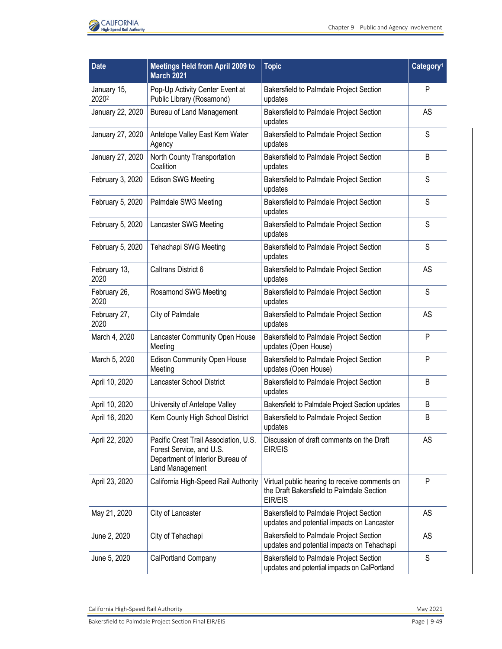

| <b>Date</b>          | <b>Meetings Held from April 2009 to</b><br><b>March 2021</b>                                                             | <b>Topic</b>                                                                                          | Category <sup>1</sup> |
|----------------------|--------------------------------------------------------------------------------------------------------------------------|-------------------------------------------------------------------------------------------------------|-----------------------|
| January 15,<br>20202 | Pop-Up Activity Center Event at<br>Public Library (Rosamond)                                                             | Bakersfield to Palmdale Project Section<br>updates                                                    | P                     |
| January 22, 2020     | <b>Bureau of Land Management</b>                                                                                         | Bakersfield to Palmdale Project Section<br>updates                                                    | AS                    |
| January 27, 2020     | Antelope Valley East Kern Water<br>Agency                                                                                | Bakersfield to Palmdale Project Section<br>updates                                                    | S                     |
| January 27, 2020     | North County Transportation<br>Coalition                                                                                 | Bakersfield to Palmdale Project Section<br>updates                                                    | B                     |
| February 3, 2020     | <b>Edison SWG Meeting</b>                                                                                                | Bakersfield to Palmdale Project Section<br>updates                                                    | S                     |
| February 5, 2020     | Palmdale SWG Meeting                                                                                                     | Bakersfield to Palmdale Project Section<br>updates                                                    | S                     |
| February 5, 2020     | Lancaster SWG Meeting                                                                                                    | Bakersfield to Palmdale Project Section<br>updates                                                    | S                     |
| February 5, 2020     | Tehachapi SWG Meeting                                                                                                    | Bakersfield to Palmdale Project Section<br>updates                                                    | S                     |
| February 13,<br>2020 | Caltrans District 6                                                                                                      | Bakersfield to Palmdale Project Section<br>updates                                                    | AS                    |
| February 26,<br>2020 | Rosamond SWG Meeting                                                                                                     | Bakersfield to Palmdale Project Section<br>updates                                                    | S                     |
| February 27,<br>2020 | City of Palmdale                                                                                                         | Bakersfield to Palmdale Project Section<br>updates                                                    | AS                    |
| March 4, 2020        | Lancaster Community Open House<br>Meeting                                                                                | Bakersfield to Palmdale Project Section<br>updates (Open House)                                       | P                     |
| March 5, 2020        | Edison Community Open House<br>Meeting                                                                                   | Bakersfield to Palmdale Project Section<br>updates (Open House)                                       | P                     |
| April 10, 2020       | Lancaster School District                                                                                                | Bakersfield to Palmdale Project Section<br>updates                                                    | B                     |
| April 10, 2020       | University of Antelope Valley                                                                                            | Bakersfield to Palmdale Project Section updates                                                       | B                     |
| April 16, 2020       | Kern County High School District                                                                                         | Bakersfield to Palmdale Project Section<br>updates                                                    | B                     |
| April 22, 2020       | Pacific Crest Trail Association, U.S.<br>Forest Service, and U.S.<br>Department of Interior Bureau of<br>Land Management | Discussion of draft comments on the Draft<br>EIR/EIS                                                  | AS                    |
| April 23, 2020       | California High-Speed Rail Authority                                                                                     | Virtual public hearing to receive comments on<br>the Draft Bakersfield to Palmdale Section<br>EIR/EIS | P                     |
| May 21, 2020         | City of Lancaster                                                                                                        | Bakersfield to Palmdale Project Section<br>updates and potential impacts on Lancaster                 | AS                    |
| June 2, 2020         | City of Tehachapi                                                                                                        | Bakersfield to Palmdale Project Section<br>updates and potential impacts on Tehachapi                 | <b>AS</b>             |
| June 5, 2020         | CalPortland Company                                                                                                      | Bakersfield to Palmdale Project Section<br>updates and potential impacts on CalPortland               | S                     |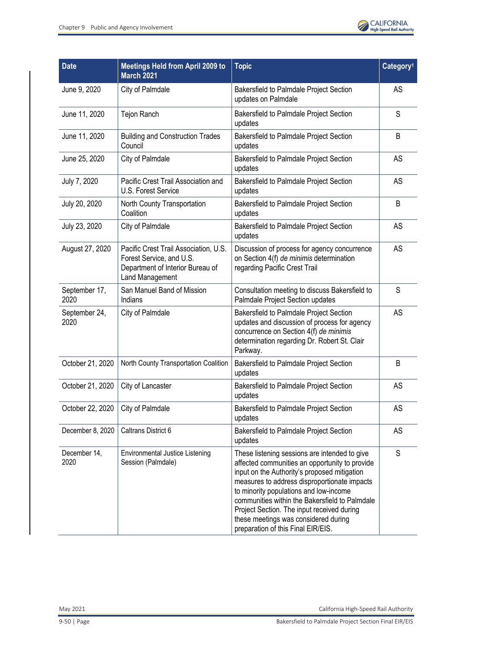

| <b>Date</b>           | <b>Meetings Held from April 2009 to</b><br><b>March 2021</b>                                                                    | <b>Topic</b>                                                                                                                                                                                                                                                                                                                                                                                                            | Category <sup>1</sup> |
|-----------------------|---------------------------------------------------------------------------------------------------------------------------------|-------------------------------------------------------------------------------------------------------------------------------------------------------------------------------------------------------------------------------------------------------------------------------------------------------------------------------------------------------------------------------------------------------------------------|-----------------------|
| June 9, 2020          | City of Palmdale                                                                                                                | Bakersfield to Palmdale Project Section<br>updates on Palmdale                                                                                                                                                                                                                                                                                                                                                          | AS                    |
| June 11, 2020         | Tejon Ranch                                                                                                                     | Bakersfield to Palmdale Project Section<br>updates                                                                                                                                                                                                                                                                                                                                                                      | S                     |
| June 11, 2020         | <b>Building and Construction Trades</b><br>Council                                                                              | Bakersfield to Palmdale Project Section<br>updates                                                                                                                                                                                                                                                                                                                                                                      | B                     |
| June 25, 2020         | City of Palmdale                                                                                                                | Bakersfield to Palmdale Project Section<br>updates                                                                                                                                                                                                                                                                                                                                                                      | AS                    |
| July 7, 2020          | Pacific Crest Trail Association and<br>U.S. Forest Service                                                                      | Bakersfield to Palmdale Project Section<br>updates                                                                                                                                                                                                                                                                                                                                                                      | AS                    |
| July 20, 2020         | North County Transportation<br>Coalition                                                                                        | Bakersfield to Palmdale Project Section<br>updates                                                                                                                                                                                                                                                                                                                                                                      | B                     |
| July 23, 2020         | City of Palmdale                                                                                                                | Bakersfield to Palmdale Project Section<br>updates                                                                                                                                                                                                                                                                                                                                                                      | AS                    |
| August 27, 2020       | Pacific Crest Trail Association, U.S.<br>Forest Service, and U.S.<br>Department of Interior Bureau of<br><b>Land Management</b> | Discussion of process for agency concurrence<br>on Section 4(f) de minimis determination<br>regarding Pacific Crest Trail                                                                                                                                                                                                                                                                                               | AS                    |
| September 17,<br>2020 | San Manuel Band of Mission<br>Indians                                                                                           | Consultation meeting to discuss Bakersfield to<br>Palmdale Project Section updates                                                                                                                                                                                                                                                                                                                                      | S                     |
| September 24,<br>2020 | City of Palmdale                                                                                                                | Bakersfield to Palmdale Project Section<br>updates and discussion of process for agency<br>concurrence on Section 4(f) de minimis<br>determination regarding Dr. Robert St. Clair<br>Parkway.                                                                                                                                                                                                                           | AS                    |
| October 21, 2020      | North County Transportation Coalition                                                                                           | Bakersfield to Palmdale Project Section<br>updates                                                                                                                                                                                                                                                                                                                                                                      | B                     |
| October 21, 2020      | City of Lancaster                                                                                                               | <b>Bakersfield to Palmdale Project Section</b><br>updates                                                                                                                                                                                                                                                                                                                                                               | AS                    |
| October 22, 2020      | City of Palmdale                                                                                                                | Bakersfield to Palmdale Project Section<br>updates                                                                                                                                                                                                                                                                                                                                                                      | AS                    |
| December 8, 2020      | Caltrans District 6                                                                                                             | Bakersfield to Palmdale Project Section<br>updates                                                                                                                                                                                                                                                                                                                                                                      | AS                    |
| December 14,<br>2020  | Environmental Justice Listening<br>Session (Palmdale)                                                                           | These listening sessions are intended to give<br>affected communities an opportunity to provide<br>input on the Authority's proposed mitigation<br>measures to address disproportionate impacts<br>to minority populations and low-income<br>communities within the Bakersfield to Palmdale<br>Project Section. The input received during<br>these meetings was considered during<br>preparation of this Final EIR/EIS. | S                     |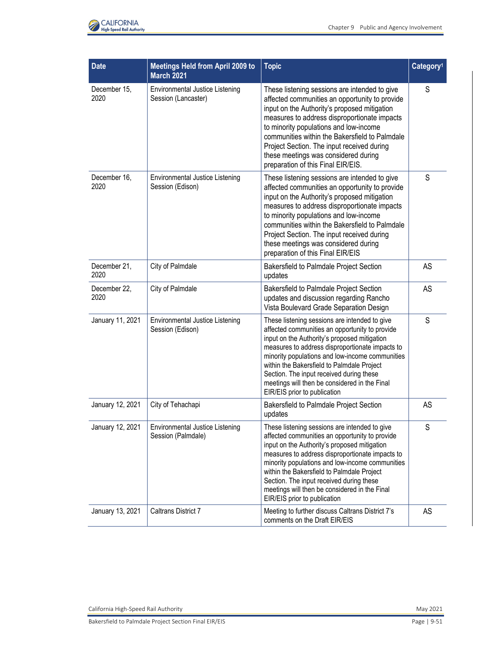

| <b>Date</b>          | <b>Meetings Held from April 2009 to</b><br><b>March 2021</b> | <b>Topic</b>                                                                                                                                                                                                                                                                                                                                                                                                                     | Category <sup>1</sup> |
|----------------------|--------------------------------------------------------------|----------------------------------------------------------------------------------------------------------------------------------------------------------------------------------------------------------------------------------------------------------------------------------------------------------------------------------------------------------------------------------------------------------------------------------|-----------------------|
| December 15,<br>2020 | Environmental Justice Listening<br>Session (Lancaster)       | These listening sessions are intended to give<br>affected communities an opportunity to provide<br>input on the Authority's proposed mitigation<br>measures to address disproportionate impacts<br>to minority populations and low-income<br>communities within the Bakersfield to Palmdale<br>Project Section. The input received during<br>these meetings was considered during<br>preparation of this Final EIR/EIS.          | S                     |
| December 16,<br>2020 | Environmental Justice Listening<br>Session (Edison)          | These listening sessions are intended to give<br>affected communities an opportunity to provide<br>input on the Authority's proposed mitigation<br>measures to address disproportionate impacts<br>to minority populations and low-income<br>communities within the Bakersfield to Palmdale<br>Project Section. The input received during<br>these meetings was considered during<br>preparation of this Final EIR/EIS           | S                     |
| December 21,<br>2020 | City of Palmdale                                             | Bakersfield to Palmdale Project Section<br>updates                                                                                                                                                                                                                                                                                                                                                                               | AS                    |
| December 22.<br>2020 | City of Palmdale                                             | Bakersfield to Palmdale Project Section<br>updates and discussion regarding Rancho<br>Vista Boulevard Grade Separation Design                                                                                                                                                                                                                                                                                                    | AS                    |
| January 11, 2021     | Environmental Justice Listening<br>Session (Edison)          | These listening sessions are intended to give<br>affected communities an opportunity to provide<br>input on the Authority's proposed mitigation<br>measures to address disproportionate impacts to<br>minority populations and low-income communities<br>within the Bakersfield to Palmdale Project<br>Section. The input received during these<br>meetings will then be considered in the Final<br>EIR/EIS prior to publication | S                     |
| January 12, 2021     | City of Tehachapi                                            | Bakersfield to Palmdale Project Section<br>updates                                                                                                                                                                                                                                                                                                                                                                               | AS                    |
| January 12, 2021     | Environmental Justice Listening<br>Session (Palmdale)        | These listening sessions are intended to give<br>affected communities an opportunity to provide<br>input on the Authority's proposed mitigation<br>measures to address disproportionate impacts to<br>minority populations and low-income communities<br>within the Bakersfield to Palmdale Project<br>Section. The input received during these<br>meetings will then be considered in the Final<br>EIR/EIS prior to publication | S                     |
| January 13, 2021     | <b>Caltrans District 7</b>                                   | Meeting to further discuss Caltrans District 7's<br>comments on the Draft EIR/EIS                                                                                                                                                                                                                                                                                                                                                | AS                    |